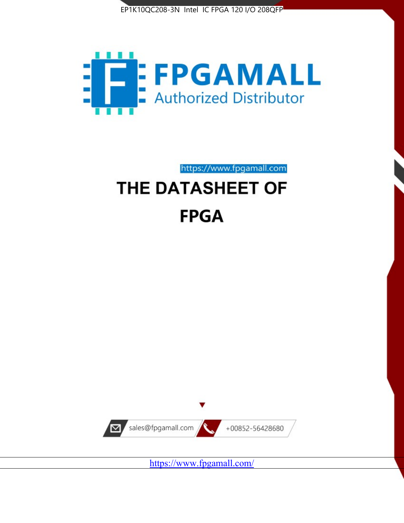



https://www.fpgamall.com THE DATASHEET OF

# **FPGA**



<https://www.fpgamall.com/>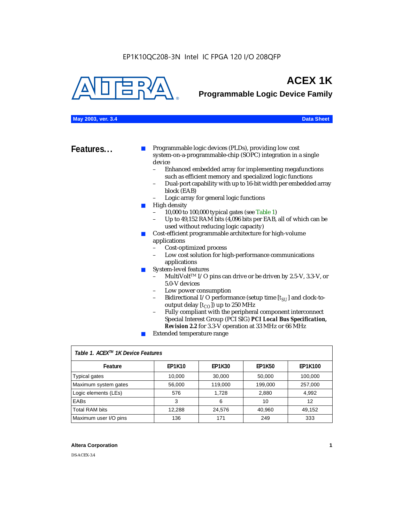

# **ACEX 1K**

**Programmable Logic Device Family**

### **May 2003, ver. 3.4 Data Sheet**

**Features...** ■ Programmable logic devices (PLDs), providing low cost system-on-a-programmable-chip (SOPC) integration in a single device

- Enhanced embedded array for implementing megafunctions such as efficient memory and specialized logic functions
- Dual-port capability with up to 16-bit width per embedded array block (EAB)
- Logic array for general logic functions
- High density
	- 10,000 to 100,000 typical gates (see Table 1)
	- Up to 49,152 RAM bits (4,096 bits per EAB, all of which can be used without reducing logic capacity)
- Cost-efficient programmable architecture for high-volume applications
	- Cost-optimized process
	- Low cost solution for high-performance communications applications
- System-level features
	- MultiVolt<sup>™</sup> I/O pins can drive or be driven by 2.5-V, 3.3-V, or 5.0-V devices
	- Low power consumption
	- Bidirectional I/O performance (setup time [ $t_{SU}$ ] and clock-tooutput delay  $[t_{CO}]$ ) up to 250 MHz
	- Fully compliant with the peripheral component interconnect Special Interest Group (PCI SIG) *PCI Local Bus Specification, Revision 2.2* for 3.3-V operation at 33 MHz or 66 MHz
	- Extended temperature range

| Table 1. ACEX™ 1K Device Features |               |               |               |                |  |  |
|-----------------------------------|---------------|---------------|---------------|----------------|--|--|
| Feature                           | <b>EP1K10</b> | <b>EP1K30</b> | <b>EP1K50</b> | <b>EP1K100</b> |  |  |
| <b>Typical gates</b>              | 10,000        | 30,000        | 50,000        | 100,000        |  |  |
| Maximum system gates              | 56,000        | 119,000       | 199,000       | 257,000        |  |  |
| Logic elements (LEs)              | 576           | 1.728         | 2,880         | 4,992          |  |  |
| <b>EABs</b>                       | 3             | 6             | 10            | 12             |  |  |
| <b>Total RAM bits</b>             | 12,288        | 24,576        | 40.960        | 49.152         |  |  |
| Maximum user I/O pins             | 136           | 171           | 249           | 333            |  |  |

### **Altera Corporation 1**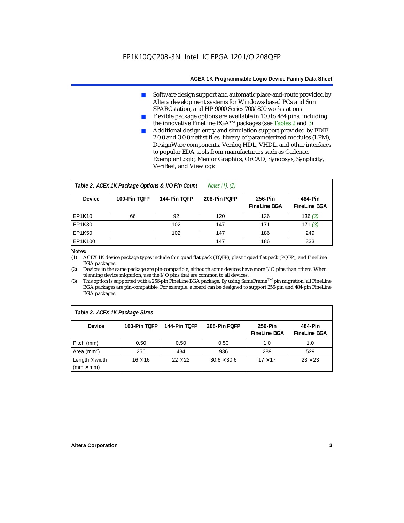- Software design support and automatic place-and-route provided by Altera development systems for Windows-based PCs and Sun SPARCstation, and HP 9000 Series 700/800 workstations
- Flexible package options are available in 100 to 484 pins, including the innovative FineLine BGATM packages (see Tables 2 and 3)
- Additional design entry and simulation support provided by EDIF 2 0 0 and 3 0 0 netlist files, library of parameterized modules (LPM), DesignWare components, Verilog HDL, VHDL, and other interfaces to popular EDA tools from manufacturers such as Cadence, Exemplar Logic, Mentor Graphics, OrCAD, Synopsys, Synplicity, VeriBest, and Viewlogic

| Notes $(1)$ , $(2)$<br>Table 2. ACEX 1K Package Options & I/O Pin Count |              |              |              |                                |                                |  |
|-------------------------------------------------------------------------|--------------|--------------|--------------|--------------------------------|--------------------------------|--|
| <b>Device</b>                                                           | 100-Pin TOFP | 144-Pin TOFP | 208-Pin POFP | 256-Pin<br><b>FineLine BGA</b> | 484-Pin<br><b>FineLine BGA</b> |  |
| <b>EP1K10</b>                                                           | 66           | 92           | 120          | 136                            | 136(3)                         |  |
| <b>EP1K30</b>                                                           |              | 102          | 147          | 171                            | 171(3)                         |  |
| <b>EP1K50</b>                                                           |              | 102          | 147          | 186                            | 249                            |  |
| EP1K100                                                                 |              |              | 147          | 186                            | 333                            |  |

#### *Notes:*

(1) ACEX 1K device package types include thin quad flat pack (TQFP), plastic quad flat pack (PQFP), and FineLine BGA packages.

(2) Devices in the same package are pin-compatible, although some devices have more I/O pins than others. When planning device migration, use the I/O pins that are common to all devices.

(3) This option is supported with a 256-pin FineLine BGA package. By using SameFrameTM pin migration, all FineLine BGA packages are pin-compatible. For example, a board can be designed to support 256-pin and 484-pin FineLine BGA packages.

| Table 3. ACEX 1K Package Sizes                           |                |                |                    |                                |                                |  |
|----------------------------------------------------------|----------------|----------------|--------------------|--------------------------------|--------------------------------|--|
| <b>Device</b>                                            | 100-Pin TOFP   | 144-Pin TOFP   | 208-Pin POFP       | 256-Pin<br><b>FineLine BGA</b> | 484-Pin<br><b>FineLine BGA</b> |  |
| Pitch (mm)                                               | 0.50           | 0.50           | 0.50               | 1.0                            | 1.0                            |  |
| Area ( $mm2$ )                                           | 256            | 484            | 936                | 289                            | 529                            |  |
| Length $\times$ width<br>$\mathsf{mmm}\times\mathsf{mm}$ | $16 \times 16$ | $22 \times 22$ | $30.6 \times 30.6$ | $17 \times 17$                 | $23 \times 23$                 |  |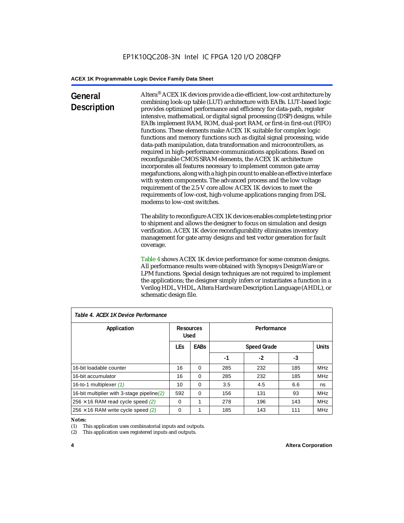### **General Description**

Altera® ACEX 1K devices provide a die-efficient, low-cost architecture by combining look-up table (LUT) architecture with EABs. LUT-based logic provides optimized performance and efficiency for data-path, register intensive, mathematical, or digital signal processing (DSP) designs, while EABs implement RAM, ROM, dual-port RAM, or first-in first-out (FIFO) functions. These elements make ACEX 1K suitable for complex logic functions and memory functions such as digital signal processing, wide data-path manipulation, data transformation and microcontrollers, as required in high-performance communications applications. Based on reconfigurable CMOS SRAM elements, the ACEX 1K architecture incorporates all features necessary to implement common gate array megafunctions, along with a high pin count to enable an effective interface with system components. The advanced process and the low voltage requirement of the 2.5-V core allow ACEX 1K devices to meet the requirements of low-cost, high-volume applications ranging from DSL modems to low-cost switches.

The ability to reconfigure ACEX 1K devices enables complete testing prior to shipment and allows the designer to focus on simulation and design verification. ACEX 1K device reconfigurability eliminates inventory management for gate array designs and test vector generation for fault coverage.

Table 4 shows ACEX 1K device performance for some common designs. All performance results were obtained with Synopsys DesignWare or LPM functions. Special design techniques are not required to implement the applications; the designer simply infers or instantiates a function in a Verilog HDL, VHDL, Altera Hardware Description Language (AHDL), or schematic design file.

| Table 4. ACEX 1K Device Performance         |                           |          |             |                    |     |              |  |
|---------------------------------------------|---------------------------|----------|-------------|--------------------|-----|--------------|--|
| Application                                 | Resources<br><b>Used</b>  |          | Performance |                    |     |              |  |
|                                             | <b>LEs</b><br><b>EABs</b> |          |             | <b>Speed Grade</b> |     | <b>Units</b> |  |
|                                             |                           |          | -1          | -2                 | -3  |              |  |
| 16-bit loadable counter                     | 16                        | $\Omega$ | 285         | 232                | 185 | <b>MHz</b>   |  |
| 16-bit accumulator                          | 16                        | $\Omega$ | 285         | 232                | 185 | <b>MHz</b>   |  |
| 16-to-1 multiplexer (1)                     | 10                        | $\Omega$ | 3.5         | 4.5                | 6.6 | ns           |  |
| 16-bit multiplier with 3-stage pipeline (2) | 592                       | $\Omega$ | 156         | 131                | 93  | <b>MHz</b>   |  |
| $256 \times 16$ RAM read cycle speed (2)    | $\Omega$                  | 1        | 278         | 196                | 143 | <b>MHz</b>   |  |
| $256 \times 16$ RAM write cycle speed (2)   | 0                         |          | 185         | 143                | 111 | <b>MHz</b>   |  |

### *Table 4. ACEX 1K Device Performance*

#### *Notes:*

(1) This application uses combinatorial inputs and outputs.

(2) This application uses registered inputs and outputs.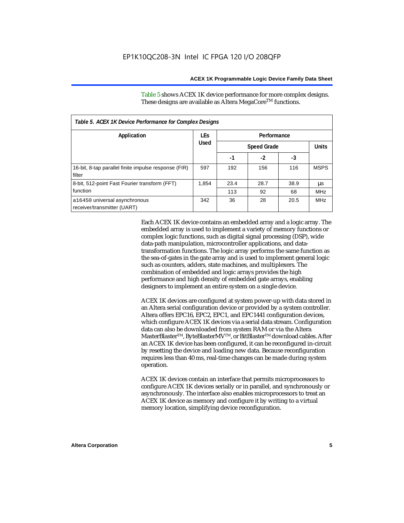Table 5 shows ACEX 1K device performance for more complex designs. These designs are available as Altera MegaCore<sup>TM</sup> functions.

| Table 5. ACEX 1K Device Performance for Complex Designs        |            |             |                    |      |             |  |
|----------------------------------------------------------------|------------|-------------|--------------------|------|-------------|--|
| Application                                                    | <b>LEs</b> | Performance |                    |      |             |  |
|                                                                | Used       |             | <b>Speed Grade</b> |      |             |  |
|                                                                |            | -1          | $-2$               | -3   |             |  |
| 16-bit, 8-tap parallel finite impulse response (FIR)<br>filter | 597        | 192         | 156                | 116  | <b>MSPS</b> |  |
| 8-bit, 512-point Fast Fourier transform (FFT)                  | 1.854      | 23.4        | 28.7               | 38.9 | μs          |  |
| function                                                       |            | 113         | 92                 | 68   | <b>MHz</b>  |  |
| a16450 universal asynchronous<br>receiver/transmitter (UART)   | 342        | 36          | 28                 | 20.5 | <b>MHz</b>  |  |

Each ACEX 1K device contains an embedded array and a logic array. The embedded array is used to implement a variety of memory functions or complex logic functions, such as digital signal processing (DSP), wide data-path manipulation, microcontroller applications, and datatransformation functions. The logic array performs the same function as the sea-of-gates in the gate array and is used to implement general logic such as counters, adders, state machines, and multiplexers. The combination of embedded and logic arrays provides the high performance and high density of embedded gate arrays, enabling designers to implement an entire system on a single device.

ACEX 1K devices are configured at system power-up with data stored in an Altera serial configuration device or provided by a system controller. Altera offers EPC16, EPC2, EPC1, and EPC1441 configuration devices, which configure ACEX 1K devices via a serial data stream. Configuration data can also be downloaded from system RAM or via the Altera MasterBlaster™, ByteBlasterMV™, or BitBlaster™ download cables. After an ACEX 1K device has been configured, it can be reconfigured in-circuit by resetting the device and loading new data. Because reconfiguration requires less than 40 ms, real-time changes can be made during system operation.

ACEX 1K devices contain an interface that permits microprocessors to configure ACEX 1K devices serially or in parallel, and synchronously or asynchronously. The interface also enables microprocessors to treat an ACEX 1K device as memory and configure it by writing to a virtual memory location, simplifying device reconfiguration.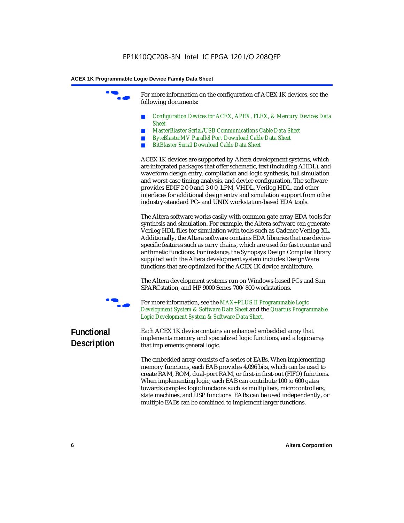For more information on the configuration of ACEX 1K devices, see the following documents:

- *Configuration Devices for ACEX, APEX, FLEX, & Mercury Devices Data Sheet*
- *MasterBlaster Serial/USB Communications Cable Data Sheet*
- *ByteBlasterMV Parallel Port Download Cable Data Sheet*
- *BitBlaster Serial Download Cable Data Sheet*

ACEX 1K devices are supported by Altera development systems, which are integrated packages that offer schematic, text (including AHDL), and waveform design entry, compilation and logic synthesis, full simulation and worst-case timing analysis, and device configuration. The software provides EDIF 2 0 0 and 3 0 0, LPM, VHDL, Verilog HDL, and other interfaces for additional design entry and simulation support from other industry-standard PC- and UNIX workstation-based EDA tools.

The Altera software works easily with common gate array EDA tools for synthesis and simulation. For example, the Altera software can generate Verilog HDL files for simulation with tools such as Cadence Verilog-XL. Additionally, the Altera software contains EDA libraries that use devicespecific features such as carry chains, which are used for fast counter and arithmetic functions. For instance, the Synopsys Design Compiler library supplied with the Altera development system includes DesignWare functions that are optimized for the ACEX 1K device architecture.

The Altera development systems run on Windows-based PCs and Sun SPARCstation, and HP 9000 Series 700/800 workstations.



For more information, see the *MAX+PLUS II Programmable Logic Development System & Software Data Sheet* and the *Quartus Programmable Logic Development System & Software Data Sheet*.

### **Functional Description**

Each ACEX 1K device contains an enhanced embedded array that implements memory and specialized logic functions, and a logic array that implements general logic.

The embedded array consists of a series of EABs. When implementing memory functions, each EAB provides 4,096 bits, which can be used to create RAM, ROM, dual-port RAM, or first-in first-out (FIFO) functions. When implementing logic, each EAB can contribute 100 to 600 gates towards complex logic functions such as multipliers, microcontrollers, state machines, and DSP functions. EABs can be used independently, or multiple EABs can be combined to implement larger functions.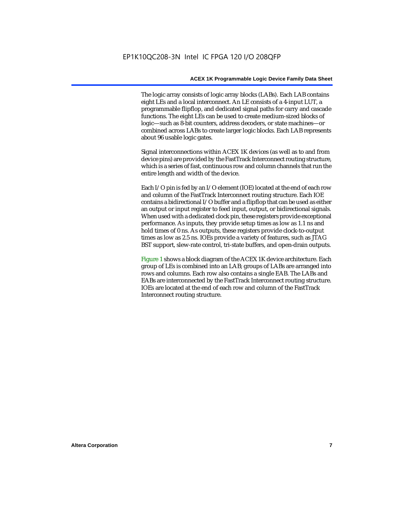The logic array consists of logic array blocks (LABs). Each LAB contains eight LEs and a local interconnect. An LE consists of a 4-input LUT, a programmable flipflop, and dedicated signal paths for carry and cascade functions. The eight LEs can be used to create medium-sized blocks of logic—such as 8-bit counters, address decoders, or state machines—or combined across LABs to create larger logic blocks. Each LAB represents about 96 usable logic gates.

Signal interconnections within ACEX 1K devices (as well as to and from device pins) are provided by the FastTrack Interconnect routing structure, which is a series of fast, continuous row and column channels that run the entire length and width of the device.

Each I/O pin is fed by an I/O element (IOE) located at the end of each row and column of the FastTrack Interconnect routing structure. Each IOE contains a bidirectional I/O buffer and a flipflop that can be used as either an output or input register to feed input, output, or bidirectional signals. When used with a dedicated clock pin, these registers provide exceptional performance. As inputs, they provide setup times as low as 1.1 ns and hold times of 0 ns. As outputs, these registers provide clock-to-output times as low as 2.5 ns. IOEs provide a variety of features, such as JTAG BST support, slew-rate control, tri-state buffers, and open-drain outputs.

Figure 1 shows a block diagram of the ACEX 1K device architecture. Each group of LEs is combined into an LAB; groups of LABs are arranged into rows and columns. Each row also contains a single EAB. The LABs and EABs are interconnected by the FastTrack Interconnect routing structure. IOEs are located at the end of each row and column of the FastTrack Interconnect routing structure.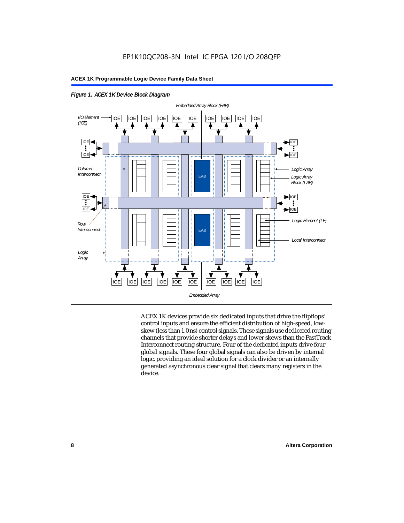



ACEX 1K devices provide six dedicated inputs that drive the flipflops' control inputs and ensure the efficient distribution of high-speed, lowskew (less than 1.0 ns) control signals. These signals use dedicated routing channels that provide shorter delays and lower skews than the FastTrack Interconnect routing structure. Four of the dedicated inputs drive four global signals. These four global signals can also be driven by internal logic, providing an ideal solution for a clock divider or an internally generated asynchronous clear signal that clears many registers in the device.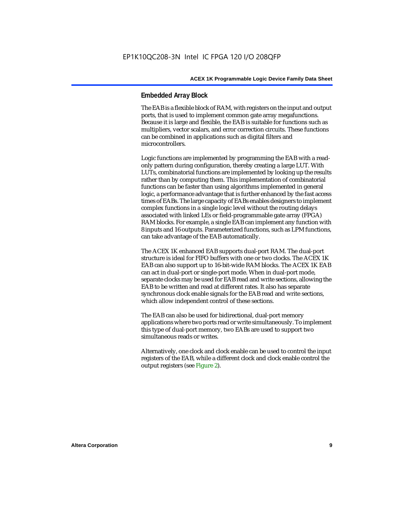### **Embedded Array Block**

The EAB is a flexible block of RAM, with registers on the input and output ports, that is used to implement common gate array megafunctions. Because it is large and flexible, the EAB is suitable for functions such as multipliers, vector scalars, and error correction circuits. These functions can be combined in applications such as digital filters and microcontrollers.

Logic functions are implemented by programming the EAB with a readonly pattern during configuration, thereby creating a large LUT. With LUTs, combinatorial functions are implemented by looking up the results rather than by computing them. This implementation of combinatorial functions can be faster than using algorithms implemented in general logic, a performance advantage that is further enhanced by the fast access times of EABs. The large capacity of EABs enables designers to implement complex functions in a single logic level without the routing delays associated with linked LEs or field-programmable gate array (FPGA) RAM blocks. For example, a single EAB can implement any function with 8 inputs and 16 outputs. Parameterized functions, such as LPM functions, can take advantage of the EAB automatically.

The ACEX 1K enhanced EAB supports dual-port RAM. The dual-port structure is ideal for FIFO buffers with one or two clocks. The ACEX 1K EAB can also support up to 16-bit-wide RAM blocks. The ACEX 1K EAB can act in dual-port or single-port mode. When in dual-port mode, separate clocks may be used for EAB read and write sections, allowing the EAB to be written and read at different rates. It also has separate synchronous clock enable signals for the EAB read and write sections, which allow independent control of these sections.

The EAB can also be used for bidirectional, dual-port memory applications where two ports read or write simultaneously. To implement this type of dual-port memory, two EABs are used to support two simultaneous reads or writes.

Alternatively, one clock and clock enable can be used to control the input registers of the EAB, while a different clock and clock enable control the output registers (see Figure 2).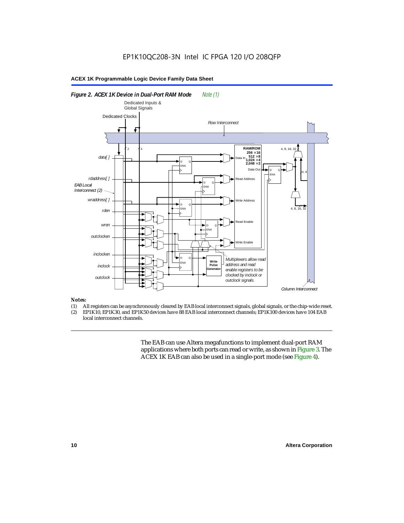

#### *Notes:*

- (1) All registers can be asynchronously cleared by EAB local interconnect signals, global signals, or the chip-wide reset.<br>(2) EP1K10. EP1K30. and EP1K50 devices have 88 EAB local interconnect channels: EP1K100 devices hav
- EP1K10, EP1K30, and EP1K50 devices have 88 EAB local interconnect channels; EP1K100 devices have 104 EAB local interconnect channels.

The EAB can use Altera megafunctions to implement dual-port RAM applications where both ports can read or write, as shown in Figure 3. The ACEX 1K EAB can also be used in a single-port mode (see Figure 4).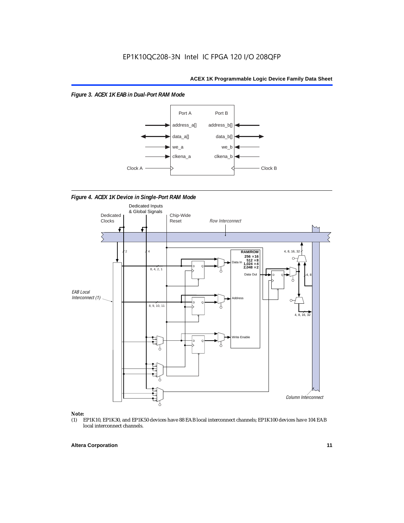*Figure 3. ACEX 1K EAB in Dual-Port RAM Mode*



*Figure 4. ACEX 1K Device in Single-Port RAM Mode* 



## *Note:*<br>(1) **H**

EP1K10, EP1K30, and EP1K50 devices have 88 EAB local interconnect channels; EP1K100 devices have 104 EAB local interconnect channels.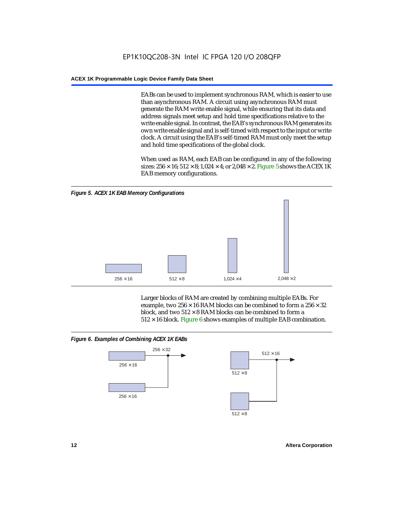EABs can be used to implement synchronous RAM, which is easier to use than asynchronous RAM. A circuit using asynchronous RAM must generate the RAM write enable signal, while ensuring that its data and address signals meet setup and hold time specifications relative to the write enable signal. In contrast, the EAB's synchronous RAM generates its own write enable signal and is self-timed with respect to the input or write clock. A circuit using the EAB's self-timed RAM must only meet the setup and hold time specifications of the global clock.

When used as RAM, each EAB can be configured in any of the following sizes:  $256 \times 16$ ;  $512 \times 8$ ;  $1,024 \times 4$ ; or  $2,048 \times 2$ . Figure 5 shows the ACEX 1K EAB memory configurations.



Larger blocks of RAM are created by combining multiple EABs. For example, two  $256 \times 16$  RAM blocks can be combined to form a  $256 \times 32$ block, and two  $512 \times 8$  RAM blocks can be combined to form a  $512 \times 16$  block. Figure 6 shows examples of multiple EAB combination.

### *Figure 6. Examples of Combining ACEX 1K EABs*



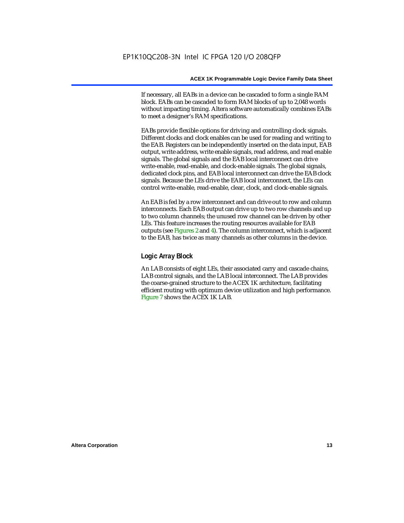If necessary, all EABs in a device can be cascaded to form a single RAM block. EABs can be cascaded to form RAM blocks of up to 2,048 words without impacting timing. Altera software automatically combines EABs to meet a designer's RAM specifications.

EABs provide flexible options for driving and controlling clock signals. Different clocks and clock enables can be used for reading and writing to the EAB. Registers can be independently inserted on the data input, EAB output, write address, write enable signals, read address, and read enable signals. The global signals and the EAB local interconnect can drive write-enable, read-enable, and clock-enable signals. The global signals, dedicated clock pins, and EAB local interconnect can drive the EAB clock signals. Because the LEs drive the EAB local interconnect, the LEs can control write-enable, read-enable, clear, clock, and clock-enable signals.

An EAB is fed by a row interconnect and can drive out to row and column interconnects. Each EAB output can drive up to two row channels and up to two column channels; the unused row channel can be driven by other LEs. This feature increases the routing resources available for EAB outputs (see Figures 2 and 4). The column interconnect, which is adjacent to the EAB, has twice as many channels as other columns in the device.

### **Logic Array Block**

An LAB consists of eight LEs, their associated carry and cascade chains, LAB control signals, and the LAB local interconnect. The LAB provides the coarse-grained structure to the ACEX 1K architecture, facilitating efficient routing with optimum device utilization and high performance. Figure 7 shows the ACEX 1K LAB.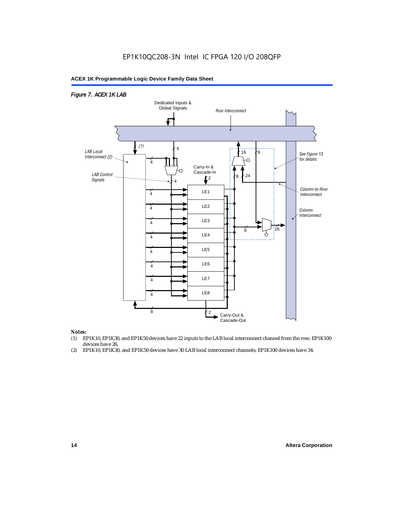### EP1K10QC208-3N Intel IC FPGA 120 I/O 208QFP

### **ACEX 1K Programmable Logic Device Family Data Sheet**



#### *Notes:*

- (1) EP1K10, EP1K30, and EP1K50 devices have 22 inputs to the LAB local interconnect channel from the row; EP1K100 devices have 26.
- (2) EP1K10, EP1K30, and EP1K50 devices have 30 LAB local interconnect channels; EP1K100 devices have 34.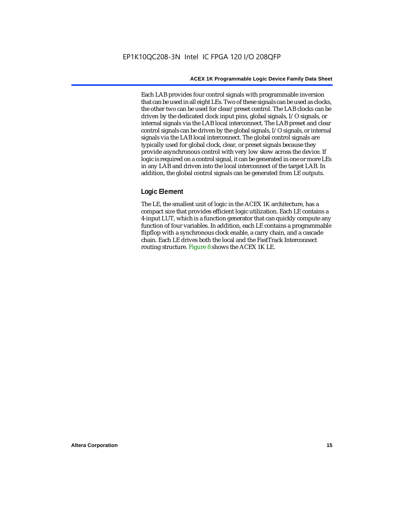Each LAB provides four control signals with programmable inversion that can be used in all eight LEs. Two of these signals can be used as clocks, the other two can be used for clear/preset control. The LAB clocks can be driven by the dedicated clock input pins, global signals, I/O signals, or internal signals via the LAB local interconnect. The LAB preset and clear control signals can be driven by the global signals, I/O signals, or internal signals via the LAB local interconnect. The global control signals are typically used for global clock, clear, or preset signals because they provide asynchronous control with very low skew across the device. If logic is required on a control signal, it can be generated in one or more LEs in any LAB and driven into the local interconnect of the target LAB. In addition, the global control signals can be generated from LE outputs.

### **Logic Element**

The LE, the smallest unit of logic in the ACEX 1K architecture, has a compact size that provides efficient logic utilization. Each LE contains a 4-input LUT, which is a function generator that can quickly compute any function of four variables. In addition, each LE contains a programmable flipflop with a synchronous clock enable, a carry chain, and a cascade chain. Each LE drives both the local and the FastTrack Interconnect routing structure. Figure 8 shows the ACEX 1K LE.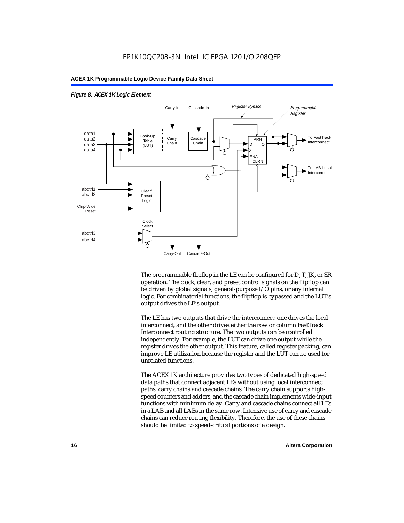

### *Figure 8. ACEX 1K Logic Element*

The programmable flipflop in the LE can be configured for D, T, JK, or SR operation. The clock, clear, and preset control signals on the flipflop can be driven by global signals, general-purpose I/O pins, or any internal logic. For combinatorial functions, the flipflop is bypassed and the LUT's output drives the LE's output.

The LE has two outputs that drive the interconnect: one drives the local interconnect, and the other drives either the row or column FastTrack Interconnect routing structure. The two outputs can be controlled independently. For example, the LUT can drive one output while the register drives the other output. This feature, called register packing, can improve LE utilization because the register and the LUT can be used for unrelated functions.

The ACEX 1K architecture provides two types of dedicated high-speed data paths that connect adjacent LEs without using local interconnect paths: carry chains and cascade chains. The carry chain supports highspeed counters and adders, and the cascade chain implements wide-input functions with minimum delay. Carry and cascade chains connect all LEs in a LAB and all LABs in the same row. Intensive use of carry and cascade chains can reduce routing flexibility. Therefore, the use of these chains should be limited to speed-critical portions of a design.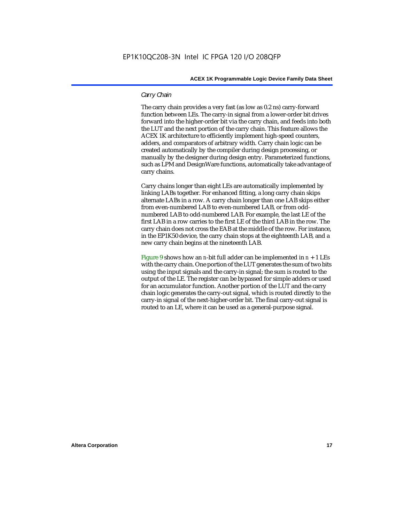### *Carry Chain*

The carry chain provides a very fast (as low as 0.2 ns) carry-forward function between LEs. The carry-in signal from a lower-order bit drives forward into the higher-order bit via the carry chain, and feeds into both the LUT and the next portion of the carry chain. This feature allows the ACEX 1K architecture to efficiently implement high-speed counters, adders, and comparators of arbitrary width. Carry chain logic can be created automatically by the compiler during design processing, or manually by the designer during design entry. Parameterized functions, such as LPM and DesignWare functions, automatically take advantage of carry chains.

Carry chains longer than eight LEs are automatically implemented by linking LABs together. For enhanced fitting, a long carry chain skips alternate LABs in a row. A carry chain longer than one LAB skips either from even-numbered LAB to even-numbered LAB, or from oddnumbered LAB to odd-numbered LAB. For example, the last LE of the first LAB in a row carries to the first LE of the third LAB in the row. The carry chain does not cross the EAB at the middle of the row. For instance, in the EP1K50 device, the carry chain stops at the eighteenth LAB, and a new carry chain begins at the nineteenth LAB.

Figure 9 shows how an *n*-bit full adder can be implemented in  $n + 1$  LEs with the carry chain. One portion of the LUT generates the sum of two bits using the input signals and the carry-in signal; the sum is routed to the output of the LE. The register can be bypassed for simple adders or used for an accumulator function. Another portion of the LUT and the carry chain logic generates the carry-out signal, which is routed directly to the carry-in signal of the next-higher-order bit. The final carry-out signal is routed to an LE, where it can be used as a general-purpose signal.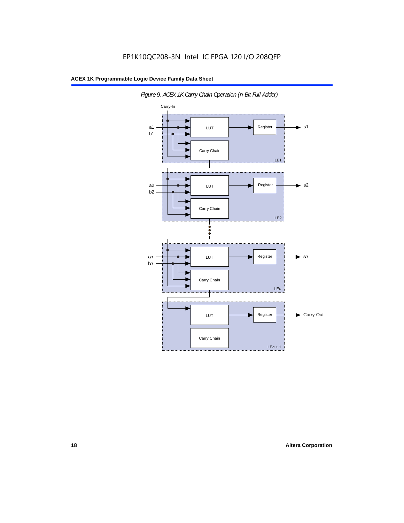

*Figure 9. ACEX 1K Carry Chain Operation (n-Bit Full Adder)*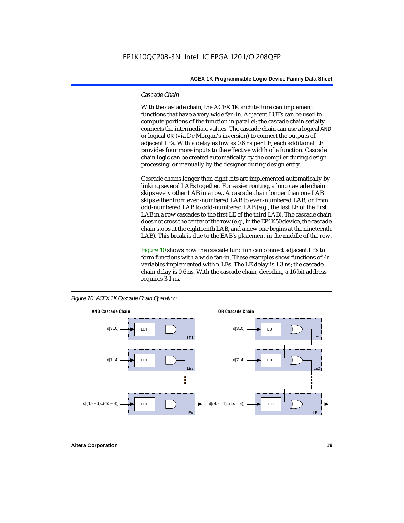### *Cascade Chain*

With the cascade chain, the ACEX 1K architecture can implement functions that have a very wide fan-in. Adjacent LUTs can be used to compute portions of the function in parallel; the cascade chain serially connects the intermediate values. The cascade chain can use a logical AND or logical OR (via De Morgan's inversion) to connect the outputs of adjacent LEs. With a delay as low as 0.6 ns per LE, each additional LE provides four more inputs to the effective width of a function. Cascade chain logic can be created automatically by the compiler during design processing, or manually by the designer during design entry.

Cascade chains longer than eight bits are implemented automatically by linking several LABs together. For easier routing, a long cascade chain skips every other LAB in a row. A cascade chain longer than one LAB skips either from even-numbered LAB to even-numbered LAB, or from odd-numbered LAB to odd-numbered LAB (e.g., the last LE of the first LAB in a row cascades to the first LE of the third LAB). The cascade chain does not cross the center of the row (e.g., in the EP1K50 device, the cascade chain stops at the eighteenth LAB, and a new one begins at the nineteenth LAB). This break is due to the EAB's placement in the middle of the row.

Figure 10 shows how the cascade function can connect adjacent LEs to form functions with a wide fan-in. These examples show functions of 4*n* variables implemented with *n* LEs. The LE delay is 1.3 ns; the cascade chain delay is 0.6 ns. With the cascade chain, decoding a 16-bit address requires 3.1 ns.



*Figure 10. ACEX 1K Cascade Chain Operation*

**Altera Corporation 19**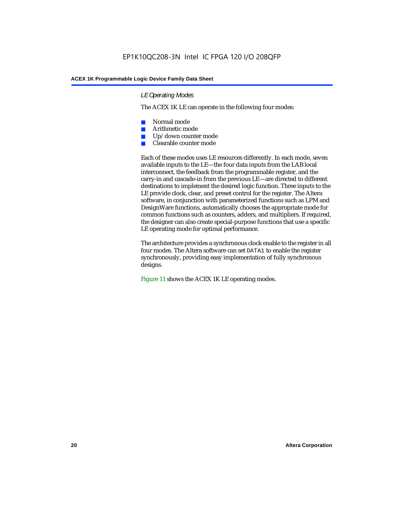### *LE Operating Modes*

The ACEX 1K LE can operate in the following four modes:

- Normal mode
- Arithmetic mode
- Up/down counter mode
- Clearable counter mode

Each of these modes uses LE resources differently. In each mode, seven available inputs to the LE—the four data inputs from the LAB local interconnect, the feedback from the programmable register, and the carry-in and cascade-in from the previous LE—are directed to different destinations to implement the desired logic function. Three inputs to the LE provide clock, clear, and preset control for the register. The Altera software, in conjunction with parameterized functions such as LPM and DesignWare functions, automatically chooses the appropriate mode for common functions such as counters, adders, and multipliers. If required, the designer can also create special-purpose functions that use a specific LE operating mode for optimal performance.

The architecture provides a synchronous clock enable to the register in all four modes. The Altera software can set DATA1 to enable the register synchronously, providing easy implementation of fully synchronous designs.

Figure 11 shows the ACEX 1K LE operating modes.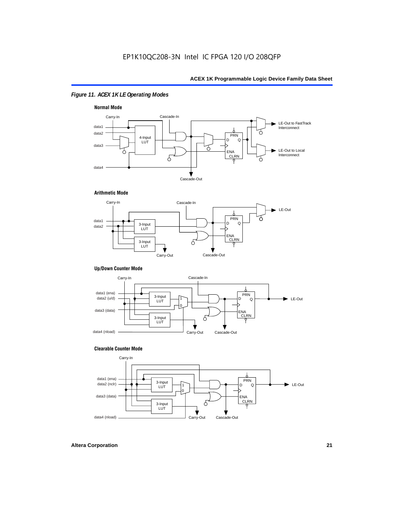### *Figure 11. ACEX 1K LE Operating Modes*



### **Arithmetic Mode**



### **Up/Down Counter Mode**



### **Clearable Counter Mode**

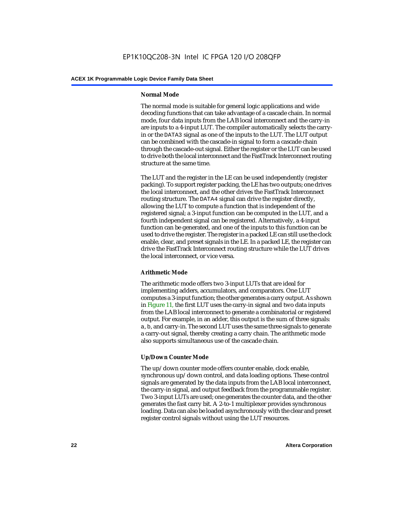### **Normal Mode**

The normal mode is suitable for general logic applications and wide decoding functions that can take advantage of a cascade chain. In normal mode, four data inputs from the LAB local interconnect and the carry-in are inputs to a 4-input LUT. The compiler automatically selects the carryin or the DATA3 signal as one of the inputs to the LUT. The LUT output can be combined with the cascade-in signal to form a cascade chain through the cascade-out signal. Either the register or the LUT can be used to drive both the local interconnect and the FastTrack Interconnect routing structure at the same time.

The LUT and the register in the LE can be used independently (register packing). To support register packing, the LE has two outputs; one drives the local interconnect, and the other drives the FastTrack Interconnect routing structure. The DATA4 signal can drive the register directly, allowing the LUT to compute a function that is independent of the registered signal; a 3-input function can be computed in the LUT, and a fourth independent signal can be registered. Alternatively, a 4-input function can be generated, and one of the inputs to this function can be used to drive the register. The register in a packed LE can still use the clock enable, clear, and preset signals in the LE. In a packed LE, the register can drive the FastTrack Interconnect routing structure while the LUT drives the local interconnect, or vice versa.

### **Arithmetic Mode**

The arithmetic mode offers two 3-input LUTs that are ideal for implementing adders, accumulators, and comparators. One LUT computes a 3-input function; the other generates a carry output. As shown in Figure 11, the first LUT uses the carry-in signal and two data inputs from the LAB local interconnect to generate a combinatorial or registered output. For example, in an adder, this output is the sum of three signals: a, b, and carry-in. The second LUT uses the same three signals to generate a carry-out signal, thereby creating a carry chain. The arithmetic mode also supports simultaneous use of the cascade chain.

### **Up/Down Counter Mode**

The up/down counter mode offers counter enable, clock enable, synchronous up/down control, and data loading options. These control signals are generated by the data inputs from the LAB local interconnect, the carry-in signal, and output feedback from the programmable register. Two 3-input LUTs are used; one generates the counter data, and the other generates the fast carry bit. A 2-to-1 multiplexer provides synchronous loading. Data can also be loaded asynchronously with the clear and preset register control signals without using the LUT resources.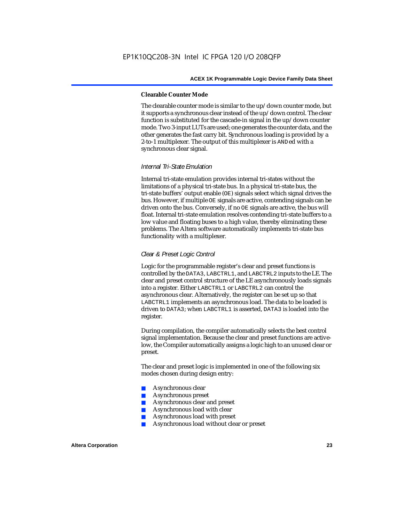### **Clearable Counter Mode**

The clearable counter mode is similar to the up/down counter mode, but it supports a synchronous clear instead of the up/down control. The clear function is substituted for the cascade-in signal in the up/down counter mode. Two 3-input LUTs are used; one generates the counter data, and the other generates the fast carry bit. Synchronous loading is provided by a 2-to-1 multiplexer. The output of this multiplexer is ANDed with a synchronous clear signal.

### *Internal Tri-State Emulation*

Internal tri-state emulation provides internal tri-states without the limitations of a physical tri-state bus. In a physical tri-state bus, the tri-state buffers' output enable (OE) signals select which signal drives the bus. However, if multiple OE signals are active, contending signals can be driven onto the bus. Conversely, if no OE signals are active, the bus will float. Internal tri-state emulation resolves contending tri-state buffers to a low value and floating buses to a high value, thereby eliminating these problems. The Altera software automatically implements tri-state bus functionality with a multiplexer.

### *Clear & Preset Logic Control*

Logic for the programmable register's clear and preset functions is controlled by the DATA3, LABCTRL1, and LABCTRL2 inputs to the LE. The clear and preset control structure of the LE asynchronously loads signals into a register. Either LABCTRL1 or LABCTRL2 can control the asynchronous clear. Alternatively, the register can be set up so that LABCTRL1 implements an asynchronous load. The data to be loaded is driven to DATA3; when LABCTRL1 is asserted, DATA3 is loaded into the register.

During compilation, the compiler automatically selects the best control signal implementation. Because the clear and preset functions are activelow, the Compiler automatically assigns a logic high to an unused clear or preset.

The clear and preset logic is implemented in one of the following six modes chosen during design entry:

- Asynchronous clear
- Asynchronous preset
- Asynchronous clear and preset
- Asynchronous load with clear
- Asynchronous load with preset
- Asynchronous load without clear or preset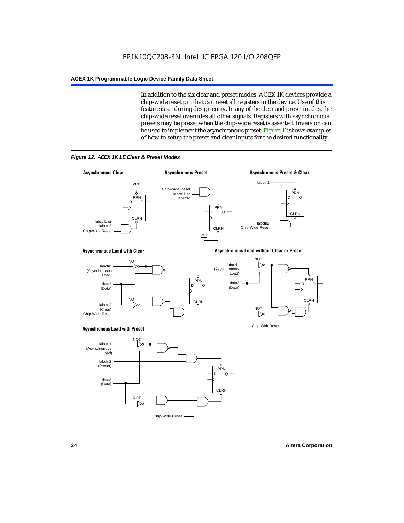In addition to the six clear and preset modes, ACEX 1K devices provide a chip-wide reset pin that can reset all registers in the device. Use of this feature is set during design entry. In any of the clear and preset modes, the chip-wide reset overrides all other signals. Registers with asynchronous presets may be preset when the chip-wide reset is asserted. Inversion can be used to implement the asynchronous preset. Figure 12 shows examples of how to setup the preset and clear inputs for the desired functionality.



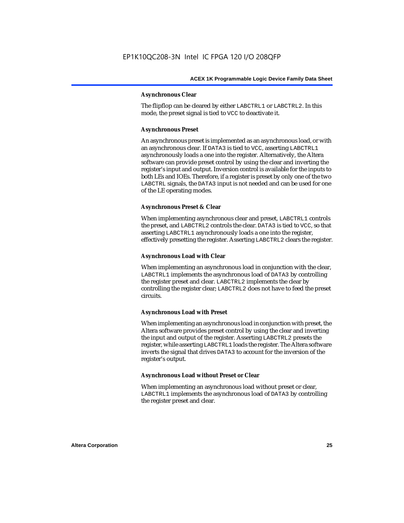### **Asynchronous Clear**

The flipflop can be cleared by either LABCTRL1 or LABCTRL2. In this mode, the preset signal is tied to VCC to deactivate it.

### **Asynchronous Preset**

An asynchronous preset is implemented as an asynchronous load, or with an asynchronous clear. If DATA3 is tied to VCC, asserting LABCTRL1 asynchronously loads a one into the register. Alternatively, the Altera software can provide preset control by using the clear and inverting the register's input and output. Inversion control is available for the inputs to both LEs and IOEs. Therefore, if a register is preset by only one of the two LABCTRL signals, the DATA3 input is not needed and can be used for one of the LE operating modes.

### **Asynchronous Preset & Clear**

When implementing asynchronous clear and preset, LABCTRL1 controls the preset, and LABCTRL2 controls the clear. DATA3 is tied to VCC, so that asserting LABCTRL1 asynchronously loads a one into the register, effectively presetting the register. Asserting LABCTRL2 clears the register.

### **Asynchronous Load with Clear**

When implementing an asynchronous load in conjunction with the clear, LABCTRL1 implements the asynchronous load of DATA3 by controlling the register preset and clear. LABCTRL2 implements the clear by controlling the register clear; LABCTRL2 does not have to feed the preset circuits.

### **Asynchronous Load with Preset**

When implementing an asynchronous load in conjunction with preset, the Altera software provides preset control by using the clear and inverting the input and output of the register. Asserting LABCTRL2 presets the register, while asserting LABCTRL1 loads the register. The Altera software inverts the signal that drives DATA3 to account for the inversion of the register's output.

### **Asynchronous Load without Preset or Clear**

When implementing an asynchronous load without preset or clear, LABCTRL1 implements the asynchronous load of DATA3 by controlling the register preset and clear.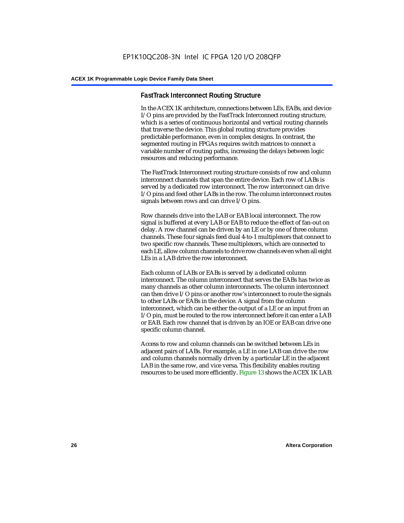### **FastTrack Interconnect Routing Structure**

In the ACEX 1K architecture, connections between LEs, EABs, and device I/O pins are provided by the FastTrack Interconnect routing structure, which is a series of continuous horizontal and vertical routing channels that traverse the device. This global routing structure provides predictable performance, even in complex designs. In contrast, the segmented routing in FPGAs requires switch matrices to connect a variable number of routing paths, increasing the delays between logic resources and reducing performance.

The FastTrack Interconnect routing structure consists of row and column interconnect channels that span the entire device. Each row of LABs is served by a dedicated row interconnect. The row interconnect can drive I/O pins and feed other LABs in the row. The column interconnect routes signals between rows and can drive I/O pins.

Row channels drive into the LAB or EAB local interconnect. The row signal is buffered at every LAB or EAB to reduce the effect of fan-out on delay. A row channel can be driven by an LE or by one of three column channels. These four signals feed dual 4-to-1 multiplexers that connect to two specific row channels. These multiplexers, which are connected to each LE, allow column channels to drive row channels even when all eight LEs in a LAB drive the row interconnect.

Each column of LABs or EABs is served by a dedicated column interconnect. The column interconnect that serves the EABs has twice as many channels as other column interconnects. The column interconnect can then drive I/O pins or another row's interconnect to route the signals to other LABs or EABs in the device. A signal from the column interconnect, which can be either the output of a LE or an input from an I/O pin, must be routed to the row interconnect before it can enter a LAB or EAB. Each row channel that is driven by an IOE or EAB can drive one specific column channel.

Access to row and column channels can be switched between LEs in adjacent pairs of LABs. For example, a LE in one LAB can drive the row and column channels normally driven by a particular LE in the adjacent LAB in the same row, and vice versa. This flexibility enables routing resources to be used more efficiently. Figure 13 shows the ACEX 1K LAB.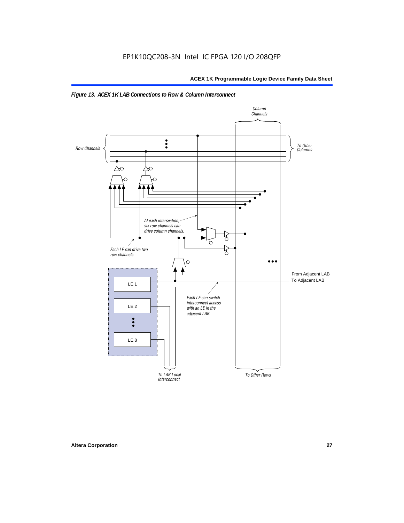

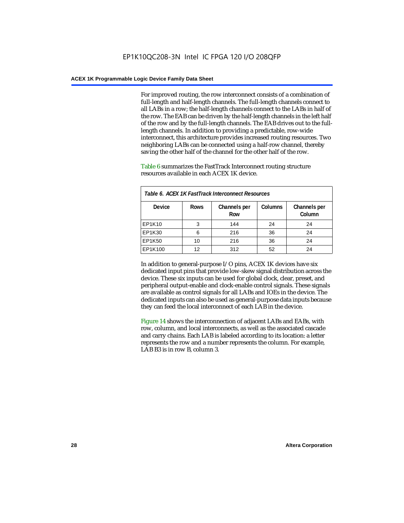For improved routing, the row interconnect consists of a combination of full-length and half-length channels. The full-length channels connect to all LABs in a row; the half-length channels connect to the LABs in half of the row. The EAB can be driven by the half-length channels in the left half of the row and by the full-length channels. The EAB drives out to the fulllength channels. In addition to providing a predictable, row-wide interconnect, this architecture provides increased routing resources. Two neighboring LABs can be connected using a half-row channel, thereby saving the other half of the channel for the other half of the row.

Table 6 summarizes the FastTrack Interconnect routing structure resources available in each ACEX 1K device.

| Table 6. ACEX 1K FastTrack Interconnect Resources |             |                     |                |                        |  |
|---------------------------------------------------|-------------|---------------------|----------------|------------------------|--|
| <b>Device</b>                                     | <b>Rows</b> | Channels per<br>Row | <b>Columns</b> | Channels per<br>Column |  |
| EP1K10                                            | 3           | 144                 | 24             | 24                     |  |
| EP1K30                                            | 6           | 216                 | 36             | 24                     |  |
| EP1K50                                            | 10          | 216                 | 36             | 24                     |  |
| EP1K100                                           | 12          | 312                 | 52             | 24                     |  |

In addition to general-purpose I/O pins, ACEX 1K devices have six dedicated input pins that provide low-skew signal distribution across the device. These six inputs can be used for global clock, clear, preset, and peripheral output-enable and clock-enable control signals. These signals are available as control signals for all LABs and IOEs in the device. The dedicated inputs can also be used as general-purpose data inputs because they can feed the local interconnect of each LAB in the device.

Figure 14 shows the interconnection of adjacent LABs and EABs, with row, column, and local interconnects, as well as the associated cascade and carry chains. Each LAB is labeled according to its location: a letter represents the row and a number represents the column. For example, LAB B3 is in row B, column 3.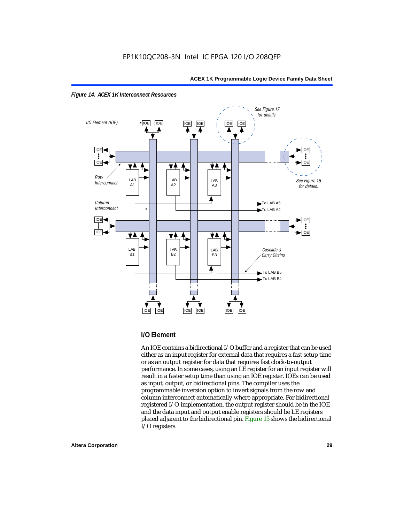



### **I/O Element**

An IOE contains a bidirectional I/O buffer and a register that can be used either as an input register for external data that requires a fast setup time or as an output register for data that requires fast clock-to-output performance. In some cases, using an LE register for an input register will result in a faster setup time than using an IOE register. IOEs can be used as input, output, or bidirectional pins. The compiler uses the programmable inversion option to invert signals from the row and column interconnect automatically where appropriate. For bidirectional registered I/O implementation, the output register should be in the IOE and the data input and output enable registers should be LE registers placed adjacent to the bidirectional pin. Figure 15 shows the bidirectional I/O registers.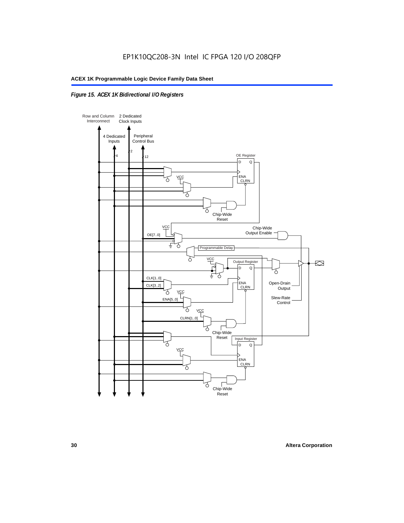### *Figure 15. ACEX 1K Bidirectional I/O Registers*

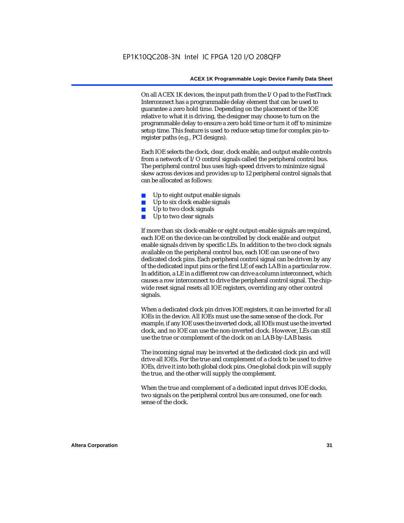On all ACEX 1K devices, the input path from the I/O pad to the FastTrack Interconnect has a programmable delay element that can be used to guarantee a zero hold time. Depending on the placement of the IOE relative to what it is driving, the designer may choose to turn on the programmable delay to ensure a zero hold time or turn it off to minimize setup time. This feature is used to reduce setup time for complex pin-toregister paths (e.g., PCI designs).

Each IOE selects the clock, clear, clock enable, and output enable controls from a network of I/O control signals called the peripheral control bus. The peripheral control bus uses high-speed drivers to minimize signal skew across devices and provides up to 12 peripheral control signals that can be allocated as follows:

- Up to eight output enable signals
- Up to six clock enable signals
- Up to two clock signals
- Up to two clear signals

If more than six clock-enable or eight output-enable signals are required, each IOE on the device can be controlled by clock enable and output enable signals driven by specific LEs. In addition to the two clock signals available on the peripheral control bus, each IOE can use one of two dedicated clock pins. Each peripheral control signal can be driven by any of the dedicated input pins or the first LE of each LAB in a particular row. In addition, a LE in a different row can drive a column interconnect, which causes a row interconnect to drive the peripheral control signal. The chipwide reset signal resets all IOE registers, overriding any other control signals.

When a dedicated clock pin drives IOE registers, it can be inverted for all IOEs in the device. All IOEs must use the same sense of the clock. For example, if any IOE uses the inverted clock, all IOEs must use the inverted clock, and no IOE can use the non-inverted clock. However, LEs can still use the true or complement of the clock on an LAB-by-LAB basis.

The incoming signal may be inverted at the dedicated clock pin and will drive all IOEs. For the true and complement of a clock to be used to drive IOEs, drive it into both global clock pins. One global clock pin will supply the true, and the other will supply the complement.

When the true and complement of a dedicated input drives IOE clocks, two signals on the peripheral control bus are consumed, one for each sense of the clock.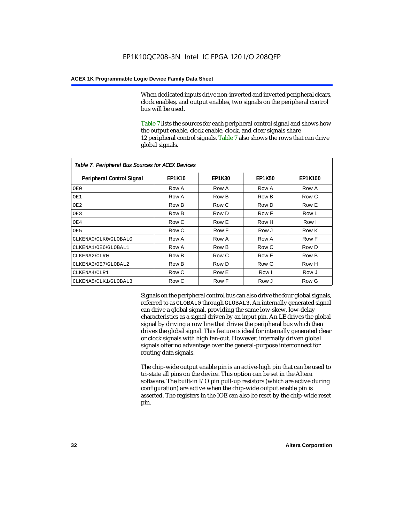When dedicated inputs drive non-inverted and inverted peripheral clears, clock enables, and output enables, two signals on the peripheral control bus will be used.

Table 7 lists the sources for each peripheral control signal and shows how the output enable, clock enable, clock, and clear signals share 12 peripheral control signals. Table 7 also shows the rows that can drive global signals.

| Table 7. Peripheral Bus Sources for ACEX Devices |               |               |               |                |  |  |  |
|--------------------------------------------------|---------------|---------------|---------------|----------------|--|--|--|
| Peripheral Control Signal                        | <b>EP1K10</b> | <b>EP1K30</b> | <b>EP1K50</b> | <b>EP1K100</b> |  |  |  |
| OE0                                              | Row A         | Row A         | Row A         | Row A          |  |  |  |
| OE1                                              | Row A         | Row B         | Row B         | Row C          |  |  |  |
| OE <sub>2</sub>                                  | Row B         | Row C         | Row D         | Row E          |  |  |  |
| OE3                                              | Row B         | Row D         | Row F         | Row L          |  |  |  |
| OE4                                              | Row C         | Row E         | Row H         | Row I          |  |  |  |
| OE5                                              | Row C         | Row F         | Row J         | Row K          |  |  |  |
| CLKENA0/CLK0/GLOBAL0                             | Row A         | Row A         | Row A         | Row F          |  |  |  |
| CLKENA1/OE6/GLOBAL1                              | Row A         | Row B         | Row C         | Row D          |  |  |  |
| CLKENA2/CLR0                                     | Row B         | Row C         | Row E         | Row B          |  |  |  |
| CLKENA3/OE7/GLOBAL2                              | Row B         | Row D         | Row G         | Row H          |  |  |  |
| CLKENA4/CLR1                                     | Row C         | Row E         | Row I         | Row J          |  |  |  |
| CLKENA5/CLK1/GLOBAL3                             | Row C         | Row F         | Row J         | Row G          |  |  |  |

Signals on the peripheral control bus can also drive the four global signals, referred to as GLOBAL0 through GLOBAL3. An internally generated signal can drive a global signal, providing the same low-skew, low-delay characteristics as a signal driven by an input pin. An LE drives the global signal by driving a row line that drives the peripheral bus which then drives the global signal. This feature is ideal for internally generated clear or clock signals with high fan-out. However, internally driven global signals offer no advantage over the general-purpose interconnect for routing data signals.

The chip-wide output enable pin is an active-high pin that can be used to tri-state all pins on the device. This option can be set in the Altera software. The built-in I/O pin pull-up resistors (which are active during configuration) are active when the chip-wide output enable pin is asserted. The registers in the IOE can also be reset by the chip-wide reset pin.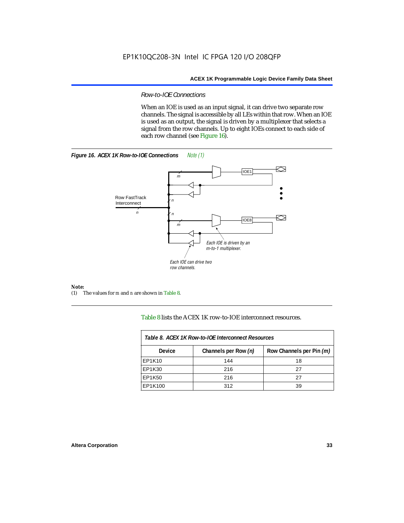### *Row-to-IOE Connections*

When an IOE is used as an input signal, it can drive two separate row channels. The signal is accessible by all LEs within that row. When an IOE is used as an output, the signal is driven by a multiplexer that selects a signal from the row channels. Up to eight IOEs connect to each side of each row channel (see Figure 16).





*Note:*<br>(1) 7 (1) The values for *m* and *n* are shown in Table 8.

Table 8 lists the ACEX 1K row-to-IOE interconnect resources.

| Table 8. ACEX 1K Row-to-IOE Interconnect Resources |                      |                          |  |  |
|----------------------------------------------------|----------------------|--------------------------|--|--|
| <b>Device</b>                                      | Channels per Row (n) | Row Channels per Pin (m) |  |  |
| EP1K10                                             | 144                  | 18                       |  |  |
| EP1K30                                             | 216                  | 27                       |  |  |
| EP1K50                                             | 216                  | 27                       |  |  |
| EP1K100                                            | 312                  | 39                       |  |  |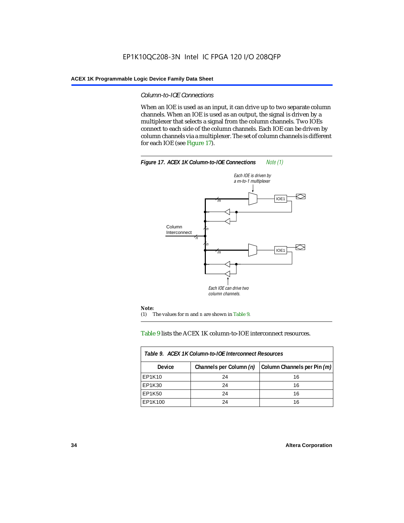### *Column-to-IOE Connections*

When an IOE is used as an input, it can drive up to two separate column channels. When an IOE is used as an output, the signal is driven by a multiplexer that selects a signal from the column channels. Two IOEs connect to each side of the column channels. Each IOE can be driven by column channels via a multiplexer. The set of column channels is different for each IOE (see Figure 17).



### Table 9 lists the ACEX 1K column-to-IOE interconnect resources.

| Table 9. ACEX 1K Column-to-IOE Interconnect Resources |                         |                             |  |  |  |
|-------------------------------------------------------|-------------------------|-----------------------------|--|--|--|
| Device                                                | Channels per Column (n) | Column Channels per Pin (m) |  |  |  |
| EP1K10                                                | 24                      | 16                          |  |  |  |
| EP1K30                                                | 24                      | 16                          |  |  |  |
| EP1K50                                                | 24                      | 16                          |  |  |  |
| EP1K100                                               | 24                      | 16                          |  |  |  |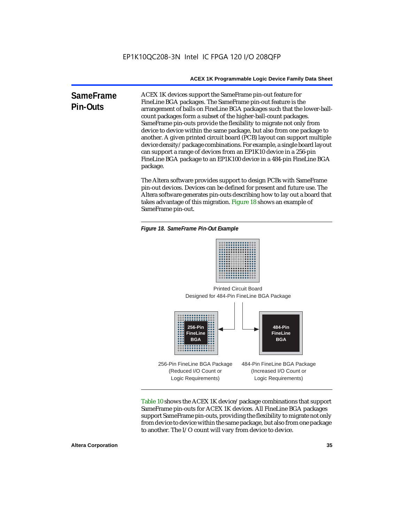**SameFrame Pin-Outs** ACEX 1K devices support the SameFrame pin-out feature for FineLine BGA packages. The SameFrame pin-out feature is the arrangement of balls on FineLine BGA packages such that the lower-ballcount packages form a subset of the higher-ball-count packages. SameFrame pin-outs provide the flexibility to migrate not only from device to device within the same package, but also from one package to another. A given printed circuit board (PCB) layout can support multiple device density/package combinations. For example, a single board layout can support a range of devices from an EP1K10 device in a 256-pin FineLine BGA package to an EP1K100 device in a 484-pin FineLine BGA package.

> The Altera software provides support to design PCBs with SameFrame pin-out devices. Devices can be defined for present and future use. The Altera software generates pin-outs describing how to lay out a board that takes advantage of this migration. Figure 18 shows an example of SameFrame pin-out.

*Figure 18. SameFrame Pin-Out Example*



Designed for 484-Pin FineLine BGA Package Printed Circuit Board



Table 10 shows the ACEX 1K device/package combinations that support SameFrame pin-outs for ACEX 1K devices. All FineLine BGA packages support SameFrame pin-outs, providing the flexibility to migrate not only from device to device within the same package, but also from one package to another. The I/O count will vary from device to device.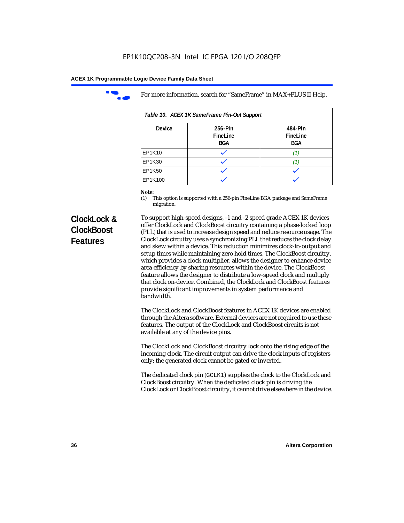

For more information, search for "SameFrame" in MAX+PLUS II Help.

| Table 10. ACEX 1K SameFrame Pin-Out Support |                                   |                            |  |  |  |
|---------------------------------------------|-----------------------------------|----------------------------|--|--|--|
| <b>Device</b>                               | 256-Pin<br>FineLine<br><b>BGA</b> | 484-Pin<br>FineLine<br>BGA |  |  |  |
| EP1K10                                      |                                   | (1)                        |  |  |  |
| EP1K30                                      |                                   |                            |  |  |  |
| EP1K50                                      |                                   |                            |  |  |  |
| EP1K100                                     |                                   |                            |  |  |  |

# *Note:*<br>(1) **7**

This option is supported with a 256-pin FineLine BGA package and SameFrame migration.

# **ClockLock & ClockBoost Features**

To support high-speed designs, -1 and -2 speed grade ACEX 1K devices offer ClockLock and ClockBoost circuitry containing a phase-locked loop (PLL) that is used to increase design speed and reduce resource usage. The ClockLock circuitry uses a synchronizing PLL that reduces the clock delay and skew within a device. This reduction minimizes clock-to-output and setup times while maintaining zero hold times. The ClockBoost circuitry, which provides a clock multiplier, allows the designer to enhance device area efficiency by sharing resources within the device. The ClockBoost feature allows the designer to distribute a low-speed clock and multiply that clock on-device. Combined, the ClockLock and ClockBoost features provide significant improvements in system performance and bandwidth.

The ClockLock and ClockBoost features in ACEX 1K devices are enabled through the Altera software. External devices are not required to use these features. The output of the ClockLock and ClockBoost circuits is not available at any of the device pins.

The ClockLock and ClockBoost circuitry lock onto the rising edge of the incoming clock. The circuit output can drive the clock inputs of registers only; the generated clock cannot be gated or inverted.

The dedicated clock pin (GCLK1) supplies the clock to the ClockLock and ClockBoost circuitry. When the dedicated clock pin is driving the ClockLock or ClockBoost circuitry, it cannot drive elsewhere in the device.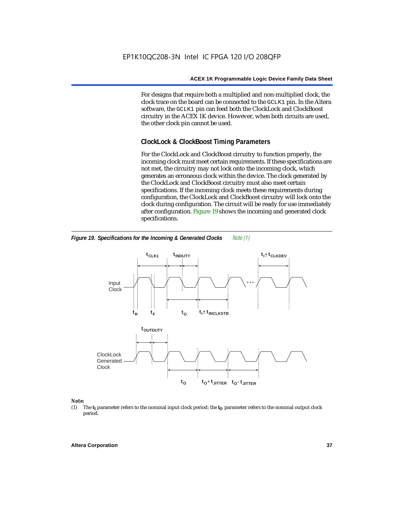For designs that require both a multiplied and non-multiplied clock, the clock trace on the board can be connected to the GCLK1 pin. In the Altera software, the GCLK1 pin can feed both the ClockLock and ClockBoost circuitry in the ACEX 1K device. However, when both circuits are used, the other clock pin cannot be used.

# **ClockLock & ClockBoost Timing Parameters**

For the ClockLock and ClockBoost circuitry to function properly, the incoming clock must meet certain requirements. If these specifications are not met, the circuitry may not lock onto the incoming clock, which generates an erroneous clock within the device. The clock generated by the ClockLock and ClockBoost circuitry must also meet certain specifications. If the incoming clock meets these requirements during configuration, the ClockLock and ClockBoost circuitry will lock onto the clock during configuration. The circuit will be ready for use immediately after configuration. Figure 19 shows the incoming and generated clock specifications.



*Figure 19. Specifications for the Incoming & Generated Clocks Note (1)*

#### *Note:*

(1) The  $t_I$  parameter refers to the nominal input clock period; the  $t_O$  parameter refers to the nominal output clock period.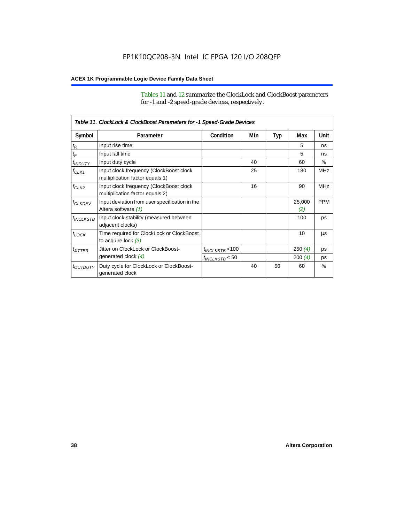Tables 11 and 12 summarize the ClockLock and ClockBoost parameters for -1 and -2 speed-grade devices, respectively.

|                       | Table 11. ClockLock & ClockBoost Parameters for -1 Speed-Grade Devices     |                      |     |     |               |               |
|-----------------------|----------------------------------------------------------------------------|----------------------|-----|-----|---------------|---------------|
| Symbol                | Parameter                                                                  | Condition            | Min | Typ | Max           | Unit          |
| $t_{\mathsf{R}}$      | Input rise time                                                            |                      |     |     | 5             | ns            |
| $t_{\mathsf{F}}$      | Input fall time                                                            |                      |     |     | 5             | ns            |
| $t_{INDUTY}$          | Input duty cycle                                                           |                      | 40  |     | 60            | $\frac{0}{0}$ |
| $f_{CLK1}$            | Input clock frequency (ClockBoost clock<br>multiplication factor equals 1) |                      | 25  |     | 180           | <b>MHz</b>    |
| $f_{CLK2}$            | Input clock frequency (ClockBoost clock<br>multiplication factor equals 2) |                      | 16  |     | 90            | <b>MHz</b>    |
| <b><i>fCLKDEV</i></b> | Input deviation from user specification in the<br>Altera software (1)      |                      |     |     | 25,000<br>(2) | <b>PPM</b>    |
| <sup>t</sup> INCLKSTB | Input clock stability (measured between<br>adjacent clocks)                |                      |     |     | 100           | ps            |
| $t_{LOCK}$            | Time required for ClockLock or ClockBoost<br>to acquire lock $(3)$         |                      |     |     | 10            | μs            |
| $t_{JITTER}$          | Jitter on ClockLock or ClockBoost-                                         | $t_{INCLKSTB}$ < 100 |     |     | 250(4)        | ps            |
|                       | generated clock (4)                                                        | $t_{INCLKSTB}$ < 50  |     |     | 200(4)        | ps            |
| <i>toutputy</i>       | Duty cycle for ClockLock or ClockBoost-<br>generated clock                 |                      | 40  | 50  | 60            | $\frac{0}{0}$ |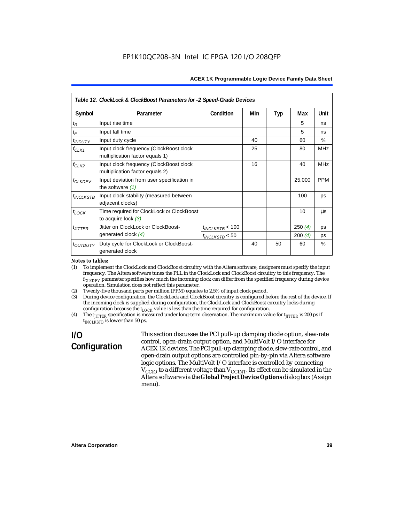|                           | Table 12. ClockLock & ClockBoost Parameters for -2 Speed-Grade Devices     |                      |     |            |        |               |
|---------------------------|----------------------------------------------------------------------------|----------------------|-----|------------|--------|---------------|
| Symbol                    | Parameter                                                                  | Condition            | Min | <b>Typ</b> | Max    | Unit          |
| $t_{\mathsf{R}}$          | Input rise time                                                            |                      |     |            | 5      | ns            |
| $t_{\mathsf{F}}$          | Input fall time                                                            |                      |     |            | 5      | ns            |
| <i>t<sub>INDUTY</sub></i> | Input duty cycle                                                           |                      | 40  |            | 60     | $\frac{0}{0}$ |
| $f_{CLK1}$                | Input clock frequency (ClockBoost clock<br>multiplication factor equals 1) |                      | 25  |            | 80     | <b>MHz</b>    |
| $f_{CLK2}$                | Input clock frequency (ClockBoost clock<br>multiplication factor equals 2) |                      | 16  |            | 40     | <b>MHz</b>    |
| <b>f<sub>CLKDEV</sub></b> | Input deviation from user specification in<br>the software $(1)$           |                      |     |            | 25,000 | <b>PPM</b>    |
| $t_{INCLKSTB}$            | Input clock stability (measured between<br>adjacent clocks)                |                      |     |            | 100    | ps            |
| $t_{LOCK}$                | Time required for ClockLock or ClockBoost<br>to acquire lock $(3)$         |                      |     |            | 10     | us            |
| $t_{JITTER}$              | Jitter on ClockLock or ClockBoost-                                         | $t_{INCLKSTB}$ < 100 |     |            | 250(4) | <b>DS</b>     |
|                           | generated clock $(4)$                                                      | $t_{INCLKSTB}$ < 50  |     |            | 200(4) | ps            |
| <i>toutputy</i>           | Duty cycle for ClockLock or ClockBoost-<br>generated clock                 |                      | 40  | 50         | 60     | $\%$          |

#### *Notes to tables:*

(1) To implement the ClockLock and ClockBoost circuitry with the Altera software, designers must specify the input frequency. The Altera software tunes the PLL in the ClockLock and ClockBoost circuitry to this frequency. The *fCLKDEV* parameter specifies how much the incoming clock can differ from the specified frequency during device operation. Simulation does not reflect this parameter.

(2) Twenty-five thousand parts per million (PPM) equates to 2.5% of input clock period.

(3) During device configuration, the ClockLock and ClockBoost circuitry is configured before the rest of the device. If the incoming clock is supplied during configuration, the ClockLock and ClockBoost circuitry locks during configuration because the  $t_{LOCK}$  value is less than the time required for configuration.

(4) The  $t_{\text{ITTTER}}$  specification is measured under long-term observation. The maximum value for  $t_{\text{ITTTER}}$  is 200 ps if  $t_{INCIKSTR}$  is lower than 50 ps.

# **I/O Configuration**

This section discusses the PCI pull-up clamping diode option, slew-rate control, open-drain output option, and MultiVolt I/O interface for ACEX 1K devices. The PCI pull-up clamping diode, slew-rate control, and open-drain output options are controlled pin-by-pin via Altera software logic options. The MultiVolt I/O interface is controlled by connecting  $V_{\text{CCIO}}$  to a different voltage than  $V_{\text{CCINT}}$ . Its effect can be simulated in the Altera software via the **Global Project Device Options** dialog box (Assign menu).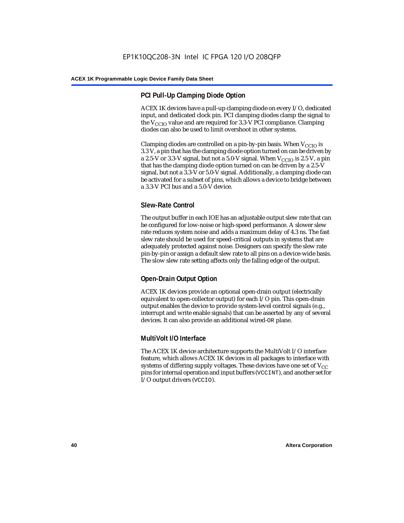# **PCI Pull-Up Clamping Diode Option**

ACEX 1K devices have a pull-up clamping diode on every I/O, dedicated input, and dedicated clock pin. PCI clamping diodes clamp the signal to the  $V_{\text{CCIO}}$  value and are required for 3.3-V PCI compliance. Clamping diodes can also be used to limit overshoot in other systems.

Clamping diodes are controlled on a pin-by-pin basis. When  $V_{CCIO}$  is 3.3 V, a pin that has the clamping diode option turned on can be driven by a 2.5-V or 3.3-V signal, but not a 5.0-V signal. When  $V_{CCIO}$  is 2.5 V, a pin that has the clamping diode option turned on can be driven by a 2.5-V signal, but not a 3.3-V or 5.0-V signal. Additionally, a clamping diode can be activated for a subset of pins, which allows a device to bridge between a 3.3-V PCI bus and a 5.0-V device.

# **Slew-Rate Control**

The output buffer in each IOE has an adjustable output slew rate that can be configured for low-noise or high-speed performance. A slower slew rate reduces system noise and adds a maximum delay of 4.3 ns. The fast slew rate should be used for speed-critical outputs in systems that are adequately protected against noise. Designers can specify the slew rate pin-by-pin or assign a default slew rate to all pins on a device-wide basis. The slow slew rate setting affects only the falling edge of the output.

# **Open-Drain Output Option**

ACEX 1K devices provide an optional open-drain output (electrically equivalent to open-collector output) for each I/O pin. This open-drain output enables the device to provide system-level control signals (e.g., interrupt and write enable signals) that can be asserted by any of several devices. It can also provide an additional wired-OR plane.

# **MultiVolt I/O Interface**

The ACEX 1K device architecture supports the MultiVolt I/O interface feature, which allows ACEX 1K devices in all packages to interface with systems of differing supply voltages. These devices have one set of  $V_{CC}$ pins for internal operation and input buffers (VCCINT), and another set for I/O output drivers (VCCIO).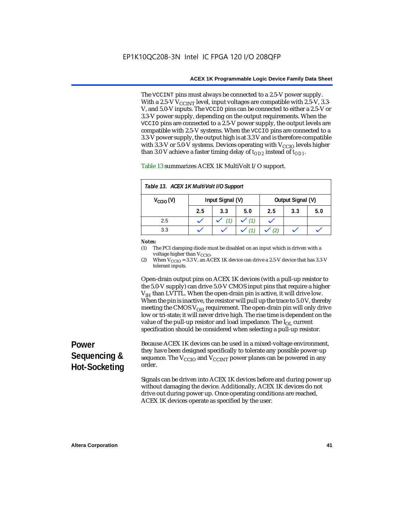The VCCINT pins must always be connected to a 2.5-V power supply. With a 2.5-V  $V_{CCMT}$  level, input voltages are compatible with 2.5-V, 3.3-V, and 5.0-V inputs. The VCCIO pins can be connected to either a 2.5-V or 3.3-V power supply, depending on the output requirements. When the VCCIO pins are connected to a 2.5-V power supply, the output levels are compatible with 2.5-V systems. When the VCCIO pins are connected to a 3.3-V power supply, the output high is at 3.3 V and is therefore compatible with 3.3-V or 5.0-V systems. Devices operating with  $V_{\text{CCIO}}$  levels higher than 3.0 V achieve a faster timing delay of  $t_{OD2}$  instead of  $t_{OD1}$ .

| Table 13. ACEX 1K MultiVolt I/O Support |                  |     |     |                   |     |     |
|-----------------------------------------|------------------|-----|-----|-------------------|-----|-----|
| $V_{\text{CCIO}}(V)$                    | Input Signal (V) |     |     | Output Signal (V) |     |     |
|                                         | 2.5              | 3.3 | 5.0 | 2.5               | 3.3 | 5.0 |
| 2.5                                     |                  |     | (1) |                   |     |     |
| 3.3                                     |                  |     |     |                   |     |     |

Table 13 summarizes ACEX 1K MultiVolt I/O support.

#### *Notes:*

(1) The PCI clamping diode must be disabled on an input which is driven with a voltage higher than V<sub>CCIO</sub>.

(2) When  $V_{\text{CCIO}} = 3.3$  V, an ACEX 1K device can drive a 2.5-V device that has 3.3-V tolerant inputs.

Open-drain output pins on ACEX 1K devices (with a pull-up resistor to the 5.0-V supply) can drive 5.0-V CMOS input pins that require a higher  $V<sub>IH</sub>$  than LVTTL. When the open-drain pin is active, it will drive low. When the pin is inactive, the resistor will pull up the trace to 5.0 V, thereby meeting the CMOS  $V_{OH}$  requirement. The open-drain pin will only drive low or tri-state; it will never drive high. The rise time is dependent on the value of the pull-up resistor and load impedance. The  $I_{OL}$  current specification should be considered when selecting a pull-up resistor.

# **Power Sequencing & Hot-Socketing**

Because ACEX 1K devices can be used in a mixed-voltage environment, they have been designed specifically to tolerate any possible power-up sequence. The  $V_{\text{CCIO}}$  and  $V_{\text{CCINT}}$  power planes can be powered in any order.

Signals can be driven into ACEX 1K devices before and during power up without damaging the device. Additionally, ACEX 1K devices do not drive out during power up. Once operating conditions are reached, ACEX 1K devices operate as specified by the user.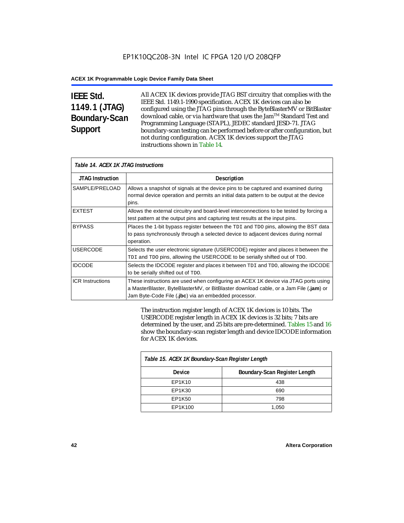# **IEEE Std. 1149.1 (JTAG) Boundary-Scan Support**

All ACEX 1K devices provide JTAG BST circuitry that complies with the IEEE Std. 1149.1-1990 specification. ACEX 1K devices can also be configured using the JTAG pins through the ByteBlasterMV or BitBlaster download cable, or via hardware that uses the Jam™ Standard Test and Programming Language (STAPL), JEDEC standard JESD-71. JTAG boundary-scan testing can be performed before or after configuration, but not during configuration. ACEX 1K devices support the JTAG instructions shown in Table 14.

| Table 14. ACEX 1K JTAG Instructions |                                                                                                                                                                                                                                      |  |  |  |
|-------------------------------------|--------------------------------------------------------------------------------------------------------------------------------------------------------------------------------------------------------------------------------------|--|--|--|
| <b>JTAG Instruction</b>             | <b>Description</b>                                                                                                                                                                                                                   |  |  |  |
| SAMPLE/PRELOAD                      | Allows a snapshot of signals at the device pins to be captured and examined during<br>normal device operation and permits an initial data pattern to be output at the device<br>pins.                                                |  |  |  |
| <b>EXTEST</b>                       | Allows the external circuitry and board-level interconnections to be tested by forcing a<br>test pattern at the output pins and capturing test results at the input pins.                                                            |  |  |  |
| <b>BYPASS</b>                       | Places the 1-bit bypass register between the TDI and TDO pins, allowing the BST data<br>to pass synchronously through a selected device to adjacent devices during normal<br>operation.                                              |  |  |  |
| <b>USERCODE</b>                     | Selects the user electronic signature (USERCODE) register and places it between the<br>TDI and TDO pins, allowing the USERCODE to be serially shifted out of TDO.                                                                    |  |  |  |
| <b>IDCODE</b>                       | Selects the IDCODE register and places it between TDI and TDO, allowing the IDCODE<br>to be serially shifted out of TDO.                                                                                                             |  |  |  |
| <b>ICR Instructions</b>             | These instructions are used when configuring an ACEX 1K device via JTAG ports using<br>a MasterBlaster, ByteBlasterMV, or BitBlaster download cable, or a Jam File (.jam) or<br>Jam Byte-Code File (.jbc) via an embedded processor. |  |  |  |

The instruction register length of ACEX 1K devices is 10 bits. The USERCODE register length in ACEX 1K devices is 32 bits; 7 bits are determined by the user, and 25 bits are pre-determined. Tables 15 and 16 show the boundary-scan register length and device IDCODE information for ACEX 1K devices.

| Table 15. ACEX 1K Boundary-Scan Register Length |                               |  |  |  |
|-------------------------------------------------|-------------------------------|--|--|--|
| Device                                          | Boundary-Scan Register Length |  |  |  |
| EP1K10                                          | 438                           |  |  |  |
| EP1K30                                          | 690                           |  |  |  |
| EP1K50                                          | 798                           |  |  |  |
| EP1K100                                         | 1,050                         |  |  |  |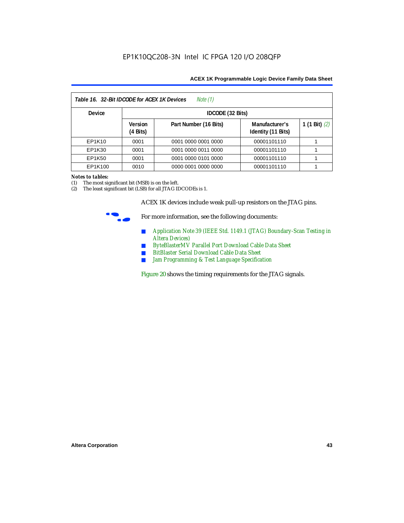| Table 16. 32-Bit IDCODE for ACEX 1K Devices<br>Note (1) |                                      |                       |                                      |                 |  |  |
|---------------------------------------------------------|--------------------------------------|-----------------------|--------------------------------------|-----------------|--|--|
| <b>Device</b>                                           |                                      | IDCODE (32 Bits)      |                                      |                 |  |  |
|                                                         | <b>Version</b><br>$(4 \text{ Bits})$ | Part Number (16 Bits) | Manufacturer's<br>Identity (11 Bits) | 1 (1 Bit) $(2)$ |  |  |
| EP1K10                                                  | 0001                                 | 0001 0000 0001 0000   | 00001101110                          |                 |  |  |
| EP1K30                                                  | 0001                                 | 0001 0000 0011 0000   | 00001101110                          |                 |  |  |
| EP1K50                                                  | 0001                                 | 0001 0000 0101 0000   | 00001101110                          |                 |  |  |
| EP1K100                                                 | 0010                                 | 0000 0001 0000 0000   | 00001101110                          |                 |  |  |

#### *Notes to tables:*

(1) The most significant bit (MSB) is on the left.

(2) The least significant bit (LSB) for all JTAG IDCODEs is 1.

ACEX 1K devices include weak pull-up resistors on the JTAG pins.



For more information, see the following documents:

- *Application Note 39 (IEEE Std. 1149.1 (JTAG) Boundary-Scan Testing in Altera Devices)*
- *ByteBlasterMV Parallel Port Download Cable Data Sheet*
- *BitBlaster Serial Download Cable Data Sheet*
- *Jam Programming & Test Language Specification*

Figure 20 shows the timing requirements for the JTAG signals.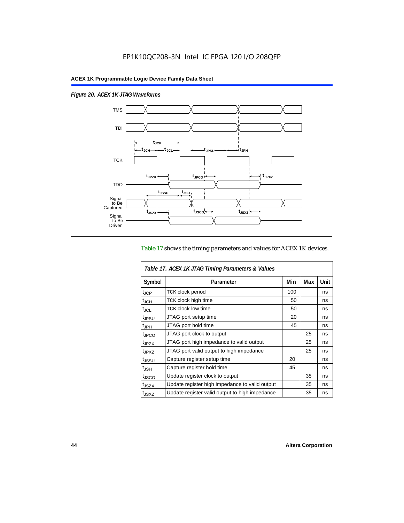$\overline{1}$ 

*Figure 20. ACEX 1K JTAG Waveforms*



## Table 17 shows the timing parameters and values for ACEX 1K devices.

| Table 17. ACEX 1K JTAG Timing Parameters & Values |                                                |     |     |      |  |  |
|---------------------------------------------------|------------------------------------------------|-----|-----|------|--|--|
| Symbol                                            | Parameter                                      | Min | Max | Unit |  |  |
| t <sub>JCP</sub>                                  | <b>TCK clock period</b>                        | 100 |     | ns   |  |  |
| $t_{\text{JCH}}$                                  | TCK clock high time                            | 50  |     | ns   |  |  |
| t <sub>JCL</sub>                                  | <b>TCK clock low time</b>                      | 50  |     | ns   |  |  |
| <sup>t</sup> JPSU                                 | JTAG port setup time                           | 20  |     | ns   |  |  |
| $t_{\rm JPH}$                                     | JTAG port hold time                            | 45  |     | ns   |  |  |
| <sup>t</sup> JPCO                                 | JTAG port clock to output                      |     | 25  | ns   |  |  |
| t <sub>JPZX</sub>                                 | JTAG port high impedance to valid output       |     | 25  | ns   |  |  |
| t <sub>JPXZ</sub>                                 | JTAG port valid output to high impedance       |     | 25  | ns   |  |  |
| tjssu                                             | Capture register setup time                    | 20  |     | ns   |  |  |
| $t_{\mathsf{JSH}}$                                | Capture register hold time                     | 45  |     | ns   |  |  |
| t <sub>JSCO</sub>                                 | Update register clock to output                |     | 35  | ns   |  |  |
| t <sub>JSZX</sub>                                 | Update register high impedance to valid output |     | 35  | ns   |  |  |
| t <sub>JSXZ</sub>                                 | Update register valid output to high impedance |     | 35  | ns   |  |  |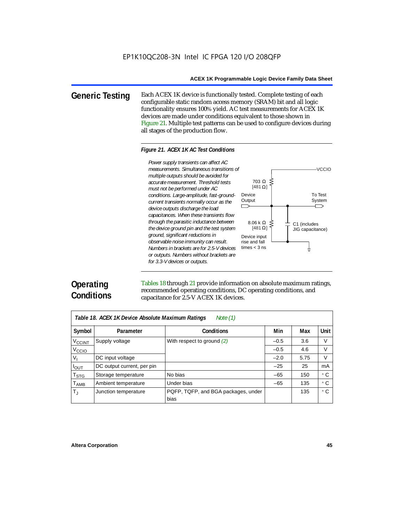**Generic Testing** Each ACEX 1K device is functionally tested. Complete testing of each configurable static random access memory (SRAM) bit and all logic functionality ensures 100% yield. AC test measurements for ACEX 1K devices are made under conditions equivalent to those shown in Figure 21. Multiple test patterns can be used to configure devices during all stages of the production flow.

#### *Figure 21. ACEX 1K AC Test Conditions*



# **Operating Conditions**

Tables 18 through 21 provide information on absolute maximum ratings, recommended operating conditions, DC operating conditions, and capacitance for 2.5-V ACEX 1K devices.

| Note $(1)$<br>Table 18. ACEX 1K Device Absolute Maximum Ratings |                            |                                             |        |      |           |  |  |
|-----------------------------------------------------------------|----------------------------|---------------------------------------------|--------|------|-----------|--|--|
| Symbol                                                          | Parameter                  | Conditions                                  | Min    | Max  | Unit      |  |  |
| <b>V<sub>CCINT</sub></b>                                        | Supply voltage             | With respect to ground $(2)$                | $-0.5$ | 3.6  | V         |  |  |
| V <sub>CCIO</sub>                                               |                            |                                             | $-0.5$ | 4.6  | V         |  |  |
| V,                                                              | DC input voltage           |                                             | $-2.0$ | 5.75 | V         |  |  |
| $I_{OUT}$                                                       | DC output current, per pin |                                             | $-25$  | 25   | mA        |  |  |
| $\mathsf{T}_{\textsf{STG}}$                                     | Storage temperature        | No bias                                     | $-65$  | 150  | ۰c        |  |  |
| $T_{\sf AMB}$                                                   | Ambient temperature        | Under bias                                  | $-65$  | 135  | $\circ$ C |  |  |
| $T_{\rm J}$                                                     | Junction temperature       | PQFP, TQFP, and BGA packages, under<br>bias |        | 135  | ۰c        |  |  |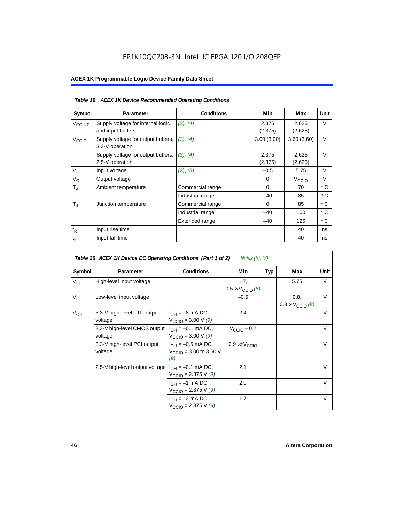# EP1K10QC208-3N Intel IC FPGA 120 I/O 208QFP

|                          | Table 19. ACEX 1K Device Recommended Operating Conditions |                   |                  |                   |             |  |  |  |
|--------------------------|-----------------------------------------------------------|-------------------|------------------|-------------------|-------------|--|--|--|
| Symbol                   | Parameter                                                 | <b>Conditions</b> | Min              | Max               | <b>Unit</b> |  |  |  |
| <b>V<sub>CCINT</sub></b> | Supply voltage for internal logic<br>and input buffers    | (3), (4)          | 2.375<br>(2.375) | 2.625<br>(2.625)  | V           |  |  |  |
| V <sub>CCIO</sub>        | Supply voltage for output buffers,<br>3.3-V operation     | (3), (4)          | 3.00(3.00)       | 3.60(3.60)        | $\vee$      |  |  |  |
|                          | Supply voltage for output buffers,<br>2.5-V operation     | (3), (4)          | 2.375<br>(2.375) | 2.625<br>(2.625)  | $\vee$      |  |  |  |
| $V_{I}$                  | Input voltage                                             | (2), (5)          | $-0.5$           | 5.75              | $\vee$      |  |  |  |
| $V_{\rm O}$              | Output voltage                                            |                   | $\Omega$         | V <sub>ccio</sub> | $\vee$      |  |  |  |
| $T_A$                    | Ambient temperature                                       | Commercial range  | $\Omega$         | 70                | ۰c          |  |  |  |
|                          |                                                           | Industrial range  | $-40$            | 85                | $\circ$ C   |  |  |  |
| $T_{\rm J}$              | Junction temperature                                      | Commercial range  | $\mathbf 0$      | 85                | ° C         |  |  |  |
|                          |                                                           | Industrial range  | $-40$            | 100               | $\circ$ C   |  |  |  |
|                          |                                                           | Extended range    | $-40$            | 125               | $\circ$ C   |  |  |  |
| $t_{R}$                  | Input rise time                                           |                   |                  | 40                | ns          |  |  |  |
| $t_{\mathsf{F}}$         | Input fall time                                           |                   |                  | 40                | ns          |  |  |  |

|                 | Table 20. ACEX 1K Device DC Operating Conditions (Part 1 of 2)<br>Notes (6), (7) |                                                                     |                                           |            |                                          |        |  |  |  |  |
|-----------------|----------------------------------------------------------------------------------|---------------------------------------------------------------------|-------------------------------------------|------------|------------------------------------------|--------|--|--|--|--|
| Symbol          | Parameter                                                                        | <b>Conditions</b>                                                   | Min                                       | <b>Typ</b> | Max                                      | Unit   |  |  |  |  |
| $V_{\text{IH}}$ | High-level input voltage                                                         |                                                                     | 1.7,<br>$0.5 \times V_{\text{CCIO}}(8)$   |            | 5.75                                     | V      |  |  |  |  |
| $V_{IL}$        | Low-level input voltage                                                          |                                                                     | $-0.5$                                    |            | 0.8,<br>$0.3 \times V_{\text{CCIO}}$ (8) | $\vee$ |  |  |  |  |
| $V_{OH}$        | 3.3-V high-level TTL output<br>voltage                                           | $I_{OH} = -8$ mA DC,<br>$V_{\text{CCIO}} = 3.00 \text{ V } (9)$     | 2.4                                       |            |                                          | $\vee$ |  |  |  |  |
|                 | 3.3-V high-level CMOS output<br>voltage                                          | $I_{OH} = -0.1$ mA DC,<br>$V_{\text{CCIO}} = 3.00 \text{ V } (9)$   | $V_{\text{CCIO}} - 0.2$                   |            |                                          | $\vee$ |  |  |  |  |
|                 | 3.3-V high-level PCI output<br>voltage                                           | $I_{OH} = -0.5$ mA DC,<br>$V_{\text{CCIO}} = 3.00$ to 3.60 V<br>(9) | $0.9 \times$ $\uparrow$ $V_{\text{CCIO}}$ |            |                                          | $\vee$ |  |  |  |  |
|                 | 2.5-V high-level output voltage                                                  | $I_{OH} = -0.1$ mA DC,<br>$V_{\text{CCIO}} = 2.375 \text{ V} (9)$   | 2.1                                       |            |                                          | $\vee$ |  |  |  |  |
|                 |                                                                                  | $I_{OH} = -1$ mA DC,<br>$V_{\text{CCIO}} = 2.375 \text{ V} (9)$     | 2.0                                       |            |                                          | $\vee$ |  |  |  |  |
|                 |                                                                                  | $I_{OH} = -2$ mA DC,<br>$V_{\text{CCIO}} = 2.375 \text{ V} (9)$     | 1.7                                       |            |                                          | $\vee$ |  |  |  |  |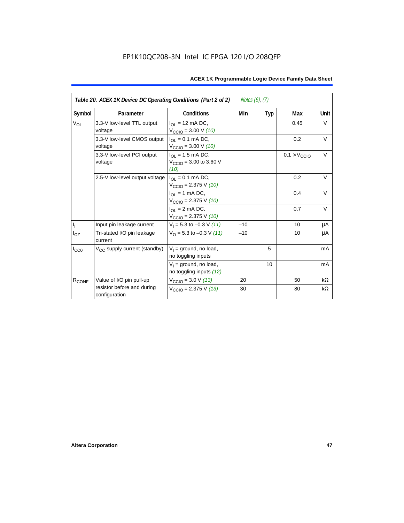| Table 20. ACEX 1K Device DC Operating Conditions (Part 2 of 2)<br><i>Notes <math>(6)</math>, <math>(7)</math></i> |                                             |                                                                                    |       |     |                              |           |  |
|-------------------------------------------------------------------------------------------------------------------|---------------------------------------------|------------------------------------------------------------------------------------|-------|-----|------------------------------|-----------|--|
| Symbol                                                                                                            | Parameter                                   | <b>Conditions</b>                                                                  | Min   | Typ | Max                          | Unit      |  |
| <b>V<sub>OL</sub></b>                                                                                             | 3.3-V low-level TTL output<br>voltage       | $I_{\Omega}$ = 12 mA DC,<br>$V_{\text{CCIO}} = 3.00 \text{ V} (10)$                |       |     | 0.45                         | V         |  |
|                                                                                                                   | 3.3-V low-level CMOS output<br>voltage      | $I_{OL} = 0.1$ mA DC,<br>$V_{\text{CCIO}} = 3.00 \text{ V} (10)$                   |       |     | 0.2                          | $\vee$    |  |
|                                                                                                                   | 3.3-V low-level PCI output<br>voltage       | $I_{\text{OI}} = 1.5 \text{ mA DC},$<br>$V_{\text{CCIO}} = 3.00$ to 3.60 V<br>(10) |       |     | $0.1 \times V_{\text{CCIO}}$ | $\vee$    |  |
|                                                                                                                   | 2.5-V low-level output voltage              | $I_{\Omega I} = 0.1$ mA DC,<br>$V_{\text{CCIO}} = 2.375 \text{ V} (10)$            |       |     | 0.2                          | $\vee$    |  |
|                                                                                                                   |                                             | $I_{OL}$ = 1 mA DC,<br>$V_{\text{CCIO}} = 2.375 \text{ V} (10)$                    |       |     | 0.4                          | $\vee$    |  |
|                                                                                                                   |                                             | $I_{\Omega}$ = 2 mA DC,<br>$V_{\text{CCIO}} = 2.375 \text{ V} (10)$                |       |     | 0.7                          | $\vee$    |  |
| $\mathsf{I}_\mathrm{I}$                                                                                           | Input pin leakage current                   | $V_1 = 5.3$ to $-0.3$ V (11)                                                       | $-10$ |     | 10                           | μA        |  |
| $I_{OZ}$                                                                                                          | Tri-stated I/O pin leakage<br>current       | $V_O$ = 5.3 to -0.3 V (11)                                                         | $-10$ |     | 10                           | μA        |  |
| $I_{CC0}$                                                                                                         | $V_{CC}$ supply current (standby)           | $V_1$ = ground, no load,<br>no toggling inputs                                     |       | 5   |                              | mA        |  |
|                                                                                                                   |                                             | $V_1$ = ground, no load,<br>no toggling inputs (12)                                |       | 10  |                              | mA        |  |
| R <sub>CONF</sub>                                                                                                 | Value of I/O pin pull-up                    | $V_{\text{CCIO}} = 3.0 \text{ V } (13)$                                            | 20    |     | 50                           | $k\Omega$ |  |
|                                                                                                                   | resistor before and during<br>configuration | $V_{\text{CCIO}} = 2.375 \text{ V} (13)$                                           | 30    |     | 80                           | kΩ        |  |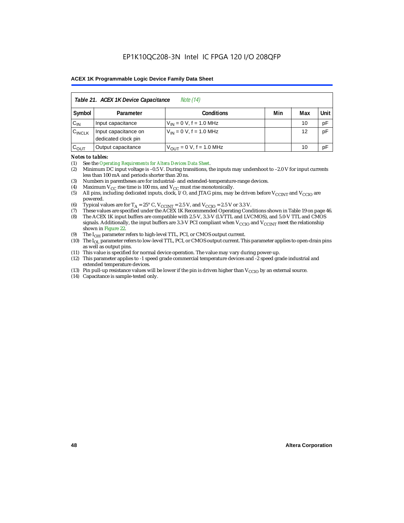| Table 21. ACEX 1K Device Capacitance<br><i>Note</i> (14) |                                                      |                               |  |    |    |  |  |  |
|----------------------------------------------------------|------------------------------------------------------|-------------------------------|--|----|----|--|--|--|
| Symbol                                                   | Min<br>Unit<br><b>Conditions</b><br>Max<br>Parameter |                               |  |    |    |  |  |  |
| $C_{IN}$                                                 | Input capacitance                                    | $V_{IN} = 0 V$ , f = 1.0 MHz  |  | 10 | pF |  |  |  |
| $C_{\text{INCLK}}$                                       | Input capacitance on<br>dedicated clock pin          | $V_{1N} = 0 V$ , f = 1.0 MHz  |  | 12 | pF |  |  |  |
| $C_{OUT}$                                                | Output capacitance                                   | $V_{OUT} = 0 V$ , f = 1.0 MHz |  | 10 | pF |  |  |  |

#### *Notes to tables:*

(1) See the *Operating Requirements for Altera Devices Data Sheet*.

- (2) Minimum DC input voltage is –0.5 V. During transitions, the inputs may undershoot to –2.0 V for input currents less than 100 mA and periods shorter than 20 ns.
- (3) Numbers in parentheses are for industrial- and extended-temperature-range devices.
- (4) Maximum  $V_{CC}$  rise time is 100 ms, and  $V_{CC}$  must rise monotonically.<br>(5) All pins, including dedicated inputs, clock, I/O, and JTAG pins, may
- All pins, including dedicated inputs, clock, I/O, and JTAG pins, may be driven before  $V_{\text{CCINT}}$  and  $V_{\text{CCIO}}$  are powered.
- (6) Typical values are for  $T_A = 25^\circ$  C,  $V_{CClNT} = 2.5$  V, and  $V_{CClO} = 2.5$  V or 3.3 V.<br>(7) These values are specified under the ACEX 1K Recommended Operating Cone
- (7) These values are specified under the ACEX 1K Recommended Operating Conditions shown in Table 19 on page 46.<br>(8) The ACEX 1K input buffers are compatible with 2.5-V. 3.3-V (LVTTL and LVCMOS), and 5.0-V TTL and CMOS
- The ACEX 1K input buffers are compatible with 2.5-V, 3.3-V (LVTTL and LVCMOS), and 5.0-V TTL and CMOS signals. Additionally, the input buffers are 3.3-V PCI compliant when  $V_{CCIO}$  and  $V_{CCINT}$  meet the relationship shown in Figure 22.
- (9) The  $I_{OH}$  parameter refers to high-level TTL, PCI, or CMOS output current.
- (10) The I<sub>OL</sub> parameter refers to low-level TTL, PCI, or CMOS output current. This parameter applies to open-drain pins as well as output pins.
- (11) This value is specified for normal device operation. The value may vary during power-up.
- (12) This parameter applies to -1 speed grade commercial temperature devices and -2 speed grade industrial and extended temperature devices.
- (13) Pin pull-up resistance values will be lower if the pin is driven higher than  $V_{\text{CCIO}}$  by an external source.
- (14) Capacitance is sample-tested only.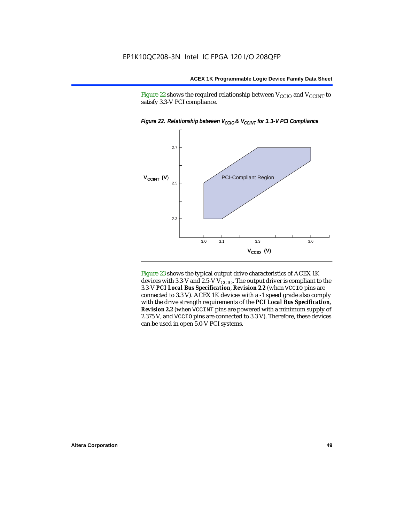Figure 22 shows the required relationship between  $V_{\text{CCIO}}$  and  $V_{\text{CCINT}}$  to satisfy 3.3-V PCI compliance.



Figure 23 shows the typical output drive characteristics of ACEX 1K devices with 3.3-V and 2.5-V  $V_{\text{CCIO}}$ . The output driver is compliant to the 3.3-V *PCI Local Bus Specification*, *Revision 2.2* (when VCCIO pins are connected to 3.3 V). ACEX 1K devices with a -1 speed grade also comply with the drive strength requirements of the *PCI Local Bus Specification*, *Revision 2.2* (when VCCINT pins are powered with a minimum supply of 2.375 V, and VCCIO pins are connected to 3.3 V). Therefore, these devices can be used in open 5.0-V PCI systems.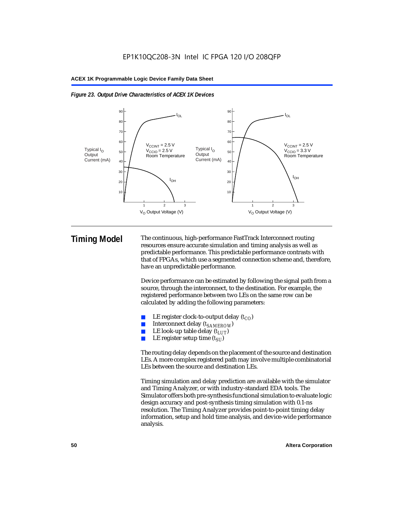



**Timing Model** The continuous, high-performance FastTrack Interconnect routing resources ensure accurate simulation and timing analysis as well as predictable performance. This predictable performance contrasts with that of FPGAs, which use a segmented connection scheme and, therefore, have an unpredictable performance.

> Device performance can be estimated by following the signal path from a source, through the interconnect, to the destination. For example, the registered performance between two LEs on the same row can be calculated by adding the following parameters:

- LE register clock-to-output delay  $(t_{CO})$
- Interconnect delay ( $t_{SAMFROW}$ )
- **■** LE look-up table delay  $(t_{LUT})$ <br>
 LE register setup time  $(t_{SL})$
- LE register setup time  $(t_{SI})$

The routing delay depends on the placement of the source and destination LEs. A more complex registered path may involve multiple combinatorial LEs between the source and destination LEs.

Timing simulation and delay prediction are available with the simulator and Timing Analyzer, or with industry-standard EDA tools. The Simulator offers both pre-synthesis functional simulation to evaluate logic design accuracy and post-synthesis timing simulation with 0.1-ns resolution. The Timing Analyzer provides point-to-point timing delay information, setup and hold time analysis, and device-wide performance analysis.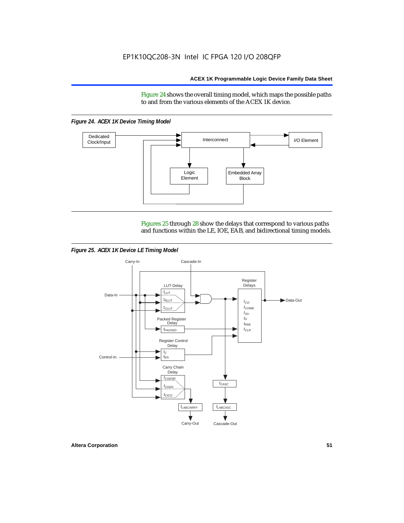Figure 24 shows the overall timing model, which maps the possible paths to and from the various elements of the ACEX 1K device.

*Figure 24. ACEX 1K Device Timing Model*



Figures 25 through 28 show the delays that correspond to various paths and functions within the LE, IOE, EAB, and bidirectional timing models.

*Figure 25. ACEX 1K Device LE Timing Model*

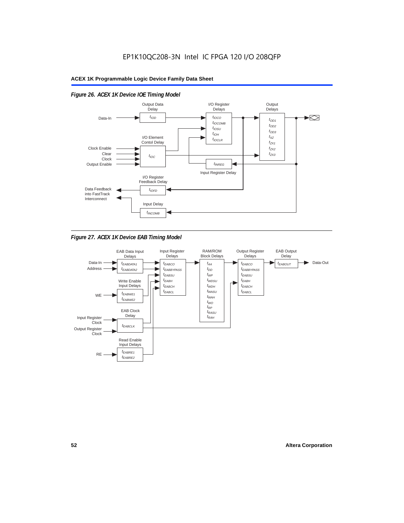

# *Figure 26. ACEX 1K Device IOE Timing Model*



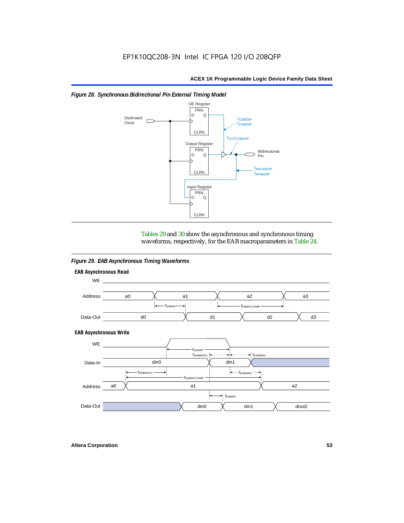

#### *Figure 28. Synchronous Bidirectional Pin External Timing Model*

Tables 29 and 30 show the asynchronous and synchronous timing waveforms, respectively, for the EAB macroparameters in Table 24.

*Figure 29. EAB Asynchronous Timing Waveforms*

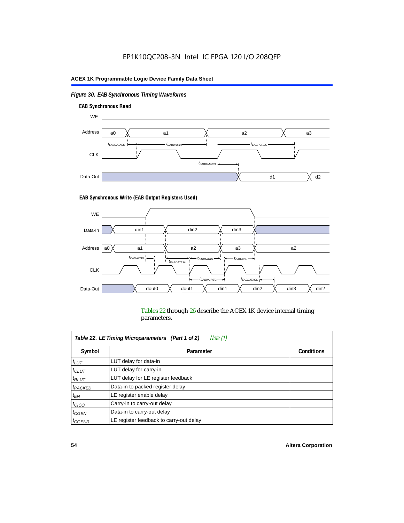# *Figure 30. EAB Synchronous Timing Waveforms*



#### **EAB Synchronous Write (EAB Output Registers Used)**



Tables 22 through 26 describe the ACEX 1K device internal timing parameters.

| Note (1)<br>Table 22. LE Timing Microparameters (Part 1 of 2) |                                         |                   |  |  |  |  |
|---------------------------------------------------------------|-----------------------------------------|-------------------|--|--|--|--|
| Symbol                                                        | Parameter                               | <b>Conditions</b> |  |  |  |  |
| $t_{LUT}$                                                     | LUT delay for data-in                   |                   |  |  |  |  |
| $t_{CLUT}$                                                    | LUT delay for carry-in                  |                   |  |  |  |  |
| $t_{RLUT}$                                                    | LUT delay for LE register feedback      |                   |  |  |  |  |
| <sup>t</sup> PACKED                                           | Data-in to packed register delay        |                   |  |  |  |  |
| $t_{EN}$                                                      | LE register enable delay                |                   |  |  |  |  |
| $t_{CICO}$                                                    | Carry-in to carry-out delay             |                   |  |  |  |  |
| $t_{G\text{E}\text{N}}$                                       | Data-in to carry-out delay              |                   |  |  |  |  |
| ${}^t$ CGENR                                                  | LE register feedback to carry-out delay |                   |  |  |  |  |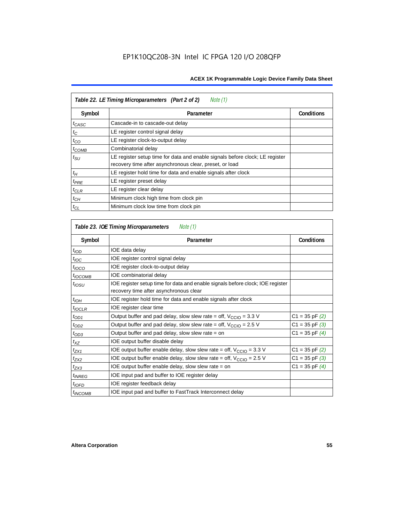| Table 22. LE Timing Microparameters (Part 2 of 2)<br>Note (1) |                                                                                                                                         |                   |  |  |  |  |
|---------------------------------------------------------------|-----------------------------------------------------------------------------------------------------------------------------------------|-------------------|--|--|--|--|
| Symbol                                                        | Parameter                                                                                                                               | <b>Conditions</b> |  |  |  |  |
| t <sub>CASC</sub>                                             | Cascade-in to cascade-out delay                                                                                                         |                   |  |  |  |  |
| $t_C$                                                         | LE register control signal delay                                                                                                        |                   |  |  |  |  |
| $t_{CO}$                                                      | LE register clock-to-output delay                                                                                                       |                   |  |  |  |  |
| $t_{COMB}$                                                    | Combinatorial delay                                                                                                                     |                   |  |  |  |  |
| $t_{\rm SU}$                                                  | LE register setup time for data and enable signals before clock; LE register<br>recovery time after asynchronous clear, preset, or load |                   |  |  |  |  |
| $t_H$                                                         | LE register hold time for data and enable signals after clock                                                                           |                   |  |  |  |  |
| $t_{PRE}$                                                     | LE register preset delay                                                                                                                |                   |  |  |  |  |
| $t_{CLR}$                                                     | LE register clear delay                                                                                                                 |                   |  |  |  |  |
| $t_{CH}$                                                      | Minimum clock high time from clock pin                                                                                                  |                   |  |  |  |  |
| $t_{CL}$                                                      | Minimum clock low time from clock pin                                                                                                   |                   |  |  |  |  |

| Table 23. IOE Timing Microparameters<br>Note (1) |                                                                                                                          |                    |  |  |  |  |
|--------------------------------------------------|--------------------------------------------------------------------------------------------------------------------------|--------------------|--|--|--|--|
| Symbol                                           | Parameter                                                                                                                | <b>Conditions</b>  |  |  |  |  |
| $t_{\textit{IOD}}$                               | IOE data delay                                                                                                           |                    |  |  |  |  |
| $t_{\text{IOC}}$                                 | IOE register control signal delay                                                                                        |                    |  |  |  |  |
| $t_{\text{IOCO}}$                                | IOE register clock-to-output delay                                                                                       |                    |  |  |  |  |
| $t_{IOCOMB}$                                     | IOE combinatorial delay                                                                                                  |                    |  |  |  |  |
| t <sub>iosu</sub>                                | IOE register setup time for data and enable signals before clock; IOE register<br>recovery time after asynchronous clear |                    |  |  |  |  |
| $t_{IOH}$                                        | IOE register hold time for data and enable signals after clock                                                           |                    |  |  |  |  |
| $t_{IOCLR}$                                      | IOE register clear time                                                                                                  |                    |  |  |  |  |
| $t_{OD1}$                                        | Output buffer and pad delay, slow slew rate = off, $V_{\text{CCIO}} = 3.3 \text{ V}$                                     | $C1 = 35$ pF $(2)$ |  |  |  |  |
| $t_{OD2}$                                        | Output buffer and pad delay, slow slew rate = off, $V_{\text{CCIO}} = 2.5$ V                                             | $C1 = 35$ pF $(3)$ |  |  |  |  |
| $t_{OD3}$                                        | Output buffer and pad delay, slow slew rate = on                                                                         | $C1 = 35$ pF $(4)$ |  |  |  |  |
| $t_{XZ}$                                         | IOE output buffer disable delay                                                                                          |                    |  |  |  |  |
| $t_{ZX1}$                                        | IOE output buffer enable delay, slow slew rate = off, $V_{\text{CCIO}} = 3.3$ V                                          | $C1 = 35$ pF $(2)$ |  |  |  |  |
| t <sub>ZX2</sub>                                 | IOE output buffer enable delay, slow slew rate = off, $V_{\text{CCIO}} = 2.5$ V                                          | $C1 = 35$ pF $(3)$ |  |  |  |  |
| $t_{ZX3}$                                        | IOE output buffer enable delay, slow slew rate $=$ on                                                                    | $C1 = 35$ pF $(4)$ |  |  |  |  |
| <i>t<sub>INREG</sub></i>                         | IOE input pad and buffer to IOE register delay                                                                           |                    |  |  |  |  |
| $t_{IOFD}$                                       | IOE register feedback delay                                                                                              |                    |  |  |  |  |
| <sup>t</sup> INCOMB                              | IOE input pad and buffer to FastTrack Interconnect delay                                                                 |                    |  |  |  |  |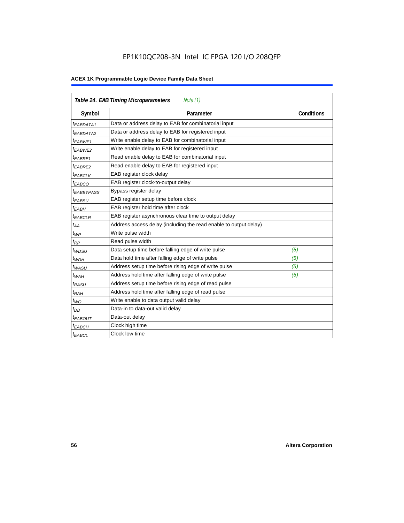# EP1K10QC208-3N Intel IC FPGA 120 I/O 208QFP

| Table 24. EAB Timing Microparameters<br>Note (1) |                                                                  |                   |  |  |  |
|--------------------------------------------------|------------------------------------------------------------------|-------------------|--|--|--|
| Symbol                                           | Parameter                                                        | <b>Conditions</b> |  |  |  |
| $t_{EABDATA1}$                                   | Data or address delay to EAB for combinatorial input             |                   |  |  |  |
| <sup>t</sup> EABDATA2                            | Data or address delay to EAB for registered input                |                   |  |  |  |
| $t_{EABWE1}$                                     | Write enable delay to EAB for combinatorial input                |                   |  |  |  |
| $t_{EABWE2}$                                     | Write enable delay to EAB for registered input                   |                   |  |  |  |
| $t_{EABRE1}$                                     | Read enable delay to EAB for combinatorial input                 |                   |  |  |  |
| t <sub>EABRE2</sub>                              | Read enable delay to EAB for registered input                    |                   |  |  |  |
| $t_{EABCLK}$                                     | EAB register clock delay                                         |                   |  |  |  |
| t <sub>EABCO</sub>                               | EAB register clock-to-output delay                               |                   |  |  |  |
| <sup>t</sup> EABBYPASS                           | Bypass register delay                                            |                   |  |  |  |
| <sup>t</sup> EABSU                               | EAB register setup time before clock                             |                   |  |  |  |
| $t_{EABH}$                                       | EAB register hold time after clock                               |                   |  |  |  |
| $t_{EABCLR}$                                     | EAB register asynchronous clear time to output delay             |                   |  |  |  |
| $t_{AA}$                                         | Address access delay (including the read enable to output delay) |                   |  |  |  |
| $t_{WP}$                                         | Write pulse width                                                |                   |  |  |  |
| $t_{RP}$                                         | Read pulse width                                                 |                   |  |  |  |
| $t_{WDSU}$                                       | Data setup time before falling edge of write pulse               | (5)               |  |  |  |
| $t_{WDH}$                                        | Data hold time after falling edge of write pulse                 | (5)               |  |  |  |
| $t_{WASU}$                                       | Address setup time before rising edge of write pulse             | (5)               |  |  |  |
| $t_{WAH}$                                        | Address hold time after falling edge of write pulse              | (5)               |  |  |  |
| t <sub>RASU</sub>                                | Address setup time before rising edge of read pulse              |                   |  |  |  |
| $t_{RAH}$                                        | Address hold time after falling edge of read pulse               |                   |  |  |  |
| $t_{WO}$                                         | Write enable to data output valid delay                          |                   |  |  |  |
| $t_{DD}$                                         | Data-in to data-out valid delay                                  |                   |  |  |  |
| $t_{EABOUT}$                                     | Data-out delay                                                   |                   |  |  |  |
| <sup>t</sup> ЕАВСН                               | Clock high time                                                  |                   |  |  |  |
| $t_{EABCL}$                                      | Clock low time                                                   |                   |  |  |  |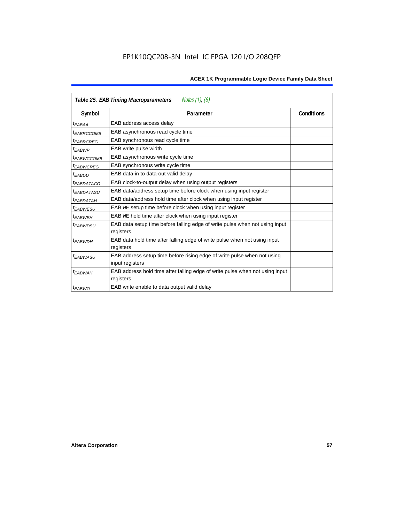| Notes (1), (6)<br>Table 25. EAB Timing Macroparameters |                                                                                           |                   |  |  |  |  |  |
|--------------------------------------------------------|-------------------------------------------------------------------------------------------|-------------------|--|--|--|--|--|
| Symbol                                                 | Parameter                                                                                 | <b>Conditions</b> |  |  |  |  |  |
| t <sub>EABAA</sub>                                     | EAB address access delay                                                                  |                   |  |  |  |  |  |
| <sup>I</sup> EABRCCOMB                                 | EAB asynchronous read cycle time                                                          |                   |  |  |  |  |  |
| <sup>t</sup> EABRCREG                                  | EAB synchronous read cycle time                                                           |                   |  |  |  |  |  |
| t <sub>EABWP</sub>                                     | EAB write pulse width                                                                     |                   |  |  |  |  |  |
| <sup>t</sup> EABWCCOMB                                 | EAB asynchronous write cycle time                                                         |                   |  |  |  |  |  |
| <sup>t</sup> EABWCREG                                  | EAB synchronous write cycle time                                                          |                   |  |  |  |  |  |
| <sup>t</sup> EABDD                                     | EAB data-in to data-out valid delay                                                       |                   |  |  |  |  |  |
| <sup>t</sup> EABDATACO                                 | EAB clock-to-output delay when using output registers                                     |                   |  |  |  |  |  |
| <sup>t</sup> EABDATASU                                 | EAB data/address setup time before clock when using input register                        |                   |  |  |  |  |  |
| <sup>t</sup> EABDATAH                                  | EAB data/address hold time after clock when using input register                          |                   |  |  |  |  |  |
| <sup>t</sup> EABWESU                                   | EAB WE setup time before clock when using input register                                  |                   |  |  |  |  |  |
| t <sub>FARWFH</sub>                                    | EAB WE hold time after clock when using input register                                    |                   |  |  |  |  |  |
| <sup>t</sup> EABWDSU                                   | EAB data setup time before falling edge of write pulse when not using input<br>registers  |                   |  |  |  |  |  |
| <sup>t</sup> EABWDH                                    | EAB data hold time after falling edge of write pulse when not using input                 |                   |  |  |  |  |  |
|                                                        | registers                                                                                 |                   |  |  |  |  |  |
| <i><b>EABWASU</b></i>                                  | EAB address setup time before rising edge of write pulse when not using                   |                   |  |  |  |  |  |
|                                                        | input registers                                                                           |                   |  |  |  |  |  |
| <sup>t</sup> EABWAH                                    | EAB address hold time after falling edge of write pulse when not using input<br>registers |                   |  |  |  |  |  |
| $t_{EABWO}$                                            | EAB write enable to data output valid delay                                               |                   |  |  |  |  |  |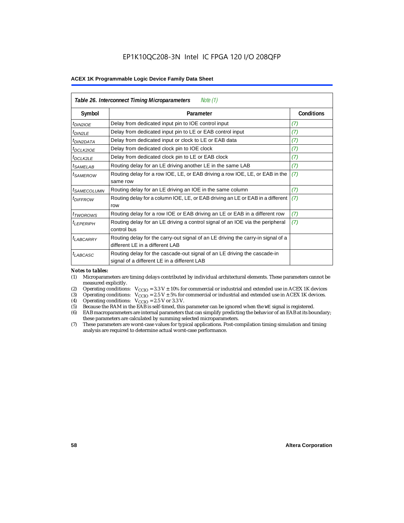| Table 26. Interconnect Timing Microparameters<br>Note $(1)$ |                                                                                                                         |                   |  |  |  |  |
|-------------------------------------------------------------|-------------------------------------------------------------------------------------------------------------------------|-------------------|--|--|--|--|
| Symbol                                                      | Parameter                                                                                                               | <b>Conditions</b> |  |  |  |  |
| $t_{DINZIOE}$                                               | Delay from dedicated input pin to IOE control input                                                                     | (7)               |  |  |  |  |
| $t_{DIN2LE}$                                                | Delay from dedicated input pin to LE or EAB control input                                                               | (7)               |  |  |  |  |
| <sup>t</sup> DIN2DATA                                       | Delay from dedicated input or clock to LE or EAB data                                                                   | (7)               |  |  |  |  |
| $t_{DCLK2IOE}$                                              | Delay from dedicated clock pin to IOE clock                                                                             | (7)               |  |  |  |  |
| t <sub>DCLK2LE</sub>                                        | Delay from dedicated clock pin to LE or EAB clock                                                                       | (7)               |  |  |  |  |
| <sup>t</sup> SAMELAB                                        | Routing delay for an LE driving another LE in the same LAB                                                              | (7)               |  |  |  |  |
| <sup>t</sup> SAMEROW                                        | Routing delay for a row IOE, LE, or EAB driving a row IOE, LE, or EAB in the<br>same row                                | (7)               |  |  |  |  |
| <sup>t</sup> SAMECOLUMN                                     | Routing delay for an LE driving an IOE in the same column                                                               | (7)               |  |  |  |  |
| <i>t<sub>DIFFROW</sub></i>                                  | Routing delay for a column IOE, LE, or EAB driving an LE or EAB in a different<br>row                                   | (7)               |  |  |  |  |
| <i>t</i> <sub>TWOROWS</sub>                                 | Routing delay for a row IOE or EAB driving an LE or EAB in a different row                                              | (7)               |  |  |  |  |
| <sup>t</sup> LEPERIPH                                       | Routing delay for an LE driving a control signal of an IOE via the peripheral<br>control bus                            | (7)               |  |  |  |  |
| $t_{LABCARRY}$                                              | Routing delay for the carry-out signal of an LE driving the carry-in signal of a<br>different LE in a different LAB     |                   |  |  |  |  |
| $t_{LABCASC}$                                               | Routing delay for the cascade-out signal of an LE driving the cascade-in<br>signal of a different LE in a different LAB |                   |  |  |  |  |

#### *Notes to tables:*

- (1) Microparameters are timing delays contributed by individual architectural elements. These parameters cannot be measured explicitly.
- (2) Operating conditions:  $V_{\text{CCIO}} = 3.3 V \pm 10\%$  for commercial or industrial and extended use in ACEX 1K devices (3) Operating conditions:  $V_{\text{CCIO}} = 2.5 V \pm 5\%$  for commercial or industrial and extended use in ACEX 1K
- (3) Operating conditions:  $V_{CCIO} = 2.5 V \pm 5\%$  for commercial or industrial and extended use in ACEX 1K devices.<br>(4) Operating conditions:  $V_{CCIO} = 2.5 V$  or 3.3 V.
- (4) Operating conditions:  $V_{\text{CCIO}} = 2.5 \text{ V or } 3.3 \text{ V.}$ <br>(5) Because the RAM in the EAB is self-timed, this
- (5) Because the RAM in the EAB is self-timed, this parameter can be ignored when the WE signal is registered.<br>(6) EAB macroparameters are internal parameters that can simplify predicting the behavior of an EAB at its bou
- EAB macroparameters are internal parameters that can simplify predicting the behavior of an EAB at its boundary; these parameters are calculated by summing selected microparameters.
- (7) These parameters are worst-case values for typical applications. Post-compilation timing simulation and timing analysis are required to determine actual worst-case performance.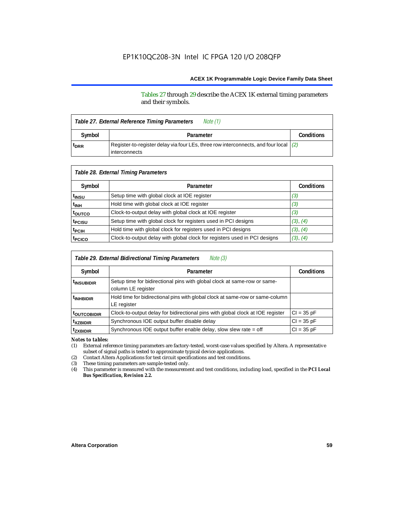Tables 27 through 29 describe the ACEX 1K external timing parameters and their symbols.

| Table 27. External Reference Timing Parameters |                                                                                                                  |  |  |  |  |
|------------------------------------------------|------------------------------------------------------------------------------------------------------------------|--|--|--|--|
| Symbol                                         | Parameter                                                                                                        |  |  |  |  |
| <sup>t</sup> DRR                               | Register-to-register delay via four LEs, three row interconnects, and four local $(2)$<br><b>l</b> interconnects |  |  |  |  |

| Table 28. External Timing Parameters |                                                                           |                   |  |  |  |  |
|--------------------------------------|---------------------------------------------------------------------------|-------------------|--|--|--|--|
| Symbol                               | Parameter                                                                 | <b>Conditions</b> |  |  |  |  |
| t <sub>insu</sub>                    | Setup time with global clock at IOE register                              | (3)               |  |  |  |  |
| t <sub>INH</sub>                     | Hold time with global clock at IOE register                               | (3)               |  |  |  |  |
| t <sub>outco</sub>                   | Clock-to-output delay with global clock at IOE register                   | (3)               |  |  |  |  |
| t <sub>PCISU</sub>                   | Setup time with global clock for registers used in PCI designs            | (3), (4)          |  |  |  |  |
| <sup>t</sup> PCIH                    | Hold time with global clock for registers used in PCI designs             | (3), (4)          |  |  |  |  |
| t <sub>PCICO</sub>                   | Clock-to-output delay with global clock for registers used in PCI designs | (3), (4)          |  |  |  |  |

| Note (3)<br>Table 29. External Bidirectional Timing Parameters |                                                                                                |                   |  |  |  |  |
|----------------------------------------------------------------|------------------------------------------------------------------------------------------------|-------------------|--|--|--|--|
| Symbol                                                         | Parameter                                                                                      | <b>Conditions</b> |  |  |  |  |
| <sup>t</sup> insubidir                                         | Setup time for bidirectional pins with global clock at same-row or same-<br>column LE register |                   |  |  |  |  |
| <sup>t</sup> INHBIDIR                                          | Hold time for bidirectional pins with global clock at same-row or same-column<br>LE register   |                   |  |  |  |  |
| <sup>t</sup> OUTCOBIDIR                                        | Clock-to-output delay for bidirectional pins with global clock at IOE register                 | $Cl = 35 pF$      |  |  |  |  |
| <sup>t</sup> xzbidir                                           | Synchronous IOE output buffer disable delay                                                    | $CI = 35 pF$      |  |  |  |  |
| <sup>t</sup> zxbidir                                           | Synchronous IOE output buffer enable delay, slow slew rate = off                               | $CI = 35$ pF      |  |  |  |  |

*Notes to tables:*

(1) External reference timing parameters are factory-tested, worst-case values specified by Altera. A representative subset of signal paths is tested to approximate typical device applications.

(2) Contact Altera Applications for test circuit specifications and test conditions.

(3) These timing parameters are sample-tested only.

(4) This parameter is measured with the measurement and test conditions, including load, specified in the *PCI Local Bus Specification, Revision 2.2.*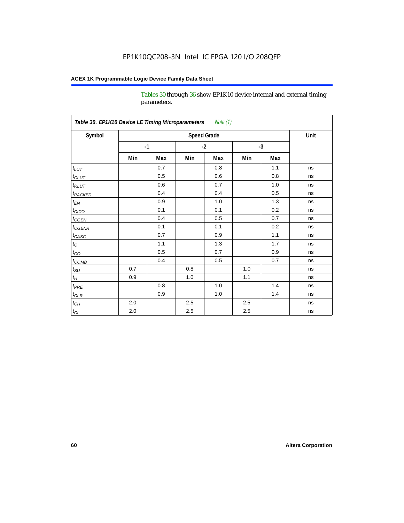Tables 30 through 36 show EP1K10 device internal and external timing parameters.

| Table 30. EP1K10 Device LE Timing Microparameters<br>Note (1) |                    |      |         |     |      |     |      |
|---------------------------------------------------------------|--------------------|------|---------|-----|------|-----|------|
| Symbol                                                        | <b>Speed Grade</b> |      |         |     |      |     | Unit |
|                                                               |                    | $-1$ | $-2$    |     | $-3$ |     |      |
|                                                               | Min                | Max  | Min     | Max | Min  | Max |      |
| $t_{LUT}$                                                     |                    | 0.7  |         | 0.8 |      | 1.1 | ns   |
| $t_{CLUT}$                                                    |                    | 0.5  |         | 0.6 |      | 0.8 | ns   |
| $t_{RLUT}$                                                    |                    | 0.6  |         | 0.7 |      | 1.0 | ns   |
| <b>t</b> <sub>PACKED</sub>                                    |                    | 0.4  |         | 0.4 |      | 0.5 | ns   |
| $t_{EN}$                                                      |                    | 0.9  |         | 1.0 |      | 1.3 | ns   |
| $t_{CICO}$                                                    |                    | 0.1  |         | 0.1 |      | 0.2 | ns   |
| $t_{\text{CGEN}}$                                             |                    | 0.4  |         | 0.5 |      | 0.7 | ns   |
| $t_{GENR}$                                                    |                    | 0.1  |         | 0.1 |      | 0.2 | ns   |
| $t_{CASC}$                                                    |                    | 0.7  |         | 0.9 |      | 1.1 | ns   |
| $t_{\rm C}$                                                   |                    | 1.1  |         | 1.3 |      | 1.7 | ns   |
| $t_{CO}$                                                      |                    | 0.5  |         | 0.7 |      | 0.9 | ns   |
| $t$ <sub>COMB</sub>                                           |                    | 0.4  |         | 0.5 |      | 0.7 | ns   |
| $t_{\rm SU}$                                                  | 0.7                |      | 0.8     |     | 1.0  |     | ns   |
| $t_H\,$                                                       | 0.9                |      | 1.0     |     | 1.1  |     | ns   |
| $t_{PRE}$                                                     |                    | 0.8  |         | 1.0 |      | 1.4 | ns   |
| $t_{CLR}$                                                     |                    | 0.9  |         | 1.0 |      | 1.4 | ns   |
| $t_{\mathit{CH}}$                                             | 2.0                |      | 2.5     |     | 2.5  |     | ns   |
| $t_{CL}$                                                      | 2.0                |      | $2.5\,$ |     | 2.5  |     | ns   |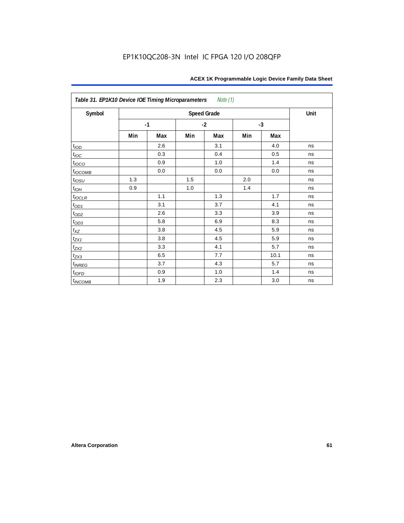| Table 31. EP1K10 Device IOE Timing Microparameters Note (1) |                    |      |     |      |     |      |      |
|-------------------------------------------------------------|--------------------|------|-----|------|-----|------|------|
| Symbol                                                      | <b>Speed Grade</b> |      |     |      |     |      | Unit |
|                                                             |                    | $-1$ |     | $-2$ |     | $-3$ |      |
|                                                             | Min                | Max  | Min | Max  | Min | Max  |      |
| t <sub>IOD</sub>                                            |                    | 2.6  |     | 3.1  |     | 4.0  | ns   |
| $t_{\text{IOC}}$                                            |                    | 0.3  |     | 0.4  |     | 0.5  | ns   |
| $t_{IOCO}$                                                  |                    | 0.9  |     | 1.0  |     | 1.4  | ns   |
| $t_{IOCOMB}$                                                |                    | 0.0  |     | 0.0  |     | 0.0  | ns   |
| $t_{IOSU}$                                                  | 1.3                |      | 1.5 |      | 2.0 |      | ns   |
| $t_{IOH}$                                                   | 0.9                |      | 1.0 |      | 1.4 |      | ns   |
| $t_{IOCLR}$                                                 |                    | 1.1  |     | 1.3  |     | 1.7  | ns   |
| $t_{OD1}$                                                   |                    | 3.1  |     | 3.7  |     | 4.1  | ns   |
| $t_{OD2}$                                                   |                    | 2.6  |     | 3.3  |     | 3.9  | ns   |
| $t_{OD3}$                                                   |                    | 5.8  |     | 6.9  |     | 8.3  | ns   |
| $t_{\text{XZ}}$                                             |                    | 3.8  |     | 4.5  |     | 5.9  | ns   |
| $t_{ZX1}$                                                   |                    | 3.8  |     | 4.5  |     | 5.9  | ns   |
| $t_{ZX2}$                                                   |                    | 3.3  |     | 4.1  |     | 5.7  | ns   |
| $t_{ZX3}$                                                   |                    | 6.5  |     | 7.7  |     | 10.1 | ns   |
| $t_{INREG}$                                                 |                    | 3.7  |     | 4.3  |     | 5.7  | ns   |
| $t_{IOFD}$                                                  |                    | 0.9  |     | 1.0  |     | 1.4  | ns   |
| $t_{INCOMB}$                                                |                    | 1.9  |     | 2.3  |     | 3.0  | ns   |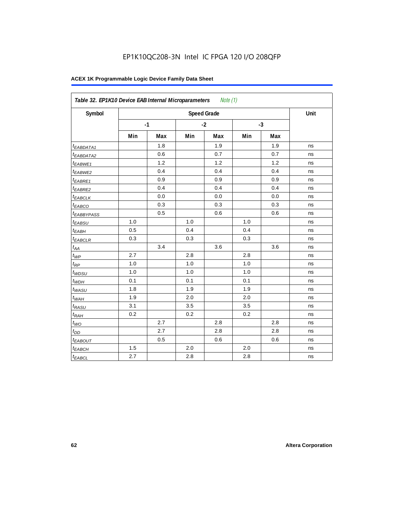| Symbol                  |     |      |     | <b>Speed Grade</b> |     |      | Unit |
|-------------------------|-----|------|-----|--------------------|-----|------|------|
|                         |     | $-1$ |     | $-2$               |     | $-3$ |      |
|                         | Min | Max  | Min | Max                | Min | Max  |      |
| t <sub>EABDATA1</sub>   |     | 1.8  |     | 1.9                |     | 1.9  | ns   |
| <sup>t</sup> EABDATA2   |     | 0.6  |     | 0.7                |     | 0.7  | ns   |
| $t_{EABWE1}$            |     | 1.2  |     | 1.2                |     | 1.2  | ns   |
| <sup>t</sup> EABWE2     |     | 0.4  |     | 0.4                |     | 0.4  | ns   |
| <sup>t</sup> EABRE1     |     | 0.9  |     | 0.9                |     | 0.9  | ns   |
| t <sub>EABRE2</sub>     |     | 0.4  |     | 0.4                |     | 0.4  | ns   |
| $t_{EABCLK}$            |     | 0.0  |     | 0.0                |     | 0.0  | ns   |
| t <sub>EABCO</sub>      |     | 0.3  |     | 0.3                |     | 0.3  | ns   |
| <i><b>EABBYPASS</b></i> |     | 0.5  |     | 0.6                |     | 0.6  | ns   |
| $t_{EABSU}$             | 1.0 |      | 1.0 |                    | 1.0 |      | ns   |
| t <sub>EABH</sub>       | 0.5 |      | 0.4 |                    | 0.4 |      | ns   |
| $t_{EABCLR}$            | 0.3 |      | 0.3 |                    | 0.3 |      | ns   |
| $t_{AA}$                |     | 3.4  |     | 3.6                |     | 3.6  | ns   |
| $t_{WP}$                | 2.7 |      | 2.8 |                    | 2.8 |      | ns   |
| $t_{RP}$                | 1.0 |      | 1.0 |                    | 1.0 |      | ns   |
| $t_{WDSU}$              | 1.0 |      | 1.0 |                    | 1.0 |      | ns   |
| $t_{WDH}$               | 0.1 |      | 0.1 |                    | 0.1 |      | ns   |
| $t_{WASU}$              | 1.8 |      | 1.9 |                    | 1.9 |      | ns   |
| $t_{WAH}$               | 1.9 |      | 2.0 |                    | 2.0 |      | ns   |
| t <sub>RASU</sub>       | 3.1 |      | 3.5 |                    | 3.5 |      | ns   |
| $t_{RAH}$               | 0.2 |      | 0.2 |                    | 0.2 |      | ns   |
| $t_{WO}$                |     | 2.7  |     | 2.8                |     | 2.8  | ns   |
| $t_{DD}$                |     | 2.7  |     | 2.8                |     | 2.8  | ns   |
| t <sub>EABOUT</sub>     |     | 0.5  |     | 0.6                |     | 0.6  | ns   |
| $t_{EABCH}$             | 1.5 |      | 2.0 |                    | 2.0 |      | ns   |
| <sup>t</sup> EABCL      | 2.7 |      | 2.8 |                    | 2.8 |      | ns   |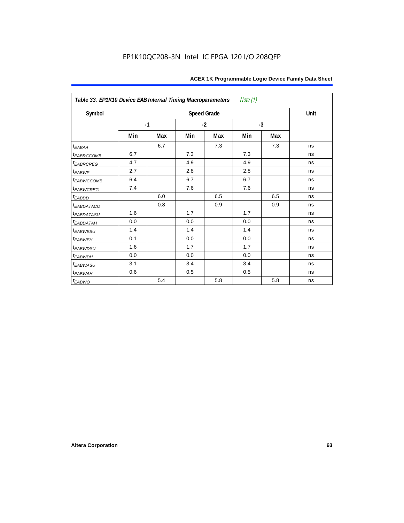| Table 33. EP1K10 Device EAB Internal Timing Macroparameters<br>Note (1) |      |     |      |                    |      |     |      |  |  |  |  |
|-------------------------------------------------------------------------|------|-----|------|--------------------|------|-----|------|--|--|--|--|
| Symbol                                                                  |      |     |      | <b>Speed Grade</b> |      |     | Unit |  |  |  |  |
|                                                                         | $-1$ |     | $-2$ |                    | $-3$ |     |      |  |  |  |  |
|                                                                         | Min  | Max | Min  | Max                | Min  | Max |      |  |  |  |  |
| $t_{EABA}$                                                              |      | 6.7 |      | 7.3                |      | 7.3 | ns   |  |  |  |  |
| t <sub>EABRCCOMB</sub>                                                  | 6.7  |     | 7.3  |                    | 7.3  |     | ns   |  |  |  |  |
| t <sub>EABRCREG</sub>                                                   | 4.7  |     | 4.9  |                    | 4.9  |     | ns   |  |  |  |  |
| $t_{EABWP}$                                                             | 2.7  |     | 2.8  |                    | 2.8  |     | ns   |  |  |  |  |
| <sup>t</sup> EABWCCOMB                                                  | 6.4  |     | 6.7  |                    | 6.7  |     | ns   |  |  |  |  |
| t <sub>EABWCREG</sub>                                                   | 7.4  |     | 7.6  |                    | 7.6  |     | ns   |  |  |  |  |
| t <sub>EABDD</sub>                                                      |      | 6.0 |      | 6.5                |      | 6.5 | ns   |  |  |  |  |
| t <sub>eabdataco</sub>                                                  |      | 0.8 |      | 0.9                |      | 0.9 | ns   |  |  |  |  |
| <i>EABDATASU</i>                                                        | 1.6  |     | 1.7  |                    | 1.7  |     | ns   |  |  |  |  |
| <sup>t</sup> EABDATAH                                                   | 0.0  |     | 0.0  |                    | 0.0  |     | ns   |  |  |  |  |
| t <sub>EABWESU</sub>                                                    | 1.4  |     | 1.4  |                    | 1.4  |     | ns   |  |  |  |  |
| <b>t</b> EABWEH                                                         | 0.1  |     | 0.0  |                    | 0.0  |     | ns   |  |  |  |  |
| t <sub>EABWDSU</sub>                                                    | 1.6  |     | 1.7  |                    | 1.7  |     | ns   |  |  |  |  |
| t <sub>EABWDH</sub>                                                     | 0.0  |     | 0.0  |                    | 0.0  |     | ns   |  |  |  |  |
| t <sub>EABWASU</sub>                                                    | 3.1  |     | 3.4  |                    | 3.4  |     | ns   |  |  |  |  |
| t <sub>EABWAH</sub>                                                     | 0.6  |     | 0.5  |                    | 0.5  |     | ns   |  |  |  |  |
| $t_{EABWO}$                                                             |      | 5.4 |      | 5.8                |      | 5.8 | ns   |  |  |  |  |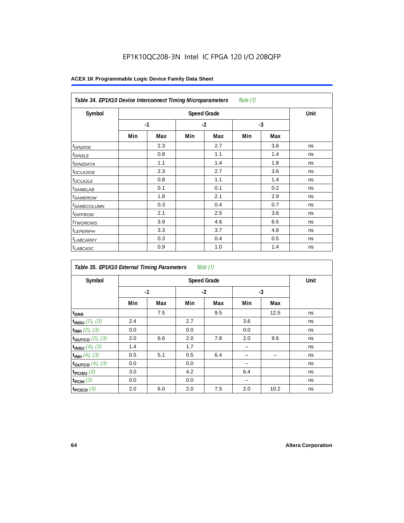# EP1K10QC208-3N Intel IC FPGA 120 I/O 208QFP

| Note (1)<br>Table 34. EP1K10 Device Interconnect Timing Microparameters |     |                    |      |     |      |     |    |  |  |  |
|-------------------------------------------------------------------------|-----|--------------------|------|-----|------|-----|----|--|--|--|
| Symbol                                                                  |     | <b>Speed Grade</b> |      |     |      |     |    |  |  |  |
|                                                                         |     | $-1$               | $-2$ |     | $-3$ |     |    |  |  |  |
|                                                                         | Min | Max                | Min  | Max | Min  | Max |    |  |  |  |
| $t_{DIN2IOE}$                                                           |     | 2.3                |      | 2.7 |      | 3.6 | ns |  |  |  |
| <sup>t</sup> DIN2LE                                                     |     | 0.8                |      | 1.1 |      | 1.4 | ns |  |  |  |
| <sup>t</sup> DIN2DATA                                                   |     | 1.1                |      | 1.4 |      | 1.8 | ns |  |  |  |
| <sup>t</sup> DCLK2IOE                                                   |     | 2.3                |      | 2.7 |      | 3.6 | ns |  |  |  |
| <sup>t</sup> DCLK2LE                                                    |     | 0.8                |      | 1.1 |      | 1.4 | ns |  |  |  |
| <sup>t</sup> SAMELAB                                                    |     | 0.1                |      | 0.1 |      | 0.2 | ns |  |  |  |
| <i>t</i> SAMEROW                                                        |     | 1.8                |      | 2.1 |      | 2.9 | ns |  |  |  |
| <sup>t</sup> SAMECOLUMN                                                 |     | 0.3                |      | 0.4 |      | 0.7 | ns |  |  |  |
| <i>t<sub>DIFFROW</sub></i>                                              |     | 2.1                |      | 2.5 |      | 3.6 | ns |  |  |  |
| t <sub>TWOROWS</sub>                                                    |     | 3.9                |      | 4.6 |      | 6.5 | ns |  |  |  |
| <sup>t</sup> LEPERIPH                                                   |     | 3.3                |      | 3.7 |      | 4.8 | ns |  |  |  |
| <sup>t</sup> LABCARRY                                                   |     | 0.3                |      | 0.4 |      | 0.5 | ns |  |  |  |
| t <sub>LABCASC</sub>                                                    |     | 0.9                |      | 1.0 |      | 1.4 | ns |  |  |  |

| Note $(1)$<br>Table 35. EP1K10 External Timing Parameters |      |     |     |                    |      |      |      |  |  |  |  |
|-----------------------------------------------------------|------|-----|-----|--------------------|------|------|------|--|--|--|--|
| Symbol                                                    |      |     |     | <b>Speed Grade</b> |      |      | Unit |  |  |  |  |
|                                                           | $-1$ |     |     | $-2$               | $-3$ |      |      |  |  |  |  |
|                                                           | Min  | Max | Min | Max                | Min  | Max  |      |  |  |  |  |
| t <sub>DRR</sub>                                          |      | 7.5 |     | 9.5                |      | 12.5 | ns   |  |  |  |  |
| $t_{INSU}$ (2), (3)                                       | 2.4  |     | 2.7 |                    | 3.6  |      | ns   |  |  |  |  |
| $t_{INH}$ (2), (3)                                        | 0.0  |     | 0.0 |                    | 0.0  |      | ns   |  |  |  |  |
| toutco $(2)$ , $(3)$                                      | 2.0  | 6.6 | 2.0 | 7.8                | 2.0  | 9.6  | ns   |  |  |  |  |
| $t_{INSU}$ (4), (3)                                       | 1.4  |     | 1.7 |                    |      |      | ns   |  |  |  |  |
| $t_{INH}$ (4), (3)                                        | 0.5  | 5.1 | 0.5 | 6.4                |      |      | ns   |  |  |  |  |
| toutco $(4)$ , $(3)$                                      | 0.0  |     | 0.0 |                    |      |      | ns   |  |  |  |  |
| t <sub>PCISU</sub> $(3)$                                  | 3.0  |     | 4.2 |                    | 6.4  |      | ns   |  |  |  |  |
| $t_{PCHI}$ (3)                                            | 0.0  |     | 0.0 |                    |      |      | ns   |  |  |  |  |
| t <sub>PCICO</sub> $(3)$                                  | 2.0  | 6.0 | 2.0 | 7.5                | 2.0  | 10.2 | ns   |  |  |  |  |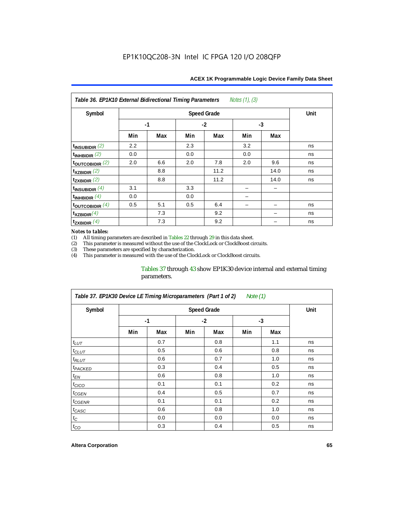| <b>ACEX 1K Programmable Logic Device Family Data Sheet</b> |  |  |
|------------------------------------------------------------|--|--|
|------------------------------------------------------------|--|--|

| Notes (1), (3)<br>Table 36. EP1K10 External Bidirectional Timing Parameters |     |      |     |                    |      |      |      |  |  |  |  |
|-----------------------------------------------------------------------------|-----|------|-----|--------------------|------|------|------|--|--|--|--|
| Symbol                                                                      |     |      |     | <b>Speed Grade</b> |      |      | Unit |  |  |  |  |
|                                                                             |     | $-1$ |     | $-2$               | $-3$ |      |      |  |  |  |  |
|                                                                             | Min | Max  | Min | Max                | Min  | Max  |      |  |  |  |  |
| $t_{INSUBIDIR}(2)$                                                          | 2.2 |      | 2.3 |                    | 3.2  |      | ns   |  |  |  |  |
| $t_{INHBIDIR}$ (2)                                                          | 0.0 |      | 0.0 |                    | 0.0  |      | ns   |  |  |  |  |
| $t_{\text{OUTC}OBIDIR}$ (2)                                                 | 2.0 | 6.6  | 2.0 | 7.8                | 2.0  | 9.6  | ns   |  |  |  |  |
| $t_{XZBIDIR}$ (2)                                                           |     | 8.8  |     | 11.2               |      | 14.0 | ns   |  |  |  |  |
| $t_{ZXBIDIR}$ (2)                                                           |     | 8.8  |     | 11.2               |      | 14.0 | ns   |  |  |  |  |
| $t_{INSUBIDIR}(4)$                                                          | 3.1 |      | 3.3 |                    |      |      |      |  |  |  |  |
| $t_{INHBIDIR}(4)$                                                           | 0.0 |      | 0.0 |                    |      |      |      |  |  |  |  |
| $t_{\text{OUTCOBIDIR}}$ (4)                                                 | 0.5 | 5.1  | 0.5 | 6.4                |      |      | ns   |  |  |  |  |
| $t_{XZBIDIR}(4)$                                                            |     | 7.3  |     | 9.2                |      |      | ns   |  |  |  |  |
| $t_{ZXBIDIR}$ $(4)$                                                         |     | 7.3  |     | 9.2                |      |      | ns   |  |  |  |  |

#### *Notes to tables:*

(1) All timing parameters are described in Tables  $22$  through  $29$  in this data sheet.<br>(2) This parameter is measured without the use of the ClockLock or ClockBoost cir This parameter is measured without the use of the ClockLock or ClockBoost circuits.

(3) These parameters are specified by characterization. This parameter is measured with the use of the ClockLock or ClockBoost circuits.

### Tables 37 through 43 show EP1K30 device internal and external timing parameters.

| Table 37. EP1K30 Device LE Timing Microparameters (Part 1 of 2)<br>Note $(1)$ |     |                    |     |      |      |     |    |  |  |  |
|-------------------------------------------------------------------------------|-----|--------------------|-----|------|------|-----|----|--|--|--|
| Symbol                                                                        |     | <b>Speed Grade</b> |     |      |      |     |    |  |  |  |
|                                                                               |     | $-1$               |     | $-2$ | $-3$ |     |    |  |  |  |
|                                                                               | Min | Max                | Min | Max  | Min  | Max |    |  |  |  |
| $t_{LUT}$                                                                     |     | 0.7                |     | 0.8  |      | 1.1 | ns |  |  |  |
| $t_{CLUT}$                                                                    |     | 0.5                |     | 0.6  |      | 0.8 | ns |  |  |  |
| $t_{RLUT}$                                                                    |     | 0.6                |     | 0.7  |      | 1.0 | ns |  |  |  |
| <sup>t</sup> PACKED                                                           |     | 0.3                |     | 0.4  |      | 0.5 | ns |  |  |  |
| $t_{EN}$                                                                      |     | 0.6                |     | 0.8  |      | 1.0 | ns |  |  |  |
| $t_{CICO}$                                                                    |     | 0.1                |     | 0.1  |      | 0.2 | ns |  |  |  |
| t <sub>CGEN</sub>                                                             |     | 0.4                |     | 0.5  |      | 0.7 | ns |  |  |  |
| t <sub>CGENR</sub>                                                            |     | 0.1                |     | 0.1  |      | 0.2 | ns |  |  |  |
| $t_{CASC}$                                                                    |     | 0.6                |     | 0.8  |      | 1.0 | ns |  |  |  |
| $t_{\rm C}$                                                                   |     | 0.0                |     | 0.0  |      | 0.0 | ns |  |  |  |
| $t_{CO}$                                                                      |     | 0.3                |     | 0.4  |      | 0.5 | ns |  |  |  |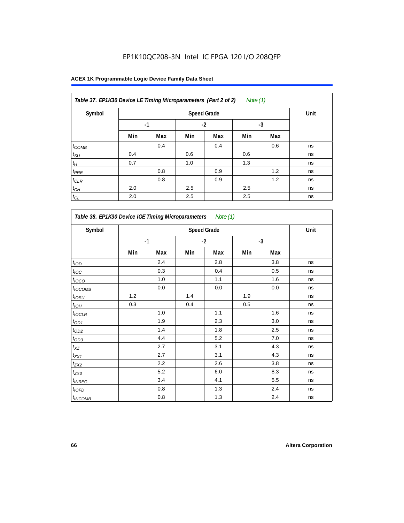| Table 37. EP1K30 Device LE Timing Microparameters (Part 2 of 2)<br>Note $(1)$ |     |      |     |      |     |      |    |  |  |
|-------------------------------------------------------------------------------|-----|------|-----|------|-----|------|----|--|--|
| Symbol                                                                        |     | Unit |     |      |     |      |    |  |  |
|                                                                               |     | $-1$ |     | $-2$ |     | $-3$ |    |  |  |
|                                                                               | Min | Max  | Min | Max  | Min | Max  |    |  |  |
| $t_{COMB}$                                                                    |     | 0.4  |     | 0.4  |     | 0.6  | ns |  |  |
| $t_{\text{SU}}$                                                               | 0.4 |      | 0.6 |      | 0.6 |      | ns |  |  |
| $t_H$                                                                         | 0.7 |      | 1.0 |      | 1.3 |      | ns |  |  |
| $t_{PRE}$                                                                     |     | 0.8  |     | 0.9  |     | 1.2  | ns |  |  |
| $t_{CLR}$                                                                     |     | 0.8  |     | 0.9  |     | 1.2  | ns |  |  |
| $t_{CH}$                                                                      | 2.0 |      | 2.5 |      | 2.5 |      | ns |  |  |
| $t_{CL}$                                                                      | 2.0 |      | 2.5 |      | 2.5 |      | ns |  |  |

| Symbol             |     | <b>Speed Grade</b> |      |         |     |      |    |  |  |  |
|--------------------|-----|--------------------|------|---------|-----|------|----|--|--|--|
|                    |     | $-1$               | $-2$ |         |     | $-3$ |    |  |  |  |
|                    | Min | Max                | Min  | Max     | Min | Max  |    |  |  |  |
| $t$ <sub>IOD</sub> |     | 2.4                |      | 2.8     |     | 3.8  | ns |  |  |  |
| $t_{\text{IOC}}$   |     | 0.3                |      | 0.4     |     | 0.5  | ns |  |  |  |
| $t_{IOCO}$         |     | 1.0                |      | 1.1     |     | 1.6  | ns |  |  |  |
| $t_{IOCOMB}$       |     | 0.0                |      | $0.0\,$ |     | 0.0  | ns |  |  |  |
| $t_{IOSU}$         | 1.2 |                    | 1.4  |         | 1.9 |      | ns |  |  |  |
| $t_{IOH}$          | 0.3 |                    | 0.4  |         | 0.5 |      | ns |  |  |  |
| $t_{IOCLR}$        |     | 1.0                |      | 1.1     |     | 1.6  | ns |  |  |  |
| $t_{OD1}$          |     | 1.9                |      | 2.3     |     | 3.0  | ns |  |  |  |
| $t_{\text{OD2}}$   |     | 1.4                |      | 1.8     |     | 2.5  | ns |  |  |  |
| $t_{OD3}$          |     | 4.4                |      | 5.2     |     | 7.0  | ns |  |  |  |
| $t_{XZ}$           |     | 2.7                |      | 3.1     |     | 4.3  | ns |  |  |  |
| $t_{ZX1}$          |     | 2.7                |      | 3.1     |     | 4.3  | ns |  |  |  |
| $t_{ZX2}$          |     | 2.2                |      | 2.6     |     | 3.8  | ns |  |  |  |
| $t_{ZX3}$          |     | 5.2                |      | 6.0     |     | 8.3  | ns |  |  |  |
| $t_{INREG}$        |     | 3.4                |      | 4.1     |     | 5.5  | ns |  |  |  |
| $t_{IOFD}$         |     | 0.8                |      | 1.3     |     | 2.4  | ns |  |  |  |
| $t_{INCOMB}$       |     | 0.8                |      | 1.3     |     | 2.4  | ns |  |  |  |

r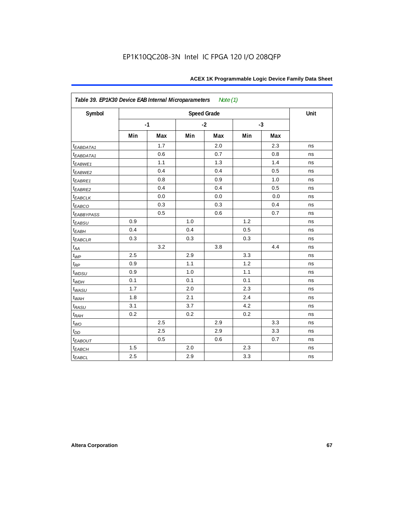| Symbol                  |     |      |     | <b>Speed Grade</b> |     |      | Unit |
|-------------------------|-----|------|-----|--------------------|-----|------|------|
|                         |     | $-1$ |     | $-2$               |     | $-3$ |      |
|                         | Min | Max  | Min | Max                | Min | Max  |      |
| t <sub>EABDATA1</sub>   |     | 1.7  |     | 2.0                |     | 2.3  | ns   |
| t <sub>EABDATA1</sub>   |     | 0.6  |     | 0.7                |     | 0.8  | ns   |
| $t_{EABWE1}$            |     | 1.1  |     | 1.3                |     | 1.4  | ns   |
| $t_{EABWE2}$            |     | 0.4  |     | 0.4                |     | 0.5  | ns   |
| $t_{EABRE1}$            |     | 0.8  |     | 0.9                |     | 1.0  | ns   |
| $t_{EABRE2}$            |     | 0.4  |     | 0.4                |     | 0.5  | ns   |
| <b><i>EABCLK</i></b>    |     | 0.0  |     | 0.0                |     | 0.0  | ns   |
| $t_{EABCO}$             |     | 0.3  |     | 0.3                |     | 0.4  | ns   |
| <b><i>EABBYPASS</i></b> |     | 0.5  |     | 0.6                |     | 0.7  | ns   |
| $t_{EABSU}$             | 0.9 |      | 1.0 |                    | 1.2 |      | ns   |
| $t_{EABH}$              | 0.4 |      | 0.4 |                    | 0.5 |      | ns   |
| $t_{EABCLR}$            | 0.3 |      | 0.3 |                    | 0.3 |      | ns   |
| $t_{AA}$                |     | 3.2  |     | 3.8                |     | 4.4  | ns   |
| $t_{\underline{WP}}$    | 2.5 |      | 2.9 |                    | 3.3 |      | ns   |
| $t_{RP}$                | 0.9 |      | 1.1 |                    | 1.2 |      | ns   |
| $t_{WDSU}$              | 0.9 |      | 1.0 |                    | 1.1 |      | ns   |
| $t_{WDH}$               | 0.1 |      | 0.1 |                    | 0.1 |      | ns   |
| $t_{WASU}$              | 1.7 |      | 2.0 |                    | 2.3 |      | ns   |
| $t_{WAH}$               | 1.8 |      | 2.1 |                    | 2.4 |      | ns   |
| t <sub>RASU</sub>       | 3.1 |      | 3.7 |                    | 4.2 |      | ns   |
| $t_{RAH}$               | 0.2 |      | 0.2 |                    | 0.2 |      | ns   |
| $t_{WO}$                |     | 2.5  |     | 2.9                |     | 3.3  | ns   |
| $t_{DD}$                |     | 2.5  |     | 2.9                |     | 3.3  | ns   |
| <b><i>EABOUT</i></b>    |     | 0.5  |     | 0.6                |     | 0.7  | ns   |
| $t_{EABCH}$             | 1.5 |      | 2.0 |                    | 2.3 |      | ns   |
| $t_{EABCL}$             | 2.5 |      | 2.9 |                    | 3.3 |      | ns   |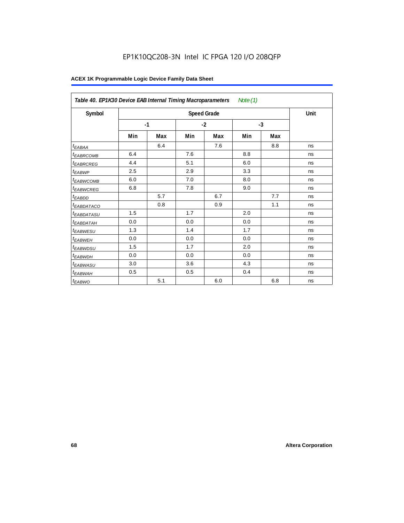# EP1K10QC208-3N Intel IC FPGA 120 I/O 208QFP

|                             | Table 40. EP1K30 Device EAB Internal Timing Macroparameters<br>Note $(1)$ |     |      |                    |      |     |      |  |  |  |  |
|-----------------------------|---------------------------------------------------------------------------|-----|------|--------------------|------|-----|------|--|--|--|--|
| Symbol                      |                                                                           |     |      | <b>Speed Grade</b> |      |     | Unit |  |  |  |  |
|                             | $-1$                                                                      |     | $-2$ |                    | $-3$ |     |      |  |  |  |  |
|                             | Min                                                                       | Max | Min  | Max                | Min  | Max |      |  |  |  |  |
| t <sub>EABAA</sub>          |                                                                           | 6.4 |      | 7.6                |      | 8.8 | ns   |  |  |  |  |
| <sup>t</sup> EABRCOMB       | 6.4                                                                       |     | 7.6  |                    | 8.8  |     | ns   |  |  |  |  |
| <sup>t</sup> EABRCREG       | 4.4                                                                       |     | 5.1  |                    | 6.0  |     | ns   |  |  |  |  |
| <sup>t</sup> EABWP          | 2.5                                                                       |     | 2.9  |                    | 3.3  |     | ns   |  |  |  |  |
| <sup>t</sup> EABWCOMB       | 6.0                                                                       |     | 7.0  |                    | 8.0  |     | ns   |  |  |  |  |
| <i>t<sub>EABWCREG</sub></i> | 6.8                                                                       |     | 7.8  |                    | 9.0  |     | ns   |  |  |  |  |
| <sup>t</sup> EABDD          |                                                                           | 5.7 |      | 6.7                |      | 7.7 | ns   |  |  |  |  |
| <sup>t</sup> EABDATACO      |                                                                           | 0.8 |      | 0.9                |      | 1.1 | ns   |  |  |  |  |
| <sup>t</sup> EABDATASU      | 1.5                                                                       |     | 1.7  |                    | 2.0  |     | ns   |  |  |  |  |
| <sup>t</sup> EABDATAH       | 0.0                                                                       |     | 0.0  |                    | 0.0  |     | ns   |  |  |  |  |
| <sup>t</sup> EABWESU        | 1.3                                                                       |     | 1.4  |                    | 1.7  |     | ns   |  |  |  |  |
| <sup>t</sup> EABWEH         | 0.0                                                                       |     | 0.0  |                    | 0.0  |     | ns   |  |  |  |  |
| <sup>t</sup> EABWDSU        | 1.5                                                                       |     | 1.7  |                    | 2.0  |     | ns   |  |  |  |  |
| <sup>t</sup> EABWDH         | 0.0                                                                       |     | 0.0  |                    | 0.0  |     | ns   |  |  |  |  |
| <sup>t</sup> EABWASU        | 3.0                                                                       |     | 3.6  |                    | 4.3  |     | ns   |  |  |  |  |
| t <sub>EABWAH</sub>         | 0.5                                                                       |     | 0.5  |                    | 0.4  |     | ns   |  |  |  |  |
| <sup>t</sup> EABWO          |                                                                           | 5.1 |      | 6.0                |      | 6.8 | ns   |  |  |  |  |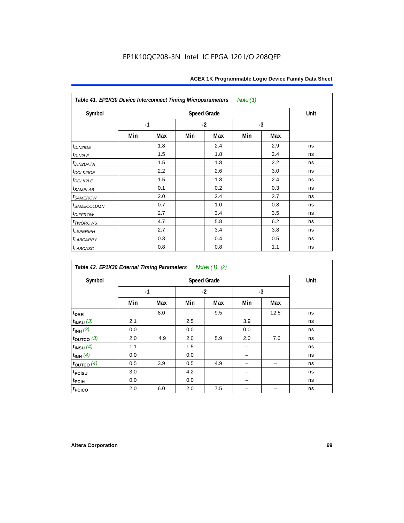| Note (1)<br>Table 41. EP1K30 Device Interconnect Timing Microparameters |      |     |      |                    |      |     |      |  |  |  |  |
|-------------------------------------------------------------------------|------|-----|------|--------------------|------|-----|------|--|--|--|--|
| Symbol                                                                  |      |     |      | <b>Speed Grade</b> |      |     | Unit |  |  |  |  |
|                                                                         | $-1$ |     | $-2$ |                    | $-3$ |     |      |  |  |  |  |
|                                                                         | Min  | Max | Min  | Max                | Min  | Max |      |  |  |  |  |
| $t_{DIN2IOE}$                                                           |      | 1.8 |      | 2.4                |      | 2.9 | ns   |  |  |  |  |
| $t_{DIN2LE}$                                                            |      | 1.5 |      | 1.8                |      | 2.4 | ns   |  |  |  |  |
| t <sub>DIN2DATA</sub>                                                   |      | 1.5 |      | 1.8                |      | 2.2 | ns   |  |  |  |  |
| $t$ <sub>DCLK2IOE</sub>                                                 |      | 2.2 |      | 2.6                |      | 3.0 | ns   |  |  |  |  |
| $t_{DCLK2LE}$                                                           |      | 1.5 |      | 1.8                |      | 2.4 | ns   |  |  |  |  |
| $t_{SAMELAB}$                                                           |      | 0.1 |      | 0.2                |      | 0.3 | ns   |  |  |  |  |
| <i>t<sub>SAMEROW</sub></i>                                              |      | 2.0 |      | 2.4                |      | 2.7 | ns   |  |  |  |  |
| <i>t<sub>SAMECOLUMN</sub></i>                                           |      | 0.7 |      | 1.0                |      | 0.8 | ns   |  |  |  |  |
| <i>t<sub>DIFFROW</sub></i>                                              |      | 2.7 |      | 3.4                |      | 3.5 | ns   |  |  |  |  |
| t <sub>TWOROWS</sub>                                                    |      | 4.7 |      | 5.8                |      | 6.2 | ns   |  |  |  |  |
| $t_{LEPERIPH}$                                                          |      | 2.7 |      | 3.4                |      | 3.8 | ns   |  |  |  |  |
| <b><i>LABCARRY</i></b>                                                  |      | 0.3 |      | 0.4                |      | 0.5 | ns   |  |  |  |  |
| $t_{LABCASC}$                                                           |      | 0.8 |      | 0.8                |      | 1.1 | ns   |  |  |  |  |

| Table 42. EP1K30 External Timing Parameters |     |      |     | Notes (1), (2) |     |      |    |
|---------------------------------------------|-----|------|-----|----------------|-----|------|----|
| Symbol                                      |     | Unit |     |                |     |      |    |
|                                             |     | $-1$ |     | $-2$           |     | $-3$ |    |
|                                             | Min | Max  | Min | Max            | Min | Max  |    |
| t <sub>DRR</sub>                            |     | 8.0  |     | 9.5            |     | 12.5 | ns |
| $t_{INSU}$ (3)                              | 2.1 |      | 2.5 |                | 3.9 |      | ns |
| $t_{INH}$ (3)                               | 0.0 |      | 0.0 |                | 0.0 |      | ns |
| $t_{OUTCO}$ (3)                             | 2.0 | 4.9  | 2.0 | 5.9            | 2.0 | 7.6  | ns |
| $t_{INSU}$ $(4)$                            | 1.1 |      | 1.5 |                |     |      | ns |
| $t_{INH}$ (4)                               | 0.0 |      | 0.0 |                |     |      | ns |
| $t_{\text{OUTCO}}(4)$                       | 0.5 | 3.9  | 0.5 | 4.9            |     |      | ns |
| t <sub>PCISU</sub>                          | 3.0 |      | 4.2 |                |     |      | ns |
| <sup>t</sup> PCIH                           | 0.0 |      | 0.0 |                |     |      | ns |
| t <sub>PCICO</sub>                          | 2.0 | 6.0  | 2.0 | 7.5            |     |      | ns |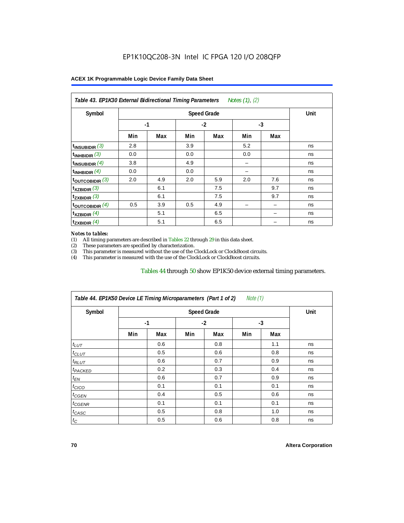| Symbol                      |      | Unit |      |     |      |     |    |
|-----------------------------|------|------|------|-----|------|-----|----|
|                             | $-1$ |      | $-2$ |     | $-3$ |     |    |
|                             | Min  | Max  | Min  | Max | Min  | Max |    |
| $t_{\text{INSUBIDIR}}$ (3)  | 2.8  |      | 3.9  |     | 5.2  |     | ns |
| $t_{INHBIDIR}$ (3)          | 0.0  |      | 0.0  |     | 0.0  |     | ns |
| $t_{INSUBIDIR}$ (4)         | 3.8  |      | 4.9  |     |      |     | ns |
| $t_{INHBIDIR}(4)$           | 0.0  |      | 0.0  |     |      |     | ns |
| $t_{\text{OUTCOBIDIR}}$ (3) | 2.0  | 4.9  | 2.0  | 5.9 | 2.0  | 7.6 | ns |
| $t_{XZBIDIR}$ (3)           |      | 6.1  |      | 7.5 |      | 9.7 | ns |
| $t_{ZXBIDIR}$ (3)           |      | 6.1  |      | 7.5 |      | 9.7 | ns |
| toutcobidir $(4)$           | 0.5  | 3.9  | 0.5  | 4.9 |      |     | ns |
| $t_{XZBIDIR}$ (4)           |      | 5.1  |      | 6.5 |      |     | ns |
| $t_{ZXBIDIR}$ (4)           |      | 5.1  |      | 6.5 |      |     | ns |

#### *Notes to tables:*

(1) All timing parameters are described in Tables 22 through  $29$  in this data sheet.<br>(2) These parameters are specified by characterization.

(2) These parameters are specified by characterization.<br>
(3) This parameter is measured without the use of the C

This parameter is measured without the use of the ClockLock or ClockBoost circuits.

(4) This parameter is measured with the use of the ClockLock or ClockBoost circuits.

#### Tables 44 through 50 show EP1K50 device external timing parameters.

| Symbol               |      | <b>Speed Grade</b> |      |     |     |     |    |  |  |
|----------------------|------|--------------------|------|-----|-----|-----|----|--|--|
|                      | $-1$ |                    | $-2$ |     | -3  |     |    |  |  |
|                      | Min  | Max                | Min  | Max | Min | Max |    |  |  |
| $t_{LUT}$            |      | 0.6                |      | 0.8 |     | 1.1 | ns |  |  |
| $t_{CLUT}$           |      | 0.5                |      | 0.6 |     | 0.8 | ns |  |  |
| $t_{RLUT}$           |      | 0.6                |      | 0.7 |     | 0.9 | ns |  |  |
| <sup>t</sup> PACKED  |      | 0.2                |      | 0.3 |     | 0.4 | ns |  |  |
| $t_{EN}$             |      | 0.6                |      | 0.7 |     | 0.9 | ns |  |  |
| $t_{CICO}$           |      | 0.1                |      | 0.1 |     | 0.1 | ns |  |  |
| $t_{\overline{GED}}$ |      | 0.4                |      | 0.5 |     | 0.6 | ns |  |  |
| $t_{GENR}$           |      | 0.1                |      | 0.1 |     | 0.1 | ns |  |  |
| $t_{CASC}$           |      | 0.5                |      | 0.8 |     | 1.0 | ns |  |  |
| $t_C$                |      | 0.5                |      | 0.6 |     | 0.8 | ns |  |  |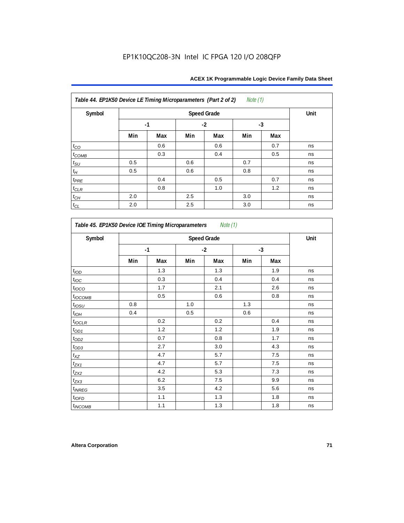| Table 44. EP1K50 Device LE Timing Microparameters (Part 2 of 2) |      |      |      |     | <i>Note</i> $(1)$ |     |    |
|-----------------------------------------------------------------|------|------|------|-----|-------------------|-----|----|
| Symbol                                                          |      | Unit |      |     |                   |     |    |
|                                                                 | $-1$ |      | $-2$ |     | $-3$              |     |    |
|                                                                 | Min  | Max  | Min  | Max | Min               | Max |    |
| $t_{CO}$                                                        |      | 0.6  |      | 0.6 |                   | 0.7 | ns |
| $t_{COMB}$                                                      |      | 0.3  |      | 0.4 |                   | 0.5 | ns |
| $t_{\rm SU}$                                                    | 0.5  |      | 0.6  |     | 0.7               |     | ns |
| $t_{\!H}$                                                       | 0.5  |      | 0.6  |     | 0.8               |     | ns |
| $t_{PRE}$                                                       |      | 0.4  |      | 0.5 |                   | 0.7 | ns |
| $t_{CLR}$                                                       |      | 0.8  |      | 1.0 |                   | 1.2 | ns |
| $t_{\mathbb{C} H}$                                              | 2.0  |      | 2.5  |     | 3.0               |     | ns |
| $t_{CL}$                                                        | 2.0  |      | 2.5  |     | 3.0               |     | ns |

| Symbol           |      | <b>Speed Grade</b> |      |     |      |     |    |  |  |
|------------------|------|--------------------|------|-----|------|-----|----|--|--|
|                  | $-1$ |                    | $-2$ |     | $-3$ |     |    |  |  |
|                  | Min  | Max                | Min  | Max | Min  | Max |    |  |  |
| t <sub>IOD</sub> |      | 1.3                |      | 1.3 |      | 1.9 | ns |  |  |
| $t_{\text{loc}}$ |      | 0.3                |      | 0.4 |      | 0.4 | ns |  |  |
| $t_{IOCO}$       |      | 1.7                |      | 2.1 |      | 2.6 | ns |  |  |
| $t_{IOCOMB}$     |      | 0.5                |      | 0.6 |      | 0.8 | ns |  |  |
| $t_{IOSU}$       | 0.8  |                    | 1.0  |     | 1.3  |     | ns |  |  |
| $t_{IOH}$        | 0.4  |                    | 0.5  |     | 0.6  |     | ns |  |  |
| $t_{IOCLR}$      |      | 0.2                |      | 0.2 |      | 0.4 | ns |  |  |
| $t_{\text{OD1}}$ |      | 1.2                |      | 1.2 |      | 1.9 | ns |  |  |
| $t_{OD2}$        |      | 0.7                |      | 0.8 |      | 1.7 | ns |  |  |
| $t_{OD3}$        |      | 2.7                |      | 3.0 |      | 4.3 | ns |  |  |
| $t_{XZ}$         |      | 4.7                |      | 5.7 |      | 7.5 | ns |  |  |
| $t_{ZX1}$        |      | 4.7                |      | 5.7 |      | 7.5 | ns |  |  |
| $t_{ZX2}$        |      | 4.2                |      | 5.3 |      | 7.3 | ns |  |  |
| $t_{ZX3}$        |      | 6.2                |      | 7.5 |      | 9.9 | ns |  |  |
| $t_{INREG}$      |      | 3.5                |      | 4.2 |      | 5.6 | ns |  |  |
| $t_{IOFD}$       |      | 1.1                |      | 1.3 |      | 1.8 | ns |  |  |
| $t_{INCOMB}$     |      | 1.1                |      | 1.3 |      | 1.8 | ns |  |  |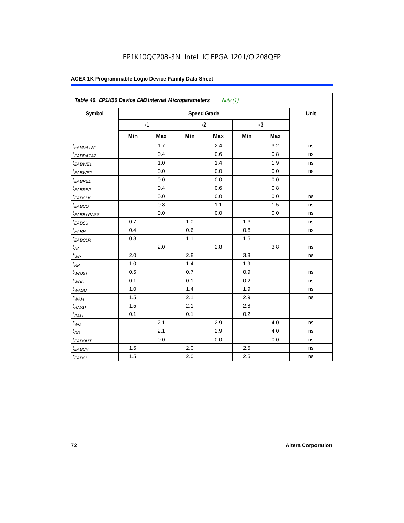| Symbol                 |     |      |     | <b>Speed Grade</b> |     |      | Unit |
|------------------------|-----|------|-----|--------------------|-----|------|------|
|                        |     | $-1$ |     | $-2$               |     | $-3$ |      |
|                        | Min | Max  | Min | Max                | Min | Max  |      |
| <sup>t</sup> EABDATA1  |     | 1.7  |     | 2.4                |     | 3.2  | ns   |
| t <sub>EABDATA2</sub>  |     | 0.4  |     | 0.6                |     | 0.8  | ns   |
| $t_{EABWE1}$           |     | 1.0  |     | 1.4                |     | 1.9  | ns   |
| <sup>t</sup> EABWE2    |     | 0.0  |     | 0.0                |     | 0.0  | ns   |
| <sup>t</sup> EABRE1    |     | 0.0  |     | 0.0                |     | 0.0  |      |
| <sup>t</sup> EABRE2    |     | 0.4  |     | 0.6                |     | 0.8  |      |
| $t_{EABCLK}$           |     | 0.0  |     | 0.0                |     | 0.0  | ns   |
| t <sub>EABCO</sub>     |     | 0.8  |     | 1.1                |     | 1.5  | ns   |
| t <sub>EABBYPASS</sub> |     | 0.0  |     | 0.0                |     | 0.0  | ns   |
| $t_{EABSU}$            | 0.7 |      | 1.0 |                    | 1.3 |      | ns   |
| t <sub>EABH</sub>      | 0.4 |      | 0.6 |                    | 0.8 |      | ns   |
| $t_{EABCLR}$           | 0.8 |      | 1.1 |                    | 1.5 |      |      |
| $t_{AA}$               |     | 2.0  |     | 2.8                |     | 3.8  | ns   |
| $t_{\mathcal{WP}}$     | 2.0 |      | 2.8 |                    | 3.8 |      | ns   |
| $t_{RP}$               | 1.0 |      | 1.4 |                    | 1.9 |      |      |
| $t_{WDSU}$             | 0.5 |      | 0.7 |                    | 0.9 |      | ns   |
| $t_{WDH}$              | 0.1 |      | 0.1 |                    | 0.2 |      | ns   |
| $t_{WASU}$             | 1.0 |      | 1.4 |                    | 1.9 |      | ns   |
| $t_{W\underline{AH}}$  | 1.5 |      | 2.1 |                    | 2.9 |      | ns   |
| t <sub>RASU</sub>      | 1.5 |      | 2.1 |                    | 2.8 |      |      |
| $t_{RAH}$              | 0.1 |      | 0.1 |                    | 0.2 |      |      |
| $t_{WQ}$               |     | 2.1  |     | 2.9                |     | 4.0  | ns   |
| $t_{DD}$               |     | 2.1  |     | 2.9                |     | 4.0  | ns   |
| t <sub>EABOUT</sub>    |     | 0.0  |     | 0.0                |     | 0.0  | ns   |
| $t_{EABCH}$            | 1.5 |      | 2.0 |                    | 2.5 |      | ns   |
| <sup>t</sup> EABCL     | 1.5 |      | 2.0 |                    | 2.5 |      | ns   |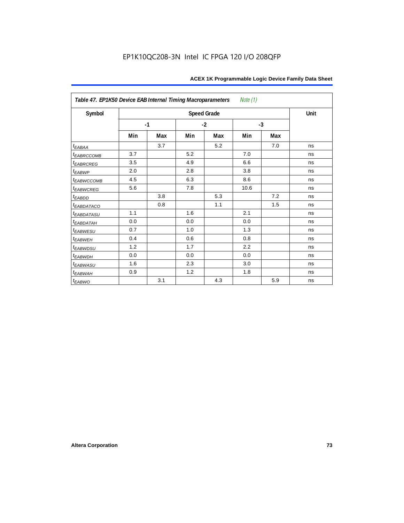| Table 47. EP1K50 Device EAB Internal Timing Macroparameters |      |     |      |                    | Note (1) |     |      |
|-------------------------------------------------------------|------|-----|------|--------------------|----------|-----|------|
| Symbol                                                      |      |     |      | <b>Speed Grade</b> |          |     | Unit |
|                                                             | $-1$ |     | $-2$ |                    | $-3$     |     |      |
|                                                             | Min  | Max | Min  | Max                | Min      | Max |      |
| $t_{EABA}$                                                  |      | 3.7 |      | 5.2                |          | 7.0 | ns   |
| t <sub>EABRCCOMB</sub>                                      | 3.7  |     | 5.2  |                    | 7.0      |     | ns   |
| t <sub>EABRCREG</sub>                                       | 3.5  |     | 4.9  |                    | 6.6      |     | ns   |
| $t_{EABWP}$                                                 | 2.0  |     | 2.8  |                    | 3.8      |     | ns   |
| <sup>t</sup> EABWCCOMB                                      | 4.5  |     | 6.3  |                    | 8.6      |     | ns   |
| t <sub>EABWCREG</sub>                                       | 5.6  |     | 7.8  |                    | 10.6     |     | ns   |
| t <sub>EABDD</sub>                                          |      | 3.8 |      | 5.3                |          | 7.2 | ns   |
| t <sub>eabdataco</sub>                                      |      | 0.8 |      | 1.1                |          | 1.5 | ns   |
| <i>EABDATASU</i>                                            | 1.1  |     | 1.6  |                    | 2.1      |     | ns   |
| <sup>t</sup> EABDATAH                                       | 0.0  |     | 0.0  |                    | 0.0      |     | ns   |
| t <sub>EABWESU</sub>                                        | 0.7  |     | 1.0  |                    | 1.3      |     | ns   |
| <b>t</b> EABWEH                                             | 0.4  |     | 0.6  |                    | 0.8      |     | ns   |
| t <sub>EABWDSU</sub>                                        | 1.2  |     | 1.7  |                    | 2.2      |     | ns   |
| t <sub>EABWDH</sub>                                         | 0.0  |     | 0.0  |                    | 0.0      |     | ns   |
| t <sub>EABWASU</sub>                                        | 1.6  |     | 2.3  |                    | 3.0      |     | ns   |
| <sup>t</sup> EABWAH                                         | 0.9  |     | 1.2  |                    | 1.8      |     | ns   |
| $t_{EABWO}$                                                 |      | 3.1 |      | 4.3                |          | 5.9 | ns   |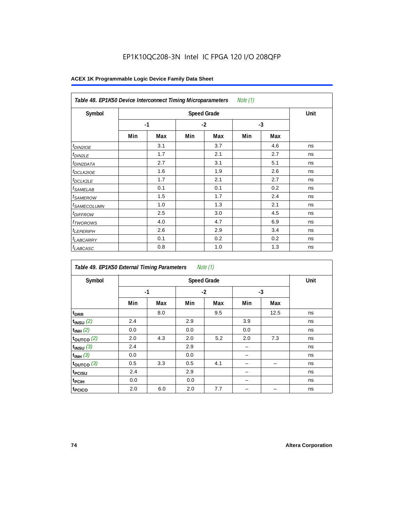| Note $(1)$<br>Table 48. EP1K50 Device Interconnect Timing Microparameters |     |      |      |     |      |     |    |  |  |  |
|---------------------------------------------------------------------------|-----|------|------|-----|------|-----|----|--|--|--|
| Symbol                                                                    |     | Unit |      |     |      |     |    |  |  |  |
|                                                                           |     | $-1$ | $-2$ |     | $-3$ |     |    |  |  |  |
|                                                                           | Min | Max  | Min  | Max | Min  | Max |    |  |  |  |
| $t_{DINZIOE}$                                                             |     | 3.1  |      | 3.7 |      | 4.6 | ns |  |  |  |
| <sup>t</sup> DIN2LE                                                       |     | 1.7  |      | 2.1 |      | 2.7 | ns |  |  |  |
| <sup>t</sup> DIN2DATA                                                     |     | 2.7  |      | 3.1 |      | 5.1 | ns |  |  |  |
| <sup>t</sup> DCLK2IOE                                                     |     | 1.6  |      | 1.9 |      | 2.6 | ns |  |  |  |
| <sup>t</sup> DCLK2LE                                                      |     | 1.7  |      | 2.1 |      | 2.7 | ns |  |  |  |
| <sup>t</sup> SAMELAB                                                      |     | 0.1  |      | 0.1 |      | 0.2 | ns |  |  |  |
| <sup>t</sup> SAMEROW                                                      |     | 1.5  |      | 1.7 |      | 2.4 | ns |  |  |  |
| <sup>t</sup> SAMECOLUMN                                                   |     | 1.0  |      | 1.3 |      | 2.1 | ns |  |  |  |
| <i>t<sub>DIFFROW</sub></i>                                                |     | 2.5  |      | 3.0 |      | 4.5 | ns |  |  |  |
| <sup>t</sup> TWOROWS                                                      |     | 4.0  |      | 4.7 |      | 6.9 | ns |  |  |  |
| <sup>t</sup> LEPERIPH                                                     |     | 2.6  |      | 2.9 |      | 3.4 | ns |  |  |  |
| <sup>t</sup> LABCARRY                                                     |     | 0.1  |      | 0.2 |      | 0.2 | ns |  |  |  |
| <sup>t</sup> LABCASC                                                      |     | 0.8  |      | 1.0 |      | 1.3 | ns |  |  |  |

| Table 49. EP1K50 External Timing Parameters |     |                    |     | Note $(1)$ |     |      |    |  |  |  |  |
|---------------------------------------------|-----|--------------------|-----|------------|-----|------|----|--|--|--|--|
| Symbol                                      |     | <b>Speed Grade</b> |     |            |     |      |    |  |  |  |  |
|                                             |     | $-1$               |     | $-2$       |     | -3   |    |  |  |  |  |
|                                             | Min | Max                | Min | Max        | Min | Max  |    |  |  |  |  |
| t <sub>DRR</sub>                            |     | 8.0                |     | 9.5        |     | 12.5 | ns |  |  |  |  |
| $t_{INSU}$ (2)                              | 2.4 |                    | 2.9 |            | 3.9 |      | ns |  |  |  |  |
| $t_{INH}$ (2)                               | 0.0 |                    | 0.0 |            | 0.0 |      | ns |  |  |  |  |
| $t_{OUTCO}$ (2)                             | 2.0 | 4.3                | 2.0 | 5.2        | 2.0 | 7.3  | ns |  |  |  |  |
| $t_{INSU}$ (3)                              | 2.4 |                    | 2.9 |            |     |      | ns |  |  |  |  |
| $t_{INH}$ (3)                               | 0.0 |                    | 0.0 |            |     |      | ns |  |  |  |  |
| $t_{OUTCO}$ (3)                             | 0.5 | 3.3                | 0.5 | 4.1        |     | -    | ns |  |  |  |  |
| t <sub>PCISU</sub>                          | 2.4 |                    | 2.9 |            |     |      | ns |  |  |  |  |
| t <sub>PCIH</sub>                           | 0.0 |                    | 0.0 |            |     |      | ns |  |  |  |  |
| t <sub>PCICO</sub>                          | 2.0 | 6.0                | 2.0 | 7.7        |     |      | ns |  |  |  |  |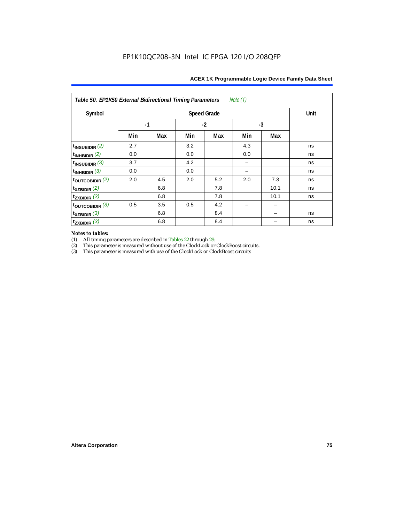| Note (1)<br>Table 50. EP1K50 External Bidirectional Timing Parameters |      |      |      |     |      |      |    |  |  |  |
|-----------------------------------------------------------------------|------|------|------|-----|------|------|----|--|--|--|
| Symbol                                                                |      | Unit |      |     |      |      |    |  |  |  |
|                                                                       | $-1$ |      | $-2$ |     | $-3$ |      |    |  |  |  |
|                                                                       | Min  | Max  | Min  | Max | Min  | Max  |    |  |  |  |
| $t_{\text{INSUBIDIR}}(2)$                                             | 2.7  |      | 3.2  |     | 4.3  |      | ns |  |  |  |
| $t_{INHBIDIR}$ (2)                                                    | 0.0  |      | 0.0  |     | 0.0  |      | ns |  |  |  |
| $t_{INSUBIDIR}$ (3)                                                   | 3.7  |      | 4.2  |     |      |      | ns |  |  |  |
| $t_{INHBIDIR}$ (3)                                                    | 0.0  |      | 0.0  |     |      |      | ns |  |  |  |
| $t_{\text{OUTCOBIDIR}}(2)$                                            | 2.0  | 4.5  | 2.0  | 5.2 | 2.0  | 7.3  | ns |  |  |  |
| $t_{XZBIDIR}$ (2)                                                     |      | 6.8  |      | 7.8 |      | 10.1 | ns |  |  |  |
| $t_{ZXBIDIR}$ (2)                                                     |      | 6.8  |      | 7.8 |      | 10.1 | ns |  |  |  |
| $t_{\text{OUTCOBIDIR}}$ (3)                                           | 0.5  | 3.5  | 0.5  | 4.2 |      |      |    |  |  |  |
| $t_{XZBIDIR}$ (3)                                                     |      | 6.8  |      | 8.4 |      |      | ns |  |  |  |
| $t_{ZXBIDIR}$ (3)                                                     |      | 6.8  |      | 8.4 |      |      | ns |  |  |  |

# *Notes to tables:*

(1) All timing parameters are described in Tables 22 through 29.<br>
(2) This parameter is measured without use of the ClockLock or

(2) This parameter is measured without use of the ClockLock or ClockBoost circuits.<br>
(3) This parameter is measured with use of the ClockLock or ClockBoost circuits

This parameter is measured with use of the ClockLock or ClockBoost circuits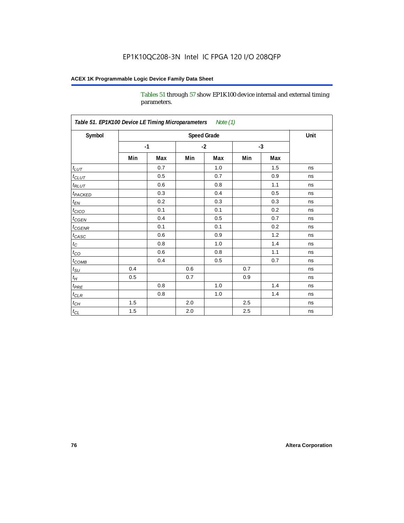Tables 51 through 57 show EP1K100 device internal and external timing parameters.

| Symbol                     |      |     | <b>Speed Grade</b> |         |      |     | Unit |
|----------------------------|------|-----|--------------------|---------|------|-----|------|
|                            | $-1$ |     | $-2$               |         | $-3$ |     |      |
|                            | Min  | Max | Min                | Max     | Min  | Max |      |
| $t_{LUT}$                  |      | 0.7 |                    | 1.0     |      | 1.5 | ns   |
| $t_{CLUT}$                 |      | 0.5 |                    | 0.7     |      | 0.9 | ns   |
| $t_{RLUT}$                 |      | 0.6 |                    | 0.8     |      | 1.1 | ns   |
| <b>t</b> <sub>PACKED</sub> |      | 0.3 |                    | 0.4     |      | 0.5 | ns   |
| $t_{EN}$                   |      | 0.2 |                    | 0.3     |      | 0.3 | ns   |
| $t_{CICO}$                 |      | 0.1 |                    | 0.1     |      | 0.2 | ns   |
| $t_{\text{CGEN}}$          |      | 0.4 |                    | 0.5     |      | 0.7 | ns   |
| $t_{GENR}$                 |      | 0.1 |                    | 0.1     |      | 0.2 | ns   |
| $t_{CASC}$                 |      | 0.6 |                    | 0.9     |      | 1.2 | ns   |
| $t_C$                      |      | 0.8 |                    | 1.0     |      | 1.4 | ns   |
| $t_{CO}$                   |      | 0.6 |                    | 0.8     |      | 1.1 | ns   |
| $t$ <sub>COMB</sub>        |      | 0.4 |                    | 0.5     |      | 0.7 | ns   |
| $t_{\rm SU}$               | 0.4  |     | 0.6                |         | 0.7  |     | ns   |
| $t_H\,$                    | 0.5  |     | 0.7                |         | 0.9  |     | ns   |
| $t_{PRE}$                  |      | 0.8 |                    | $1.0\,$ |      | 1.4 | ns   |
| $t_{CLR}$                  |      | 0.8 |                    | 1.0     |      | 1.4 | ns   |
| $t_{\underline{CH}}$       | 1.5  |     | 2.0                |         | 2.5  |     | ns   |
| $t_{\rm CL}$               | 1.5  |     | 2.0                |         | 2.5  |     | ns   |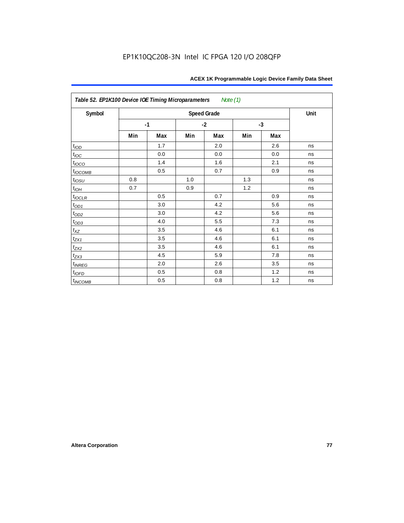| Table 52. EP1K100 Device IOE Timing Microparameters |      |     |      | Note (1)           |      |     |      |
|-----------------------------------------------------|------|-----|------|--------------------|------|-----|------|
| Symbol                                              |      |     |      | <b>Speed Grade</b> |      |     | Unit |
|                                                     | $-1$ |     | $-2$ |                    | $-3$ |     |      |
|                                                     | Min  | Max | Min  | Max                | Min  | Max |      |
| t <sub>IOD</sub>                                    |      | 1.7 |      | 2.0                |      | 2.6 | ns   |
| $t_{\text{IOC}}$                                    |      | 0.0 |      | 0.0                |      | 0.0 | ns   |
| $t_{IOCO}$                                          |      | 1.4 |      | 1.6                |      | 2.1 | ns   |
| $t_{IOCOMB}$                                        |      | 0.5 |      | 0.7                |      | 0.9 | ns   |
| $t_{IOSU}$                                          | 0.8  |     | 1.0  |                    | 1.3  |     | ns   |
| $t_{IOH}$                                           | 0.7  |     | 0.9  |                    | 1.2  |     | ns   |
| $t_{IOCLR}$                                         |      | 0.5 |      | 0.7                |      | 0.9 | ns   |
| $t_{OD1}$                                           |      | 3.0 |      | 4.2                |      | 5.6 | ns   |
| $t_{OD2}$                                           |      | 3.0 |      | 4.2                |      | 5.6 | ns   |
| $t_{OD3}$                                           |      | 4.0 |      | 5.5                |      | 7.3 | ns   |
| $t_{XZ}$                                            |      | 3.5 |      | 4.6                |      | 6.1 | ns   |
| $t_{ZX1}$                                           |      | 3.5 |      | 4.6                |      | 6.1 | ns   |
| $t_{ZX2}$                                           |      | 3.5 |      | 4.6                |      | 6.1 | ns   |
| $t_{ZX3}$                                           |      | 4.5 |      | 5.9                |      | 7.8 | ns   |
| $t_{INREG}$                                         |      | 2.0 |      | 2.6                |      | 3.5 | ns   |
| $t_{IOFD}$                                          |      | 0.5 |      | 0.8                |      | 1.2 | ns   |
| $t_{INCOMB}$                                        |      | 0.5 |      | 0.8                |      | 1.2 | ns   |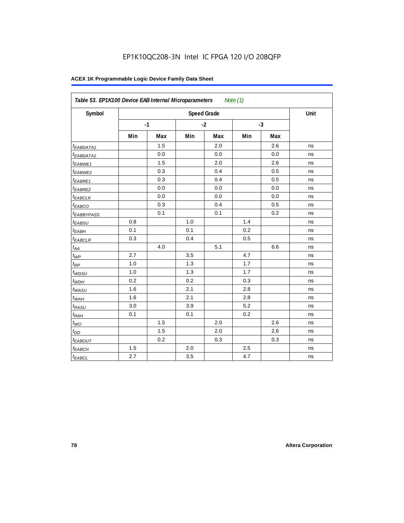| Symbol                       |     |      |     | <b>Speed Grade</b> |     |      | Unit |
|------------------------------|-----|------|-----|--------------------|-----|------|------|
|                              |     | $-1$ |     | $-2$               |     | $-3$ |      |
|                              | Min | Max  | Min | Max                | Min | Max  |      |
| t <sub>EABDATA1</sub>        |     | 1.5  |     | 2.0                |     | 2.6  | ns   |
| <sup>t</sup> EABDATA1        |     | 0.0  |     | 0.0                |     | 0.0  | ns   |
| t <sub>EABWE1</sub>          |     | 1.5  |     | 2.0                |     | 2.6  | ns   |
| t <sub>EABWE2</sub>          |     | 0.3  |     | 0.4                |     | 0.5  | ns   |
| <sup>t</sup> EABRE1          |     | 0.3  |     | 0.4                |     | 0.5  | ns   |
| <sup>t</sup> EABRE2          |     | 0.0  |     | 0.0                |     | 0.0  | ns   |
| <sup>t</sup> EABCLK          |     | 0.0  |     | 0.0                |     | 0.0  | ns   |
| t <sub>EABCO</sub>           |     | 0.3  |     | 0.4                |     | 0.5  | ns   |
| <sup>t</sup> EABBYPASS       |     | 0.1  |     | 0.1                |     | 0.2  | ns   |
| t <sub>EABSU</sub>           | 0.8 |      | 1.0 |                    | 1.4 |      | ns   |
| $t_{EABH}$                   | 0.1 |      | 0.1 |                    | 0.2 |      | ns   |
| $t_{EABCLR}$                 | 0.3 |      | 0.4 |                    | 0.5 |      | ns   |
| $t_{\mathcal{A}\mathcal{A}}$ |     | 4.0  |     | 5.1                |     | 6.6  | ns   |
| $t_{WP}$                     | 2.7 |      | 3.5 |                    | 4.7 |      | ns   |
| $t_{RP}$                     | 1.0 |      | 1.3 |                    | 1.7 |      | ns   |
| $t_{WDSU}$                   | 1.0 |      | 1.3 |                    | 1.7 |      | ns   |
| $t_{WDH}$                    | 0.2 |      | 0.2 |                    | 0.3 |      | ns   |
| $t_{WASU}$                   | 1.6 |      | 2.1 |                    | 2.8 |      | ns   |
| $t_{WAH}$                    | 1.6 |      | 2.1 |                    | 2.8 |      | ns   |
| $t_{RASU}$                   | 3.0 |      | 3.9 |                    | 5.2 |      | ns   |
| $t_{RAH}$                    | 0.1 |      | 0.1 |                    | 0.2 |      | ns   |
| $t_{WO}$                     |     | 1.5  |     | 2.0                |     | 2.6  | ns   |
| $t_{DD}$                     |     | 1.5  |     | 2.0                |     | 2.6  | ns   |
| t <sub>EABOUT</sub>          |     | 0.2  |     | 0.3                |     | 0.3  | ns   |
| $t_{EABCH}$                  | 1.5 |      | 2.0 |                    | 2.5 |      | ns   |
| $t_{EABCL}$                  | 2.7 |      | 3.5 |                    | 4.7 |      | ns   |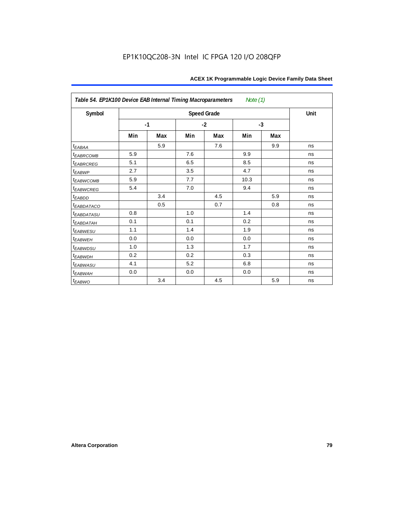| Table 54. EP1K100 Device EAB Internal Timing Macroparameters |      |     |      |                    | Note $(1)$ |     |      |
|--------------------------------------------------------------|------|-----|------|--------------------|------------|-----|------|
| Symbol                                                       |      |     |      | <b>Speed Grade</b> |            |     | Unit |
|                                                              | $-1$ |     | $-2$ |                    | $-3$       |     |      |
|                                                              | Min  | Max | Min  | Max                | Min        | Max |      |
| $t_{EABA}$                                                   |      | 5.9 |      | 7.6                |            | 9.9 | ns   |
| <sup>t</sup> EABRCOMB                                        | 5.9  |     | 7.6  |                    | 9.9        |     | ns   |
| t <sub>EABRCREG</sub>                                        | 5.1  |     | 6.5  |                    | 8.5        |     | ns   |
| $t_{EABWP}$                                                  | 2.7  |     | 3.5  |                    | 4.7        |     | ns   |
| <sup>t</sup> ЕАВWСОМВ                                        | 5.9  |     | 7.7  |                    | 10.3       |     | ns   |
| t <sub>EABWCREG</sub>                                        | 5.4  |     | 7.0  |                    | 9.4        |     | ns   |
| $t_{EABDD}$                                                  |      | 3.4 |      | 4.5                |            | 5.9 | ns   |
| <b><i>EABDATACO</i></b>                                      |      | 0.5 |      | 0.7                |            | 0.8 | ns   |
| t <sub>eabdatasu</sub>                                       | 0.8  |     | 1.0  |                    | 1.4        |     | ns   |
| <sup>t</sup> EABDATAH                                        | 0.1  |     | 0.1  |                    | 0.2        |     | ns   |
| t <sub>EABWESU</sub>                                         | 1.1  |     | 1.4  |                    | 1.9        |     | ns   |
| <b>t</b> EABWEH                                              | 0.0  |     | 0.0  |                    | 0.0        |     | ns   |
| <sup>t</sup> EABWDSU                                         | 1.0  |     | 1.3  |                    | 1.7        |     | ns   |
| <sup>t</sup> EABWDH                                          | 0.2  |     | 0.2  |                    | 0.3        |     | ns   |
| <sup>t</sup> EABWASU                                         | 4.1  |     | 5.2  |                    | 6.8        |     | ns   |
| t <sub>ЕАВWАН</sub>                                          | 0.0  |     | 0.0  |                    | 0.0        |     | ns   |
| t <sub>EABWO</sub>                                           |      | 3.4 |      | 4.5                |            | 5.9 | ns   |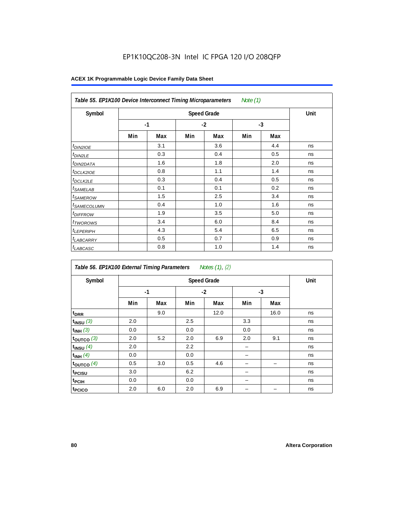## EP1K10QC208-3N Intel IC FPGA 120 I/O 208QFP

|                            | Table 55. EP1K100 Device Interconnect Timing Microparameters<br>Note (1) |                    |      |     |      |     |    |  |  |  |  |
|----------------------------|--------------------------------------------------------------------------|--------------------|------|-----|------|-----|----|--|--|--|--|
| Symbol                     |                                                                          | <b>Speed Grade</b> |      |     |      |     |    |  |  |  |  |
|                            |                                                                          | $-1$               | $-2$ |     | $-3$ |     |    |  |  |  |  |
|                            | Min                                                                      | Max                | Min  | Max | Min  | Max |    |  |  |  |  |
| <i>t<sub>DIN2IOE</sub></i> |                                                                          | 3.1                |      | 3.6 |      | 4.4 | ns |  |  |  |  |
| <sup>t</sup> DIN2LE        |                                                                          | 0.3                |      | 0.4 |      | 0.5 | ns |  |  |  |  |
| <sup>t</sup> DIN2DATA      |                                                                          | 1.6                |      | 1.8 |      | 2.0 | ns |  |  |  |  |
| <sup>t</sup> DCLK2IOE      |                                                                          | 0.8                |      | 1.1 |      | 1.4 | ns |  |  |  |  |
| <sup>t</sup> DCLK2LE       |                                                                          | 0.3                |      | 0.4 |      | 0.5 | ns |  |  |  |  |
| <sup>t</sup> SAMELAB       |                                                                          | 0.1                |      | 0.1 |      | 0.2 | ns |  |  |  |  |
| <sup>t</sup> SAMEROW       |                                                                          | 1.5                |      | 2.5 |      | 3.4 | ns |  |  |  |  |
| <sup>t</sup> SAMECOLUMN    |                                                                          | 0.4                |      | 1.0 |      | 1.6 | ns |  |  |  |  |
| <i>t<sub>DIFFROW</sub></i> |                                                                          | 1.9                |      | 3.5 |      | 5.0 | ns |  |  |  |  |
| <sup>t</sup> TWOROWS       |                                                                          | 3.4                |      | 6.0 |      | 8.4 | ns |  |  |  |  |
| <sup>t</sup> LEPERIPH      |                                                                          | 4.3                |      | 5.4 |      | 6.5 | ns |  |  |  |  |
| <sup>t</sup> LABCARRY      |                                                                          | 0.5                |      | 0.7 |      | 0.9 | ns |  |  |  |  |
| <sup>t</sup> LABCASC       |                                                                          | 0.8                |      | 1.0 |      | 1.4 | ns |  |  |  |  |

| Symbol             |     | <b>Speed Grade</b> |     |      |     |      |    |  |  |  |  |
|--------------------|-----|--------------------|-----|------|-----|------|----|--|--|--|--|
|                    |     | $-1$               |     | $-2$ |     | $-3$ |    |  |  |  |  |
|                    | Min | Max                | Min | Max  | Min | Max  |    |  |  |  |  |
| t <sub>DRR</sub>   |     | 9.0                |     | 12.0 |     | 16.0 | ns |  |  |  |  |
| $t_{INSU}$ (3)     | 2.0 |                    | 2.5 |      | 3.3 |      | ns |  |  |  |  |
| $t_{INH}$ (3)      | 0.0 |                    | 0.0 |      | 0.0 |      | ns |  |  |  |  |
| $t_{OUTCO}$ (3)    | 2.0 | 5.2                | 2.0 | 6.9  | 2.0 | 9.1  | ns |  |  |  |  |
| $t_{INSU}$ (4)     | 2.0 |                    | 2.2 |      |     |      | ns |  |  |  |  |
| $t_{INH}$ (4)      | 0.0 |                    | 0.0 |      |     |      | ns |  |  |  |  |
| toutco $(4)$       | 0.5 | 3.0                | 0.5 | 4.6  |     |      | ns |  |  |  |  |
| t <sub>PCISU</sub> | 3.0 |                    | 6.2 |      |     |      | ns |  |  |  |  |
| t <sub>PCIH</sub>  | 0.0 |                    | 0.0 |      |     |      | ns |  |  |  |  |
| t <sub>PCICO</sub> | 2.0 | 6.0                | 2.0 | 6.9  |     |      | ns |  |  |  |  |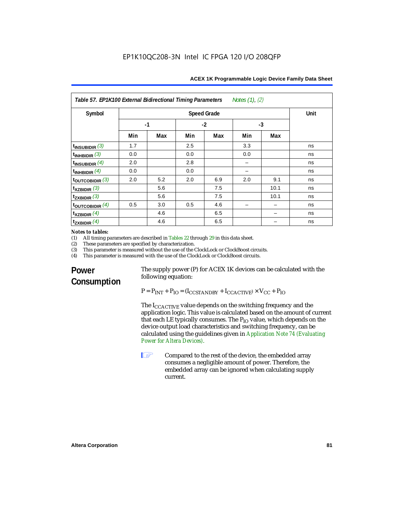| Symbol                      |      |     |      | <b>Speed Grade</b> |      |      | Unit |
|-----------------------------|------|-----|------|--------------------|------|------|------|
|                             | $-1$ |     | $-2$ |                    | $-3$ |      |      |
|                             | Min  | Max | Min  | Max                | Min  | Max  |      |
| $t_{INSUBIDIR}$ (3)         | 1.7  |     | 2.5  |                    | 3.3  |      | ns   |
| $t_{INHBIDIR}$ (3)          | 0.0  |     | 0.0  |                    | 0.0  |      | ns   |
| $t_{INSUBIDIR}$ (4)         | 2.0  |     | 2.8  |                    |      |      | ns   |
| $t_{INHBIDIR}$ (4)          | 0.0  |     | 0.0  |                    |      |      | ns   |
| $t_{\text{OUTCOBIDIR}}$ (3) | 2.0  | 5.2 | 2.0  | 6.9                | 2.0  | 9.1  | ns   |
| $t_{XZBIDIR}$ (3)           |      | 5.6 |      | 7.5                |      | 10.1 | ns   |
| $t_{ZXBIDIR}$ (3)           |      | 5.6 |      | 7.5                |      | 10.1 | ns   |
| $t_{\text{OUTCOBIDIR}}$ (4) | 0.5  | 3.0 | 0.5  | 4.6                |      |      | ns   |
| $t_{XZBIDIR}$ (4)           |      | 4.6 |      | 6.5                |      |      | ns   |
| $t_{ZXBIDIR}$ (4)           |      | 4.6 |      | 6.5                |      |      | ns   |

## *Notes to tables:*<br>(1) All timing n

(1) All timing parameters are described in Tables 22 through  $29$  in this data sheet.<br>(2) These parameters are specified by characterization.

(2) These parameters are specified by characterization.<br>(3) This parameter is measured without the use of the C

(3) This parameter is measured without the use of the ClockLock or ClockBoost circuits.<br>(4) This parameter is measured with the use of the ClockLock or ClockBoost circuits.

This parameter is measured with the use of the ClockLock or ClockBoost circuits.

## **Power Consumption**

The supply power (P) for ACEX 1K devices can be calculated with the following equation:

 $P = P_{INT} + P_{IO} = (I_{CCSTANDBY} + I_{CCACTIVE}) \times V_{CC} + P_{IO}$ 

The  $I_{\text{CCACTIVE}}$  value depends on the switching frequency and the application logic. This value is calculated based on the amount of current that each LE typically consumes. The  $P_{IO}$  value, which depends on the device output load characteristics and switching frequency, can be calculated using the guidelines given in *Application Note 74 (Evaluating Power for Altera Devices)*.

**1 Compared to the rest of the device, the embedded array** consumes a negligible amount of power. Therefore, the embedded array can be ignored when calculating supply current.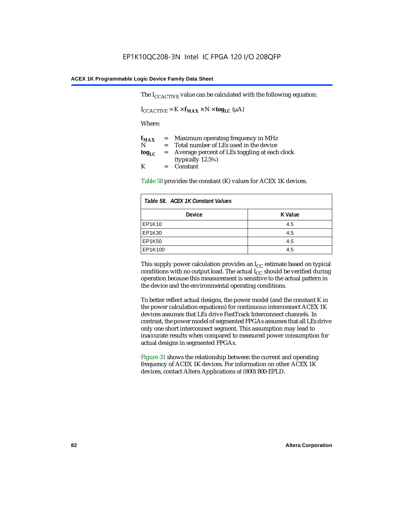The  $I_{CCACTIVE}$  value can be calculated with the following equation:

 $I_{\text{CCACTIVE}} = K \times f_{\text{MAX}} \times N \times \text{tog}_{\text{LC}} (\mu A)$ 

Where:

| $f_{MAX}$  | $=$     | Maximum operating frequency in MHz            |
|------------|---------|-----------------------------------------------|
| N          | $=$ $-$ | Total number of LEs used in the device        |
| $log_{LC}$ | $=$     | Average percent of LEs toggling at each clock |
|            |         | (typically $12.5\%$ )                         |
| K          |         | $=$ Constant                                  |

Table 58 provides the constant (K) values for ACEX 1K devices.

| Table 58. ACEX 1K Constant Values |         |  |  |  |
|-----------------------------------|---------|--|--|--|
| <b>Device</b>                     | K Value |  |  |  |
| EP1K10                            | 4.5     |  |  |  |
| EP1K30                            | 4.5     |  |  |  |
| <b>EP1K50</b>                     | 4.5     |  |  |  |
| EP1K100                           | 4.5     |  |  |  |

This supply power calculation provides an  $I_{CC}$  estimate based on typical conditions with no output load. The actual  $I_{CC}$  should be verified during operation because this measurement is sensitive to the actual pattern in the device and the environmental operating conditions.

To better reflect actual designs, the power model (and the constant K in the power calculation equations) for continuous interconnect ACEX 1K devices assumes that LEs drive FastTrack Interconnect channels. In contrast, the power model of segmented FPGAs assumes that all LEs drive only one short interconnect segment. This assumption may lead to inaccurate results when compared to measured power consumption for actual designs in segmented FPGAs.

Figure 31 shows the relationship between the current and operating frequency of ACEX 1K devices. For information on other ACEX 1K devices, contact Altera Applications at (800) 800-EPLD.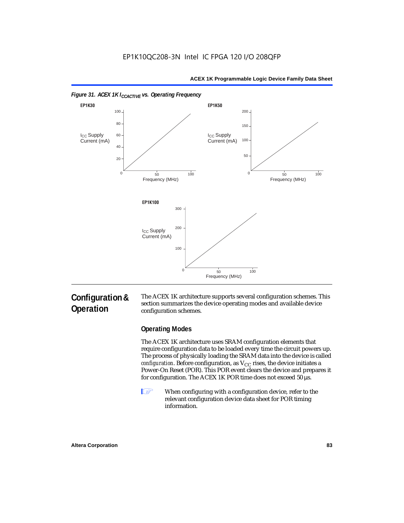



#### *Figure 31. ACEX 1K I<sub>CCACTIVE</sub> vs. Operating Frequency*

## **Configuration & Operation**

The ACEX 1K architecture supports several configuration schemes. This section summarizes the device operating modes and available device configuration schemes.

## **Operating Modes**

The ACEX 1K architecture uses SRAM configuration elements that require configuration data to be loaded every time the circuit powers up. The process of physically loading the SRAM data into the device is called *configuration*. Before configuration, as  $V_{CC}$  rises, the device initiates a Power-On Reset (POR). This POR event clears the device and prepares it for configuration. The ACEX 1K POR time does not exceed 50 µs.

**1** When configuring with a configuration device, refer to the relevant configuration device data sheet for POR timing information.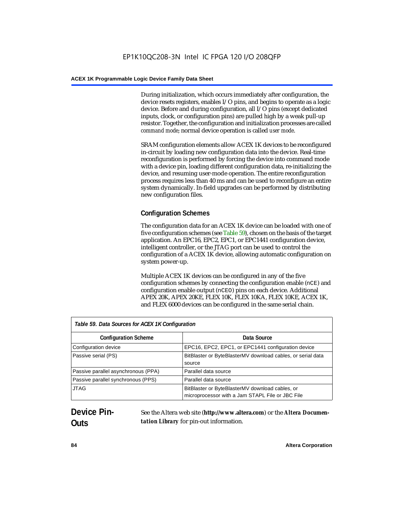During initialization, which occurs immediately after configuration, the device resets registers, enables I/O pins, and begins to operate as a logic device. Before and during configuration, all I/O pins (except dedicated inputs, clock, or configuration pins) are pulled high by a weak pull-up resistor. Together, the configuration and initialization processes are called *command mode*; normal device operation is called *user mode*.

SRAM configuration elements allow ACEX 1K devices to be reconfigured in-circuit by loading new configuration data into the device. Real-time reconfiguration is performed by forcing the device into command mode with a device pin, loading different configuration data, re-initializing the device, and resuming user-mode operation. The entire reconfiguration process requires less than 40 ms and can be used to reconfigure an entire system dynamically. In-field upgrades can be performed by distributing new configuration files.

## **Configuration Schemes**

The configuration data for an ACEX 1K device can be loaded with one of five configuration schemes (see Table 59), chosen on the basis of the target application. An EPC16, EPC2, EPC1, or EPC1441 configuration device, intelligent controller, or the JTAG port can be used to control the configuration of a ACEX 1K device, allowing automatic configuration on system power-up.

Multiple ACEX 1K devices can be configured in any of the five configuration schemes by connecting the configuration enable (nCE) and configuration enable output (nCEO) pins on each device. Additional APEX 20K, APEX 20KE, FLEX 10K, FLEX 10KA, FLEX 10KE, ACEX 1K, and FLEX 6000 devices can be configured in the same serial chain.

| Table 59. Data Sources for ACEX 1K Configuration |                                                                                                     |  |  |  |
|--------------------------------------------------|-----------------------------------------------------------------------------------------------------|--|--|--|
| <b>Configuration Scheme</b>                      | Data Source                                                                                         |  |  |  |
| Configuration device                             | EPC16, EPC2, EPC1, or EPC1441 configuration device                                                  |  |  |  |
| Passive serial (PS)                              | BitBlaster or ByteBlasterMV download cables, or serial data<br>source                               |  |  |  |
| Passive parallel asynchronous (PPA)              | Parallel data source                                                                                |  |  |  |
| Passive parallel synchronous (PPS)               | Parallel data source                                                                                |  |  |  |
| <b>JTAG</b>                                      | BitBlaster or ByteBlasterMV download cables, or<br>microprocessor with a Jam STAPL File or JBC File |  |  |  |

## **Device Pin-Outs**

See the Altera web site (**http://www.altera.com**) or the *Altera Documentation Library* for pin-out information.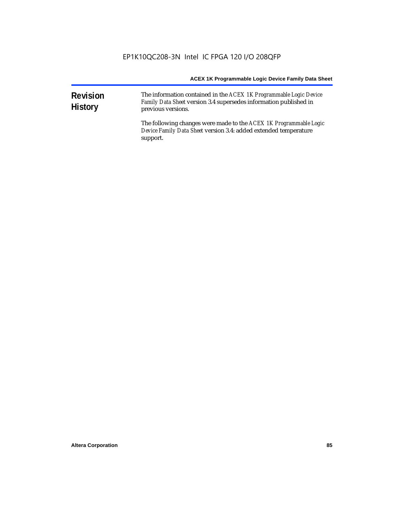| <b>Revision</b><br><b>History</b> | The information contained in the ACEX 1K Programmable Logic Device<br>Family Data Sheet version 3.4 supersedes information published in<br>previous versions. |
|-----------------------------------|---------------------------------------------------------------------------------------------------------------------------------------------------------------|
|                                   | The following changes were made to the ACEX 1K Programmable Logic<br>Device Family Data Sheet version 3.4: added extended temperature<br>support.             |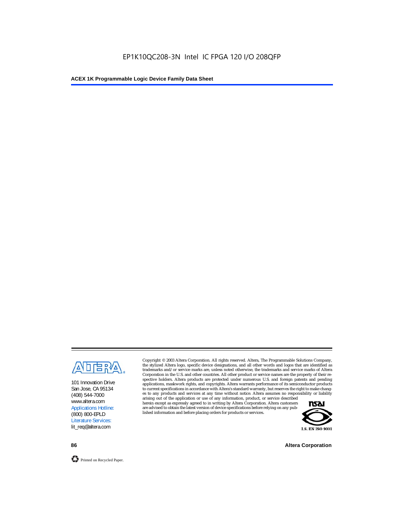

101 Innovation Drive San Jose, CA 95134 (408) 544-7000 www.altera.com Applications Hotline: (800) 800-EPLD Literature Services: lit\_req@altera.com

Copyright © 2003 Altera Corporation. All rights reserved. Altera, The Programmable Solutions Company, the stylized Altera logo, specific device designations, and all other words and logos that are identified as trademarks and/or service marks are, unless noted otherwise, the trademarks and service marks of Altera Corporation in the U.S. and other countries. All other product or service names are the property of their respective holders. Altera products are protected under numerous U.S. and foreign patents and pending applications, maskwork rights, and copyrights. Altera warrants performance of its semiconductor products to current specifications in accordance with Altera's standard warranty, but reserves the right to make changes to any products and services at any time without notice. Altera assumes no responsibility or liability

arising out of the application or use of any information, product, or service described herein except as expressly agreed to in writing by Altera Corporation. Altera customers are advised to obtain the latest version of device specifications before relying on any published information and before placing orders for products or services.



**86 Altera Corporation**